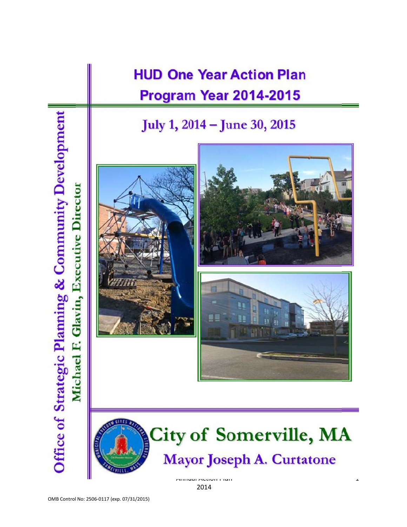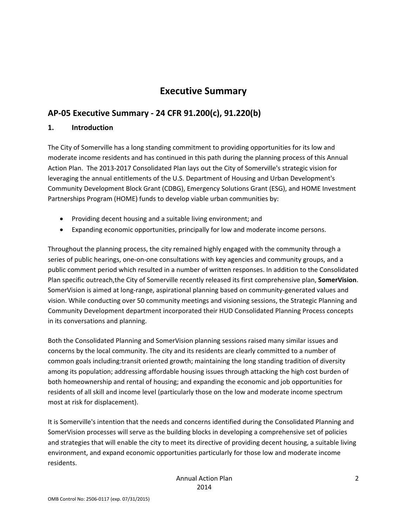## **Executive Summary**

## **AP‐05 Executive Summary ‐ 24 CFR 91.200(c), 91.220(b)**

### **1. Introduction**

The City of Somerville has a long standing commitment to providing opportunities for its low and moderate income residents and has continued in this path during the planning process of this Annual Action Plan. The 2013‐2017 Consolidated Plan lays out the City of Somerville's strategic vision for leveraging the annual entitlements of the U.S. Department of Housing and Urban Development's Community Development Block Grant (CDBG), Emergency Solutions Grant (ESG), and HOME Investment Partnerships Program (HOME) funds to develop viable urban communities by:

- Providing decent housing and a suitable living environment; and
- Expanding economic opportunities, principally for low and moderate income persons.

Throughout the planning process, the city remained highly engaged with the community through a series of public hearings, one‐on‐one consultations with key agencies and community groups, and a public comment period which resulted in a number of written responses. In addition to the Consolidated Plan specific outreach,the City of Somerville recently released its first comprehensive plan, **SomerVision**. SomerVision is aimed at long‐range, aspirational planning based on community‐generated values and vision. While conducting over 50 community meetings and visioning sessions, the Strategic Planning and Community Development department incorporated their HUD Consolidated Planning Process concepts in its conversations and planning.

Both the Consolidated Planning and SomerVision planning sessions raised many similar issues and concerns by the local community. The city and its residents are clearly committed to a number of common goals including:transit oriented growth; maintaining the long standing tradition of diversity among its population; addressing affordable housing issues through attacking the high cost burden of both homeownership and rental of housing; and expanding the economic and job opportunities for residents of all skill and income level (particularly those on the low and moderate income spectrum most at risk for displacement).

It is Somerville's intention that the needs and concerns identified during the Consolidated Planning and SomerVision processes will serve as the building blocks in developing a comprehensive set of policies and strategies that will enable the city to meet its directive of providing decent housing, a suitable living environment, and expand economic opportunities particularly for those low and moderate income residents.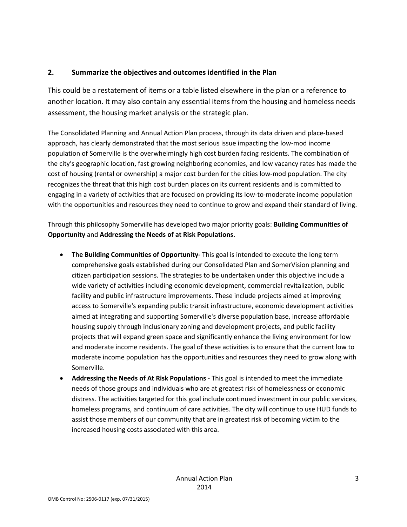### **2. Summarize the objectives and outcomes identified in the Plan**

This could be a restatement of items or a table listed elsewhere in the plan or a reference to another location. It may also contain any essential items from the housing and homeless needs assessment, the housing market analysis or the strategic plan.

The Consolidated Planning and Annual Action Plan process, through its data driven and place‐based approach, has clearly demonstrated that the most serious issue impacting the low-mod income population of Somerville is the overwhelmingly high cost burden facing residents. The combination of the city's geographic location, fast growing neighboring economies, and low vacancy rates has made the cost of housing (rental or ownership) a major cost burden for the cities low-mod population. The city recognizes the threat that this high cost burden places on its current residents and is committed to engaging in a variety of activities that are focused on providing its low-to-moderate income population with the opportunities and resources they need to continue to grow and expand their standard of living.

Through this philosophy Somerville has developed two major priority goals: **Building Communities of Opportunity** and **Addressing the Needs of at Risk Populations.**

- **The Building Communities of Opportunity‐** This goal is intended to execute the long term comprehensive goals established during our Consolidated Plan and SomerVision planning and citizen participation sessions. The strategies to be undertaken under this objective include a wide variety of activities including economic development, commercial revitalization, public facility and public infrastructure improvements. These include projects aimed at improving access to Somerville's expanding public transit infrastructure, economic development activities aimed at integrating and supporting Somerville's diverse population base, increase affordable housing supply through inclusionary zoning and development projects, and public facility projects that will expand green space and significantly enhance the living environment for low and moderate income residents. The goal of these activities is to ensure that the current low to moderate income population has the opportunities and resources they need to grow along with Somerville.
- **Addressing the Needs of At Risk Populations** ‐ This goal is intended to meet the immediate needs of those groups and individuals who are at greatest risk of homelessness or economic distress. The activities targeted for this goal include continued investment in our public services, homeless programs, and continuum of care activities. The city will continue to use HUD funds to assist those members of our community that are in greatest risk of becoming victim to the increased housing costs associated with this area.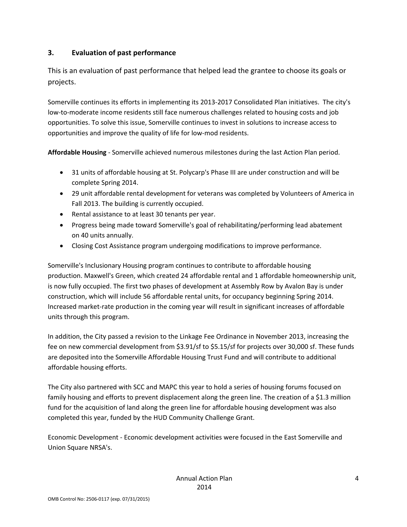### **3. Evaluation of past performance**

This is an evaluation of past performance that helped lead the grantee to choose its goals or projects.

Somerville continues its efforts in implementing its 2013‐2017 Consolidated Plan initiatives. The city's low‐to‐moderate income residents still face numerous challenges related to housing costs and job opportunities. To solve this issue, Somerville continues to invest in solutions to increase access to opportunities and improve the quality of life for low‐mod residents.

**Affordable Housing** ‐ Somerville achieved numerous milestones during the last Action Plan period.

- 31 units of affordable housing at St. Polycarp's Phase III are under construction and will be complete Spring 2014.
- 29 unit affordable rental development for veterans was completed by Volunteers of America in Fall 2013. The building is currently occupied.
- Rental assistance to at least 30 tenants per year.
- Progress being made toward Somerville's goal of rehabilitating/performing lead abatement on 40 units annually.
- Closing Cost Assistance program undergoing modifications to improve performance.

Somerville's Inclusionary Housing program continues to contribute to affordable housing production. Maxwell's Green, which created 24 affordable rental and 1 affordable homeownership unit, is now fully occupied. The first two phases of development at Assembly Row by Avalon Bay is under construction, which will include 56 affordable rental units, for occupancy beginning Spring 2014. Increased market‐rate production in the coming year will result in significant increases of affordable units through this program.

In addition, the City passed a revision to the Linkage Fee Ordinance in November 2013, increasing the fee on new commercial development from \$3.91/sf to \$5.15/sf for projects over 30,000 sf. These funds are deposited into the Somerville Affordable Housing Trust Fund and will contribute to additional affordable housing efforts.

The City also partnered with SCC and MAPC this year to hold a series of housing forums focused on family housing and efforts to prevent displacement along the green line. The creation of a \$1.3 million fund for the acquisition of land along the green line for affordable housing development was also completed this year, funded by the HUD Community Challenge Grant.

Economic Development ‐ Economic development activities were focused in the East Somerville and Union Square NRSA's.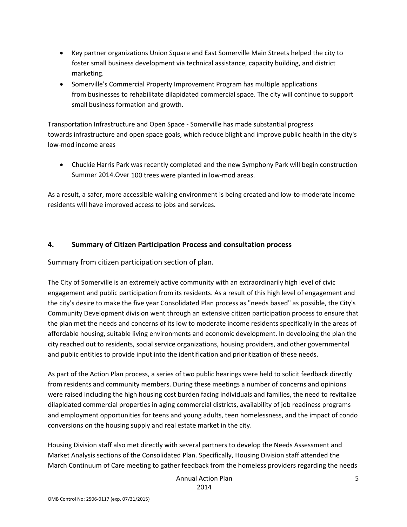- Key partner organizations Union Square and East Somerville Main Streets helped the city to foster small business development via technical assistance, capacity building, and district marketing.
- Somerville's Commercial Property Improvement Program has multiple applications from businesses to rehabilitate dilapidated commercial space. The city will continue to support small business formation and growth.

Transportation Infrastructure and Open Space ‐ Somerville has made substantial progress towards infrastructure and open space goals, which reduce blight and improve public health in the city's low‐mod income areas

 Chuckie Harris Park was recently completed and the new Symphony Park will begin construction Summer 2014.Over 100 trees were planted in low‐mod areas.

As a result, a safer, more accessible walking environment is being created and low‐to‐moderate income residents will have improved access to jobs and services.

### **4. Summary of Citizen Participation Process and consultation process**

Summary from citizen participation section of plan.

The City of Somerville is an extremely active community with an extraordinarily high level of civic engagement and public participation from its residents. As a result of this high level of engagement and the city's desire to make the five year Consolidated Plan process as "needs based" as possible, the City's Community Development division went through an extensive citizen participation process to ensure that the plan met the needs and concerns of its low to moderate income residents specifically in the areas of affordable housing, suitable living environments and economic development. In developing the plan the city reached out to residents, social service organizations, housing providers, and other governmental and public entities to provide input into the identification and prioritization of these needs.

As part of the Action Plan process, a series of two public hearings were held to solicit feedback directly from residents and community members. During these meetings a number of concerns and opinions were raised including the high housing cost burden facing individuals and families, the need to revitalize dilapidated commercial properties in aging commercial districts, availability of job readiness programs and employment opportunities for teens and young adults, teen homelessness, and the impact of condo conversions on the housing supply and real estate market in the city.

Housing Division staff also met directly with several partners to develop the Needs Assessment and Market Analysis sections of the Consolidated Plan. Specifically, Housing Division staff attended the March Continuum of Care meeting to gather feedback from the homeless providers regarding the needs

> Annual Action Plan 2014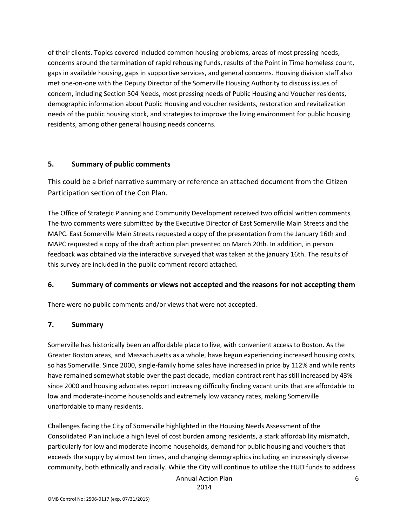of their clients. Topics covered included common housing problems, areas of most pressing needs, concerns around the termination of rapid rehousing funds, results of the Point in Time homeless count, gaps in available housing, gaps in supportive services, and general concerns. Housing division staff also met one‐on‐one with the Deputy Director of the Somerville Housing Authority to discuss issues of concern, including Section 504 Needs, most pressing needs of Public Housing and Voucher residents, demographic information about Public Housing and voucher residents, restoration and revitalization needs of the public housing stock, and strategies to improve the living environment for public housing residents, among other general housing needs concerns.

### **5. Summary of public comments**

This could be a brief narrative summary or reference an attached document from the Citizen Participation section of the Con Plan.

The Office of Strategic Planning and Community Development received two official written comments. The two comments were submitted by the Executive Director of East Somerville Main Streets and the MAPC. East Somerville Main Streets requested a copy of the presentation from the January 16th and MAPC requested a copy of the draft action plan presented on March 20th. In addition, in person feedback was obtained via the interactive surveyed that was taken at the january 16th. The results of this survey are included in the public comment record attached.

### **6. Summary of comments or views not accepted and the reasons for not accepting them**

There were no public comments and/or views that were not accepted.

#### **7. Summary**

Somerville has historically been an affordable place to live, with convenient access to Boston. As the Greater Boston areas, and Massachusetts as a whole, have begun experiencing increased housing costs, so has Somerville. Since 2000, single-family home sales have increased in price by 112% and while rents have remained somewhat stable over the past decade, median contract rent has still increased by 43% since 2000 and housing advocates report increasing difficulty finding vacant units that are affordable to low and moderate‐income households and extremely low vacancy rates, making Somerville unaffordable to many residents.

Challenges facing the City of Somerville highlighted in the Housing Needs Assessment of the Consolidated Plan include a high level of cost burden among residents, a stark affordability mismatch, particularly for low and moderate income households, demand for public housing and vouchers that exceeds the supply by almost ten times, and changing demographics including an increasingly diverse community, both ethnically and racially. While the City will continue to utilize the HUD funds to address

Annual Action Plan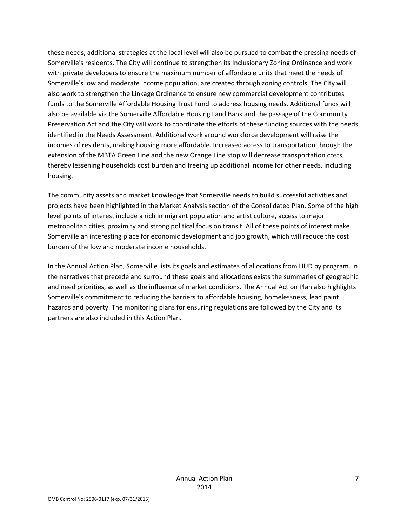these needs, additional strategies at the local level will also be pursued to combat the pressing needs of Somerville's residents. The City will continue to strengthen its Inclusionary Zoning Ordinance and work with private developers to ensure the maximum number of affordable units that meet the needs of Somerville's low and moderate income population, are created through zoning controls. The City will also work to strengthen the Linkage Ordinance to ensure new commercial development contributes funds to the Somerville Affordable Housing Trust Fund to address housing needs. Additional funds will also be available via the Somerville Affordable Housing Land Bank and the passage of the Community Preservation Act and the City will work to coordinate the efforts of these funding sources with the needs identified in the Needs Assessment. Additional work around workforce development will raise the incomes of residents, making housing more affordable. Increased access to transportation through the extension of the MBTA Green Line and the new Orange Line stop will decrease transportation costs, thereby lessening households cost burden and freeing up additional income for other needs, including housing.

The community assets and market knowledge that Somerville needs to build successful activities and projects have been highlighted in the Market Analysis section of the Consolidated Plan. Some of the high level points of interest include a rich immigrant population and artist culture, access to major metropolitan cities, proximity and strong political focus on transit. All of these points of interest make Somerville an interesting place for economic development and job growth, which will reduce the cost burden of the low and moderate income households.

In the Annual Action Plan, Somerville lists its goals and estimates of allocations from HUD by program. In the narratives that precede and surround these goals and allocations exists the summaries of geographic and need priorities, as well as the influence of market conditions. The Annual Action Plan also highlights Somerville's commitment to reducing the barriers to affordable housing, homelessness, lead paint hazards and poverty. The monitoring plans for ensuring regulations are followed by the City and its partners are also included in this Action Plan.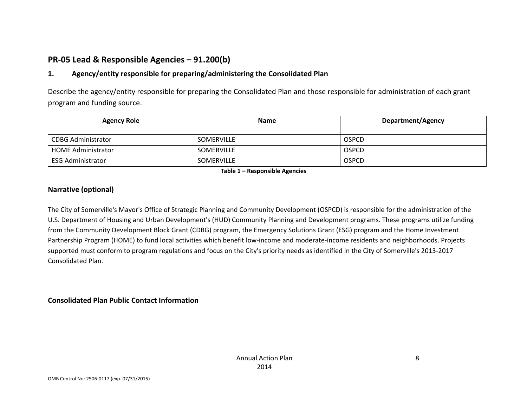## **PR‐05 Lead & Responsible Agencies – 91.200(b)**

#### **1.Agency/entity responsible for preparing/administering the Consolidated Plan**

Describe the agency/entity responsible for preparing the Consolidated Plan and those responsible for administration of each grant program and funding source.

| <b>Agency Role</b>        | <b>Name</b>       | <b>Department/Agency</b> |
|---------------------------|-------------------|--------------------------|
|                           |                   |                          |
| <b>CDBG Administrator</b> | <b>SOMERVILLE</b> | <b>OSPCD</b>             |
| <b>HOME Administrator</b> | <b>SOMERVILLE</b> | <b>OSPCD</b>             |
| ESG Administrator         | <b>SOMERVILLE</b> | <b>OSPCD</b>             |

**Table 1 – Responsible Agencies**

### **Narrative (optional)**

The City of Somerville's Mayor's Office of Strategic Planning and Community Development (OSPCD) is responsible for the administration of the U.S. Department of Housing and Urban Development's (HUD) Community Planning and Development programs. These programs utilize funding from the Community Development Block Grant (CDBG) program, the Emergency Solutions Grant (ESG) program and the Home Investment Partnership Program (HOME) to fund local activities which benefit low‐income and moderate‐income residents and neighborhoods. Projects supported must conform to program regulations and focus on the City's priority needs as identified in the City of Somerville's 2013‐2017 Consolidated Plan.

**Consolidated Plan Public Contact Information**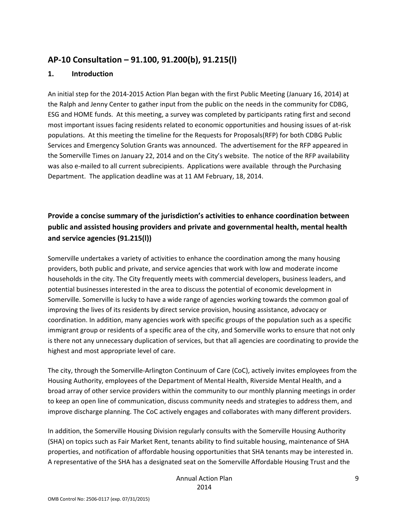### **AP‐10 Consultation – 91.100, 91.200(b), 91.215(l)**

#### **1. Introduction**

An initial step for the 2014‐2015 Action Plan began with the first Public Meeting (January 16, 2014) at the Ralph and Jenny Center to gather input from the public on the needs in the community for CDBG, ESG and HOME funds. At this meeting, a survey was completed by participants rating first and second most important issues facing residents related to economic opportunities and housing issues of at-risk populations. At this meeting the timeline for the Requests for Proposals(RFP) for both CDBG Public Services and Emergency Solution Grants was announced. The advertisement for the RFP appeared in the Somerville Times on January 22, 2014 and on the City's website. The notice of the RFP availability was also e-mailed to all current subrecipients. Applications were available through the Purchasing Department. The application deadline was at 11 AM February, 18, 2014.

## **Provide a concise summary of the jurisdiction's activities to enhance coordination between public and assisted housing providers and private and governmental health, mental health and service agencies (91.215(l))**

Somerville undertakes a variety of activities to enhance the coordination among the many housing providers, both public and private, and service agencies that work with low and moderate income households in the city. The City frequently meets with commercial developers, business leaders, and potential businesses interested in the area to discuss the potential of economic development in Somerville. Somerville is lucky to have a wide range of agencies working towards the common goal of improving the lives of its residents by direct service provision, housing assistance, advocacy or coordination. In addition, many agencies work with specific groups of the population such as a specific immigrant group or residents of a specific area of the city, and Somerville works to ensure that not only is there not any unnecessary duplication of services, but that all agencies are coordinating to provide the highest and most appropriate level of care.

The city, through the Somerville‐Arlington Continuum of Care (CoC), actively invites employees from the Housing Authority, employees of the Department of Mental Health, Riverside Mental Health, and a broad array of other service providers within the community to our monthly planning meetings in order to keep an open line of communication, discuss community needs and strategies to address them, and improve discharge planning. The CoC actively engages and collaborates with many different providers.

In addition, the Somerville Housing Division regularly consults with the Somerville Housing Authority (SHA) on topics such as Fair Market Rent, tenants ability to find suitable housing, maintenance of SHA properties, and notification of affordable housing opportunities that SHA tenants may be interested in. A representative of the SHA has a designated seat on the Somerville Affordable Housing Trust and the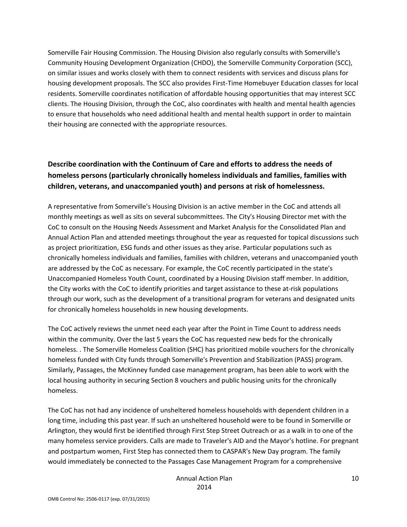Somerville Fair Housing Commission. The Housing Division also regularly consults with Somerville's Community Housing Development Organization (CHDO), the Somerville Community Corporation (SCC), on similar issues and works closely with them to connect residents with services and discuss plans for housing development proposals. The SCC also provides First‐Time Homebuyer Education classes for local residents. Somerville coordinates notification of affordable housing opportunities that may interest SCC clients. The Housing Division, through the CoC, also coordinates with health and mental health agencies to ensure that households who need additional health and mental health support in order to maintain their housing are connected with the appropriate resources.

### **Describe coordination with the Continuum of Care and efforts to address the needs of homeless persons (particularly chronically homeless individuals and families, families with children, veterans, and unaccompanied youth) and persons at risk of homelessness.**

A representative from Somerville's Housing Division is an active member in the CoC and attends all monthly meetings as well as sits on several subcommittees. The City's Housing Director met with the CoC to consult on the Housing Needs Assessment and Market Analysis for the Consolidated Plan and Annual Action Plan and attended meetings throughout the year as requested for topical discussions such as project prioritization, ESG funds and other issues as they arise. Particular populations such as chronically homeless individuals and families, families with children, veterans and unaccompanied youth are addressed by the CoC as necessary. For example, the CoC recently participated in the state's Unaccompanied Homeless Youth Count, coordinated by a Housing Division staff member. In addition, the City works with the CoC to identify priorities and target assistance to these at‐risk populations through our work, such as the development of a transitional program for veterans and designated units for chronically homeless households in new housing developments.

The CoC actively reviews the unmet need each year after the Point in Time Count to address needs within the community. Over the last 5 years the CoC has requested new beds for the chronically homeless. . The Somerville Homeless Coalition (SHC) has prioritized mobile vouchers for the chronically homeless funded with City funds through Somerville's Prevention and Stabilization (PASS) program. Similarly, Passages, the McKinney funded case management program, has been able to work with the local housing authority in securing Section 8 vouchers and public housing units for the chronically homeless.

The CoC has not had any incidence of unsheltered homeless households with dependent children in a long time, including this past year. If such an unsheltered household were to be found in Somerville or Arlington, they would first be identified through First Step Street Outreach or as a walk in to one of the many homeless service providers. Calls are made to Traveler's AID and the Mayor's hotline. For pregnant and postpartum women, First Step has connected them to CASPAR's New Day program. The family would immediately be connected to the Passages Case Management Program for a comprehensive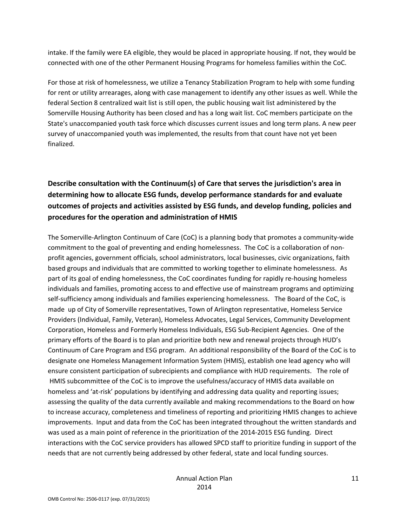intake. If the family were EA eligible, they would be placed in appropriate housing. If not, they would be connected with one of the other Permanent Housing Programs for homeless families within the CoC.

For those at risk of homelessness, we utilize a Tenancy Stabilization Program to help with some funding for rent or utility arrearages, along with case management to identify any other issues as well. While the federal Section 8 centralized wait list is still open, the public housing wait list administered by the Somerville Housing Authority has been closed and has a long wait list. CoC members participate on the State's unaccompanied youth task force which discusses current issues and long term plans. A new peer survey of unaccompanied youth was implemented, the results from that count have not yet been finalized.

### **Describe consultation with the Continuum(s) of Care that serves the jurisdiction's area in determining how to allocate ESG funds, develop performance standards for and evaluate outcomes of projects and activities assisted by ESG funds, and develop funding, policies and procedures for the operation and administration of HMIS**

The Somerville‐Arlington Continuum of Care (CoC) is a planning body that promotes a community‐wide commitment to the goal of preventing and ending homelessness. The CoC is a collaboration of non‐ profit agencies, government officials, school administrators, local businesses, civic organizations, faith based groups and individuals that are committed to working together to eliminate homelessness. As part of its goal of ending homelessness, the CoC coordinates funding for rapidly re‐housing homeless individuals and families, promoting access to and effective use of mainstream programs and optimizing self-sufficiency among individuals and families experiencing homelessness. The Board of the CoC, is made up of City of Somerville representatives, Town of Arlington representative, Homeless Service Providers (Individual, Family, Veteran), Homeless Advocates, Legal Services, Community Development Corporation, Homeless and Formerly Homeless Individuals, ESG Sub‐Recipient Agencies. One of the primary efforts of the Board is to plan and prioritize both new and renewal projects through HUD's Continuum of Care Program and ESG program. An additional responsibility of the Board of the CoC is to designate one Homeless Management Information System (HMIS), establish one lead agency who will ensure consistent participation of subrecipients and compliance with HUD requirements. The role of HMIS subcommittee of the CoC is to improve the usefulness/accuracy of HMIS data available on homeless and 'at-risk' populations by identifying and addressing data quality and reporting issues; assessing the quality of the data currently available and making recommendations to the Board on how to increase accuracy, completeness and timeliness of reporting and prioritizing HMIS changes to achieve improvements. Input and data from the CoC has been integrated throughout the written standards and was used as a main point of reference in the prioritization of the 2014‐2015 ESG funding. Direct interactions with the CoC service providers has allowed SPCD staff to prioritize funding in support of the needs that are not currently being addressed by other federal, state and local funding sources.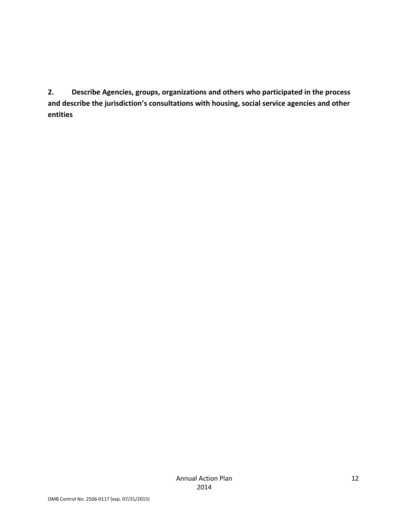**2. Describe Agencies, groups, organizations and others who participated in the process and describe the jurisdiction's consultations with housing, social service agencies and other entities**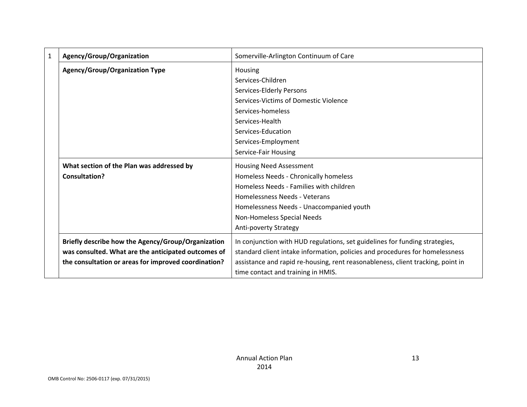| $\mathbf{1}$ | Agency/Group/Organization                            | Somerville-Arlington Continuum of Care                                          |
|--------------|------------------------------------------------------|---------------------------------------------------------------------------------|
|              | <b>Agency/Group/Organization Type</b>                | Housing                                                                         |
|              |                                                      | Services-Children                                                               |
|              |                                                      | Services-Elderly Persons                                                        |
|              |                                                      | Services-Victims of Domestic Violence                                           |
|              |                                                      | Services-homeless                                                               |
|              |                                                      | Services-Health                                                                 |
|              |                                                      | Services-Education                                                              |
|              |                                                      | Services-Employment                                                             |
|              |                                                      | Service-Fair Housing                                                            |
|              | What section of the Plan was addressed by            | <b>Housing Need Assessment</b>                                                  |
|              | <b>Consultation?</b>                                 | Homeless Needs - Chronically homeless                                           |
|              |                                                      | Homeless Needs - Families with children                                         |
|              |                                                      | Homelessness Needs - Veterans                                                   |
|              |                                                      | Homelessness Needs - Unaccompanied youth                                        |
|              |                                                      | Non-Homeless Special Needs                                                      |
|              |                                                      | Anti-poverty Strategy                                                           |
|              | Briefly describe how the Agency/Group/Organization   | In conjunction with HUD regulations, set guidelines for funding strategies,     |
|              | was consulted. What are the anticipated outcomes of  | standard client intake information, policies and procedures for homelessness    |
|              | the consultation or areas for improved coordination? | assistance and rapid re-housing, rent reasonableness, client tracking, point in |
|              |                                                      | time contact and training in HMIS.                                              |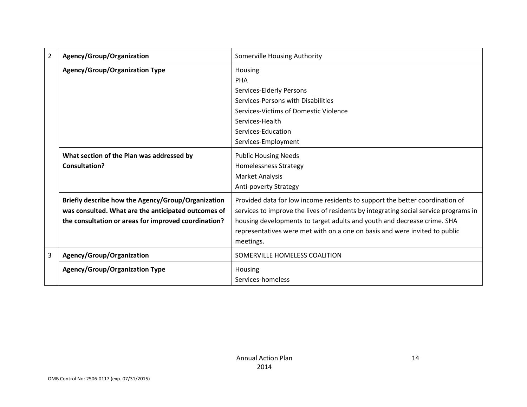| $\overline{2}$ | Agency/Group/Organization                                                                                                                                         | Somerville Housing Authority                                                                                                                                                                                                                    |
|----------------|-------------------------------------------------------------------------------------------------------------------------------------------------------------------|-------------------------------------------------------------------------------------------------------------------------------------------------------------------------------------------------------------------------------------------------|
|                | <b>Agency/Group/Organization Type</b>                                                                                                                             | Housing<br>PHA                                                                                                                                                                                                                                  |
|                |                                                                                                                                                                   | Services-Elderly Persons                                                                                                                                                                                                                        |
|                |                                                                                                                                                                   | Services-Persons with Disabilities                                                                                                                                                                                                              |
|                |                                                                                                                                                                   | Services-Victims of Domestic Violence                                                                                                                                                                                                           |
|                |                                                                                                                                                                   | Services-Health                                                                                                                                                                                                                                 |
|                |                                                                                                                                                                   | Services-Education                                                                                                                                                                                                                              |
|                |                                                                                                                                                                   | Services-Employment                                                                                                                                                                                                                             |
|                | What section of the Plan was addressed by                                                                                                                         | <b>Public Housing Needs</b>                                                                                                                                                                                                                     |
|                | <b>Consultation?</b>                                                                                                                                              | Homelessness Strategy                                                                                                                                                                                                                           |
|                |                                                                                                                                                                   | Market Analysis                                                                                                                                                                                                                                 |
|                |                                                                                                                                                                   | Anti-poverty Strategy                                                                                                                                                                                                                           |
|                | Briefly describe how the Agency/Group/Organization<br>was consulted. What are the anticipated outcomes of<br>the consultation or areas for improved coordination? | Provided data for low income residents to support the better coordination of<br>services to improve the lives of residents by integrating social service programs in<br>housing developments to target adults and youth and decrease crime. SHA |
|                |                                                                                                                                                                   | representatives were met with on a one on basis and were invited to public                                                                                                                                                                      |
|                |                                                                                                                                                                   | meetings.                                                                                                                                                                                                                                       |
| 3              | Agency/Group/Organization                                                                                                                                         | SOMERVILLE HOMELESS COALITION                                                                                                                                                                                                                   |
|                | <b>Agency/Group/Organization Type</b>                                                                                                                             | Housing                                                                                                                                                                                                                                         |
|                |                                                                                                                                                                   | Services-homeless                                                                                                                                                                                                                               |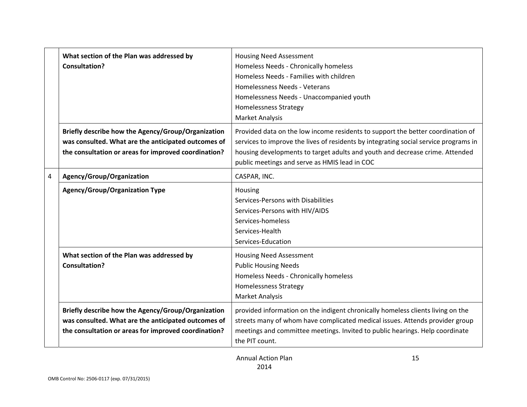|   | What section of the Plan was addressed by<br><b>Consultation?</b>                                                                                                 | <b>Housing Need Assessment</b><br>Homeless Needs - Chronically homeless<br>Homeless Needs - Families with children<br>Homelessness Needs - Veterans<br>Homelessness Needs - Unaccompanied youth<br><b>Homelessness Strategy</b><br><b>Market Analysis</b>                                                |
|---|-------------------------------------------------------------------------------------------------------------------------------------------------------------------|----------------------------------------------------------------------------------------------------------------------------------------------------------------------------------------------------------------------------------------------------------------------------------------------------------|
|   | Briefly describe how the Agency/Group/Organization<br>was consulted. What are the anticipated outcomes of<br>the consultation or areas for improved coordination? | Provided data on the low income residents to support the better coordination of<br>services to improve the lives of residents by integrating social service programs in<br>housing developments to target adults and youth and decrease crime. Attended<br>public meetings and serve as HMIS lead in COC |
| 4 | Agency/Group/Organization                                                                                                                                         | CASPAR, INC.                                                                                                                                                                                                                                                                                             |
|   | <b>Agency/Group/Organization Type</b>                                                                                                                             | Housing<br>Services-Persons with Disabilities<br>Services-Persons with HIV/AIDS<br>Services-homeless<br>Services-Health<br>Services-Education                                                                                                                                                            |
|   | What section of the Plan was addressed by<br><b>Consultation?</b>                                                                                                 | <b>Housing Need Assessment</b><br><b>Public Housing Needs</b><br>Homeless Needs - Chronically homeless<br><b>Homelessness Strategy</b><br><b>Market Analysis</b>                                                                                                                                         |
|   | Briefly describe how the Agency/Group/Organization<br>was consulted. What are the anticipated outcomes of<br>the consultation or areas for improved coordination? | provided information on the indigent chronically homeless clients living on the<br>streets many of whom have complicated medical issues. Attends provider group<br>meetings and committee meetings. Invited to public hearings. Help coordinate<br>the PIT count.                                        |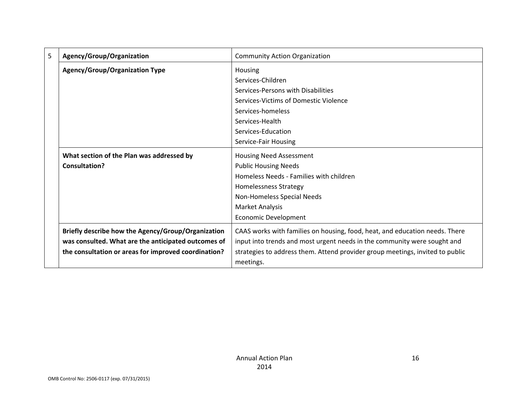| 5 | Agency/Group/Organization                            | <b>Community Action Organization</b>                                          |
|---|------------------------------------------------------|-------------------------------------------------------------------------------|
|   | <b>Agency/Group/Organization Type</b>                | Housing                                                                       |
|   |                                                      | Services-Children                                                             |
|   |                                                      | Services-Persons with Disabilities                                            |
|   |                                                      | Services-Victims of Domestic Violence                                         |
|   |                                                      | Services-homeless                                                             |
|   |                                                      | Services-Health                                                               |
|   |                                                      | Services-Education                                                            |
|   |                                                      | Service-Fair Housing                                                          |
|   | What section of the Plan was addressed by            | <b>Housing Need Assessment</b>                                                |
|   | <b>Consultation?</b>                                 | <b>Public Housing Needs</b>                                                   |
|   |                                                      | Homeless Needs - Families with children                                       |
|   |                                                      | <b>Homelessness Strategy</b>                                                  |
|   |                                                      | Non-Homeless Special Needs                                                    |
|   |                                                      | Market Analysis                                                               |
|   |                                                      | <b>Economic Development</b>                                                   |
|   | Briefly describe how the Agency/Group/Organization   | CAAS works with families on housing, food, heat, and education needs. There   |
|   | was consulted. What are the anticipated outcomes of  | input into trends and most urgent needs in the community were sought and      |
|   | the consultation or areas for improved coordination? | strategies to address them. Attend provider group meetings, invited to public |
|   |                                                      | meetings.                                                                     |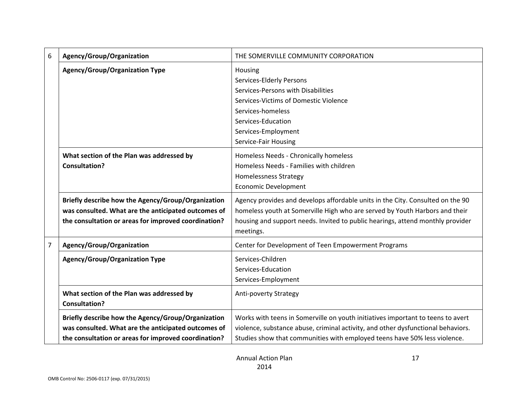| 6              | Agency/Group/Organization                                         | THE SOMERVILLE COMMUNITY CORPORATION                                             |
|----------------|-------------------------------------------------------------------|----------------------------------------------------------------------------------|
|                | <b>Agency/Group/Organization Type</b>                             | Housing                                                                          |
|                |                                                                   | Services-Elderly Persons                                                         |
|                |                                                                   | Services-Persons with Disabilities                                               |
|                |                                                                   | Services-Victims of Domestic Violence                                            |
|                |                                                                   | Services-homeless                                                                |
|                |                                                                   | Services-Education                                                               |
|                |                                                                   | Services-Employment                                                              |
|                |                                                                   | Service-Fair Housing                                                             |
|                | What section of the Plan was addressed by                         | Homeless Needs - Chronically homeless                                            |
|                | <b>Consultation?</b>                                              | Homeless Needs - Families with children                                          |
|                |                                                                   | <b>Homelessness Strategy</b>                                                     |
|                |                                                                   | <b>Economic Development</b>                                                      |
|                |                                                                   |                                                                                  |
|                | Briefly describe how the Agency/Group/Organization                | Agency provides and develops affordable units in the City. Consulted on the 90   |
|                | was consulted. What are the anticipated outcomes of               | homeless youth at Somerville High who are served by Youth Harbors and their      |
|                | the consultation or areas for improved coordination?              | housing and support needs. Invited to public hearings, attend monthly provider   |
|                |                                                                   | meetings.                                                                        |
| $\overline{7}$ | Agency/Group/Organization                                         | Center for Development of Teen Empowerment Programs                              |
|                | <b>Agency/Group/Organization Type</b>                             | Services-Children                                                                |
|                |                                                                   | Services-Education                                                               |
|                |                                                                   | Services-Employment                                                              |
|                |                                                                   |                                                                                  |
|                | What section of the Plan was addressed by<br><b>Consultation?</b> | Anti-poverty Strategy                                                            |
|                | Briefly describe how the Agency/Group/Organization                | Works with teens in Somerville on youth initiatives important to teens to avert  |
|                | was consulted. What are the anticipated outcomes of               | violence, substance abuse, criminal activity, and other dysfunctional behaviors. |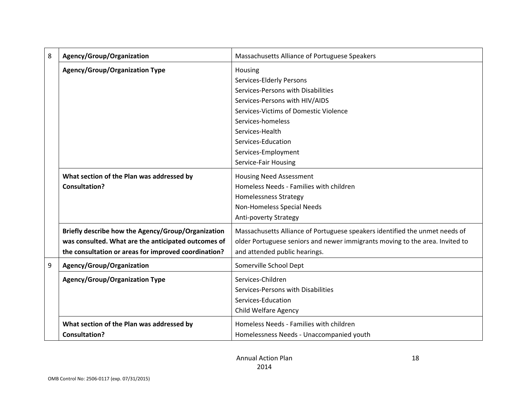| 8 | Agency/Group/Organization                            | Massachusetts Alliance of Portuguese Speakers                                |
|---|------------------------------------------------------|------------------------------------------------------------------------------|
|   | <b>Agency/Group/Organization Type</b>                | Housing                                                                      |
|   |                                                      | Services-Elderly Persons                                                     |
|   |                                                      | Services-Persons with Disabilities                                           |
|   |                                                      | Services-Persons with HIV/AIDS                                               |
|   |                                                      | Services-Victims of Domestic Violence                                        |
|   |                                                      | Services-homeless                                                            |
|   |                                                      | Services-Health                                                              |
|   |                                                      | Services-Education                                                           |
|   |                                                      | Services-Employment                                                          |
|   |                                                      | Service-Fair Housing                                                         |
|   | What section of the Plan was addressed by            | <b>Housing Need Assessment</b>                                               |
|   | <b>Consultation?</b>                                 | Homeless Needs - Families with children                                      |
|   |                                                      | <b>Homelessness Strategy</b>                                                 |
|   |                                                      | Non-Homeless Special Needs                                                   |
|   |                                                      | Anti-poverty Strategy                                                        |
|   | Briefly describe how the Agency/Group/Organization   | Massachusetts Alliance of Portuguese speakers identified the unmet needs of  |
|   | was consulted. What are the anticipated outcomes of  | older Portuguese seniors and newer immigrants moving to the area. Invited to |
|   | the consultation or areas for improved coordination? | and attended public hearings.                                                |
| 9 | Agency/Group/Organization                            | Somerville School Dept                                                       |
|   | <b>Agency/Group/Organization Type</b>                | Services-Children                                                            |
|   |                                                      | Services-Persons with Disabilities                                           |
|   |                                                      | Services-Education                                                           |
|   |                                                      | Child Welfare Agency                                                         |
|   | What section of the Plan was addressed by            | Homeless Needs - Families with children                                      |
|   | <b>Consultation?</b>                                 | Homelessness Needs - Unaccompanied youth                                     |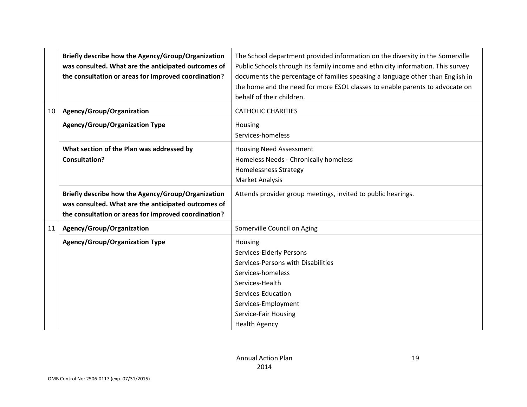|    | Briefly describe how the Agency/Group/Organization<br>was consulted. What are the anticipated outcomes of<br>the consultation or areas for improved coordination? | The School department provided information on the diversity in the Somerville<br>Public Schools through its family income and ethnicity information. This survey<br>documents the percentage of families speaking a language other than English in<br>the home and the need for more ESOL classes to enable parents to advocate on<br>behalf of their children. |
|----|-------------------------------------------------------------------------------------------------------------------------------------------------------------------|-----------------------------------------------------------------------------------------------------------------------------------------------------------------------------------------------------------------------------------------------------------------------------------------------------------------------------------------------------------------|
| 10 | Agency/Group/Organization                                                                                                                                         | <b>CATHOLIC CHARITIES</b>                                                                                                                                                                                                                                                                                                                                       |
|    | <b>Agency/Group/Organization Type</b>                                                                                                                             | Housing<br>Services-homeless                                                                                                                                                                                                                                                                                                                                    |
|    | What section of the Plan was addressed by<br><b>Consultation?</b>                                                                                                 | <b>Housing Need Assessment</b><br>Homeless Needs - Chronically homeless<br><b>Homelessness Strategy</b><br><b>Market Analysis</b>                                                                                                                                                                                                                               |
|    | Briefly describe how the Agency/Group/Organization<br>was consulted. What are the anticipated outcomes of<br>the consultation or areas for improved coordination? | Attends provider group meetings, invited to public hearings.                                                                                                                                                                                                                                                                                                    |
| 11 | Agency/Group/Organization                                                                                                                                         | Somerville Council on Aging                                                                                                                                                                                                                                                                                                                                     |
|    | <b>Agency/Group/Organization Type</b>                                                                                                                             | Housing<br>Services-Elderly Persons<br>Services-Persons with Disabilities<br>Services-homeless<br>Services-Health<br>Services-Education<br>Services-Employment<br>Service-Fair Housing<br><b>Health Agency</b>                                                                                                                                                  |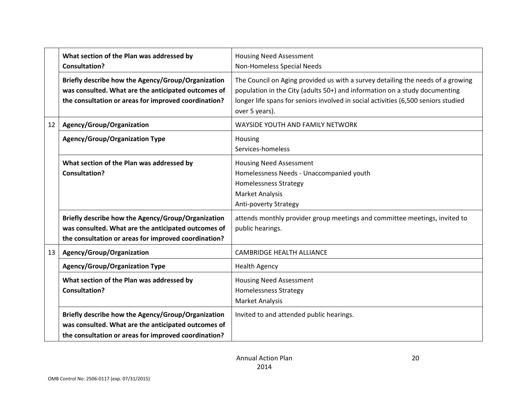|    | What section of the Plan was addressed by<br><b>Consultation?</b>                                                                                                 | <b>Housing Need Assessment</b><br>Non-Homeless Special Needs                                                                                                                                                                                                          |
|----|-------------------------------------------------------------------------------------------------------------------------------------------------------------------|-----------------------------------------------------------------------------------------------------------------------------------------------------------------------------------------------------------------------------------------------------------------------|
|    | Briefly describe how the Agency/Group/Organization<br>was consulted. What are the anticipated outcomes of<br>the consultation or areas for improved coordination? | The Council on Aging provided us with a survey detailing the needs of a growing<br>population in the City (adults 50+) and information on a study documenting<br>longer life spans for seniors involved in social activities (6,500 seniors studied<br>over 5 years). |
| 12 | Agency/Group/Organization                                                                                                                                         | WAYSIDE YOUTH AND FAMILY NETWORK                                                                                                                                                                                                                                      |
|    | <b>Agency/Group/Organization Type</b>                                                                                                                             | Housing<br>Services-homeless                                                                                                                                                                                                                                          |
|    | What section of the Plan was addressed by<br><b>Consultation?</b>                                                                                                 | <b>Housing Need Assessment</b><br>Homelessness Needs - Unaccompanied youth<br><b>Homelessness Strategy</b><br><b>Market Analysis</b><br>Anti-poverty Strategy                                                                                                         |
|    | Briefly describe how the Agency/Group/Organization<br>was consulted. What are the anticipated outcomes of<br>the consultation or areas for improved coordination? | attends monthly provider group meetings and committee meetings, invited to<br>public hearings.                                                                                                                                                                        |
| 13 | Agency/Group/Organization                                                                                                                                         | <b>CAMBRIDGE HEALTH ALLIANCE</b>                                                                                                                                                                                                                                      |
|    | <b>Agency/Group/Organization Type</b>                                                                                                                             | <b>Health Agency</b>                                                                                                                                                                                                                                                  |
|    | What section of the Plan was addressed by<br><b>Consultation?</b>                                                                                                 | <b>Housing Need Assessment</b><br><b>Homelessness Strategy</b><br><b>Market Analysis</b>                                                                                                                                                                              |
|    | Briefly describe how the Agency/Group/Organization<br>was consulted. What are the anticipated outcomes of<br>the consultation or areas for improved coordination? | Invited to and attended public hearings.                                                                                                                                                                                                                              |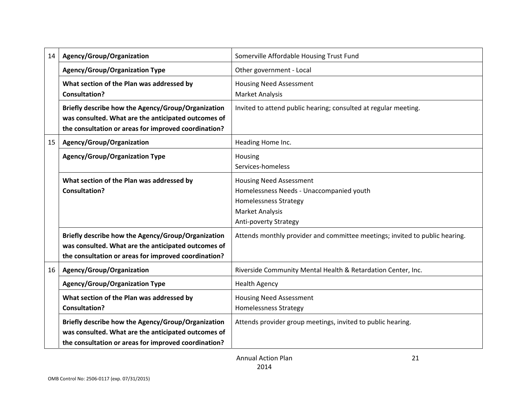| 14 | Agency/Group/Organization                                                                                                                                         | Somerville Affordable Housing Trust Fund                                                                                                                             |
|----|-------------------------------------------------------------------------------------------------------------------------------------------------------------------|----------------------------------------------------------------------------------------------------------------------------------------------------------------------|
|    | <b>Agency/Group/Organization Type</b>                                                                                                                             | Other government - Local                                                                                                                                             |
|    | What section of the Plan was addressed by<br><b>Consultation?</b>                                                                                                 | <b>Housing Need Assessment</b><br><b>Market Analysis</b>                                                                                                             |
|    | Briefly describe how the Agency/Group/Organization<br>was consulted. What are the anticipated outcomes of<br>the consultation or areas for improved coordination? | Invited to attend public hearing; consulted at regular meeting.                                                                                                      |
| 15 | Agency/Group/Organization                                                                                                                                         | Heading Home Inc.                                                                                                                                                    |
|    | <b>Agency/Group/Organization Type</b>                                                                                                                             | Housing<br>Services-homeless                                                                                                                                         |
|    | What section of the Plan was addressed by<br><b>Consultation?</b>                                                                                                 | <b>Housing Need Assessment</b><br>Homelessness Needs - Unaccompanied youth<br><b>Homelessness Strategy</b><br><b>Market Analysis</b><br><b>Anti-poverty Strategy</b> |
|    | Briefly describe how the Agency/Group/Organization<br>was consulted. What are the anticipated outcomes of<br>the consultation or areas for improved coordination? | Attends monthly provider and committee meetings; invited to public hearing.                                                                                          |
| 16 | Agency/Group/Organization                                                                                                                                         | Riverside Community Mental Health & Retardation Center, Inc.                                                                                                         |
|    | <b>Agency/Group/Organization Type</b>                                                                                                                             | <b>Health Agency</b>                                                                                                                                                 |
|    | What section of the Plan was addressed by<br><b>Consultation?</b>                                                                                                 | <b>Housing Need Assessment</b><br><b>Homelessness Strategy</b>                                                                                                       |
|    | Briefly describe how the Agency/Group/Organization<br>was consulted. What are the anticipated outcomes of<br>the consultation or areas for improved coordination? | Attends provider group meetings, invited to public hearing.                                                                                                          |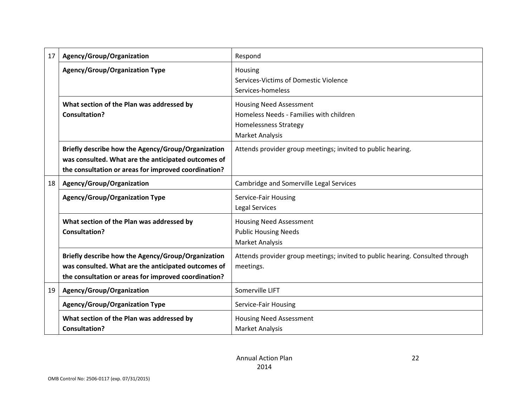| 17 | Agency/Group/Organization                                                                                                                                         | Respond                                                                                                                             |
|----|-------------------------------------------------------------------------------------------------------------------------------------------------------------------|-------------------------------------------------------------------------------------------------------------------------------------|
|    | <b>Agency/Group/Organization Type</b>                                                                                                                             | Housing<br>Services-Victims of Domestic Violence<br>Services-homeless                                                               |
|    | What section of the Plan was addressed by<br><b>Consultation?</b>                                                                                                 | <b>Housing Need Assessment</b><br>Homeless Needs - Families with children<br><b>Homelessness Strategy</b><br><b>Market Analysis</b> |
|    | Briefly describe how the Agency/Group/Organization<br>was consulted. What are the anticipated outcomes of<br>the consultation or areas for improved coordination? | Attends provider group meetings; invited to public hearing.                                                                         |
| 18 | Agency/Group/Organization                                                                                                                                         | Cambridge and Somerville Legal Services                                                                                             |
|    | <b>Agency/Group/Organization Type</b>                                                                                                                             | Service-Fair Housing<br><b>Legal Services</b>                                                                                       |
|    | What section of the Plan was addressed by<br><b>Consultation?</b>                                                                                                 | <b>Housing Need Assessment</b><br><b>Public Housing Needs</b><br><b>Market Analysis</b>                                             |
|    | Briefly describe how the Agency/Group/Organization<br>was consulted. What are the anticipated outcomes of<br>the consultation or areas for improved coordination? | Attends provider group meetings; invited to public hearing. Consulted through<br>meetings.                                          |
| 19 | Agency/Group/Organization                                                                                                                                         | Somerville LIFT                                                                                                                     |
|    | <b>Agency/Group/Organization Type</b>                                                                                                                             | Service-Fair Housing                                                                                                                |
|    | What section of the Plan was addressed by<br><b>Consultation?</b>                                                                                                 | <b>Housing Need Assessment</b><br><b>Market Analysis</b>                                                                            |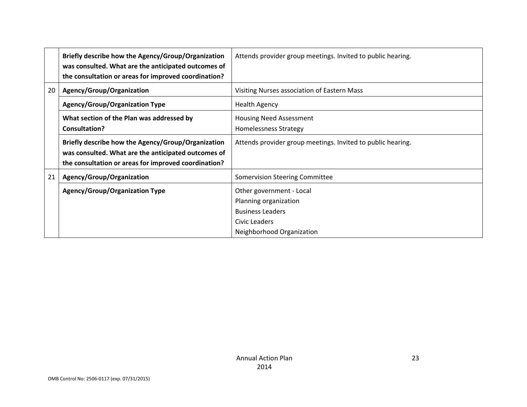|    | Briefly describe how the Agency/Group/Organization<br>was consulted. What are the anticipated outcomes of | Attends provider group meetings. Invited to public hearing. |
|----|-----------------------------------------------------------------------------------------------------------|-------------------------------------------------------------|
|    | the consultation or areas for improved coordination?                                                      |                                                             |
| 20 | Agency/Group/Organization                                                                                 | Visiting Nurses association of Eastern Mass                 |
|    | <b>Agency/Group/Organization Type</b>                                                                     | <b>Health Agency</b>                                        |
|    | What section of the Plan was addressed by                                                                 | <b>Housing Need Assessment</b>                              |
|    | <b>Consultation?</b>                                                                                      | <b>Homelessness Strategy</b>                                |
|    | Briefly describe how the Agency/Group/Organization                                                        | Attends provider group meetings. Invited to public hearing. |
|    | was consulted. What are the anticipated outcomes of                                                       |                                                             |
|    | the consultation or areas for improved coordination?                                                      |                                                             |
| 21 | Agency/Group/Organization                                                                                 | <b>Somervision Steering Committee</b>                       |
|    | <b>Agency/Group/Organization Type</b>                                                                     | Other government - Local                                    |
|    |                                                                                                           | Planning organization                                       |
|    |                                                                                                           | <b>Business Leaders</b>                                     |
|    |                                                                                                           | Civic Leaders                                               |
|    |                                                                                                           | Neighborhood Organization                                   |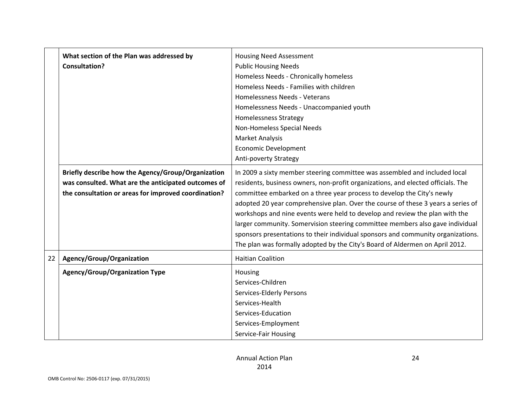|    | What section of the Plan was addressed by            | <b>Housing Need Assessment</b>                                                   |  |  |  |  |
|----|------------------------------------------------------|----------------------------------------------------------------------------------|--|--|--|--|
|    | <b>Consultation?</b>                                 | <b>Public Housing Needs</b>                                                      |  |  |  |  |
|    |                                                      | Homeless Needs - Chronically homeless                                            |  |  |  |  |
|    |                                                      | Homeless Needs - Families with children                                          |  |  |  |  |
|    |                                                      | Homelessness Needs - Veterans                                                    |  |  |  |  |
|    |                                                      | Homelessness Needs - Unaccompanied youth                                         |  |  |  |  |
|    |                                                      | <b>Homelessness Strategy</b>                                                     |  |  |  |  |
|    |                                                      | Non-Homeless Special Needs                                                       |  |  |  |  |
|    |                                                      | <b>Market Analysis</b>                                                           |  |  |  |  |
|    |                                                      | <b>Economic Development</b>                                                      |  |  |  |  |
|    |                                                      | <b>Anti-poverty Strategy</b>                                                     |  |  |  |  |
|    | Briefly describe how the Agency/Group/Organization   | In 2009 a sixty member steering committee was assembled and included local       |  |  |  |  |
|    | was consulted. What are the anticipated outcomes of  | residents, business owners, non-profit organizations, and elected officials. The |  |  |  |  |
|    | the consultation or areas for improved coordination? | committee embarked on a three year process to develop the City's newly           |  |  |  |  |
|    |                                                      | adopted 20 year comprehensive plan. Over the course of these 3 years a series of |  |  |  |  |
|    |                                                      | workshops and nine events were held to develop and review the plan with the      |  |  |  |  |
|    |                                                      | larger community. Somervision steering committee members also gave individual    |  |  |  |  |
|    |                                                      | sponsors presentations to their individual sponsors and community organizations. |  |  |  |  |
|    |                                                      | The plan was formally adopted by the City's Board of Aldermen on April 2012.     |  |  |  |  |
| 22 | Agency/Group/Organization                            | <b>Haitian Coalition</b>                                                         |  |  |  |  |
|    | <b>Agency/Group/Organization Type</b>                | Housing                                                                          |  |  |  |  |
|    |                                                      | Services-Children                                                                |  |  |  |  |
|    |                                                      | Services-Elderly Persons                                                         |  |  |  |  |
|    |                                                      | Services-Health                                                                  |  |  |  |  |
|    |                                                      | Services-Education                                                               |  |  |  |  |
|    |                                                      | Services-Employment                                                              |  |  |  |  |
|    |                                                      | Service-Fair Housing                                                             |  |  |  |  |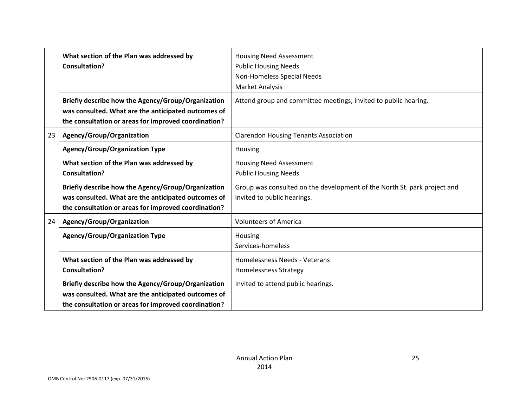|    | What section of the Plan was addressed by<br><b>Consultation?</b>                                                                                                 | <b>Housing Need Assessment</b><br><b>Public Housing Needs</b><br>Non-Homeless Special Needs<br><b>Market Analysis</b> |  |  |  |
|----|-------------------------------------------------------------------------------------------------------------------------------------------------------------------|-----------------------------------------------------------------------------------------------------------------------|--|--|--|
|    | Briefly describe how the Agency/Group/Organization<br>was consulted. What are the anticipated outcomes of<br>the consultation or areas for improved coordination? | Attend group and committee meetings; invited to public hearing.                                                       |  |  |  |
| 23 | Agency/Group/Organization                                                                                                                                         | <b>Clarendon Housing Tenants Association</b>                                                                          |  |  |  |
|    | <b>Agency/Group/Organization Type</b>                                                                                                                             | Housing                                                                                                               |  |  |  |
|    | What section of the Plan was addressed by<br><b>Consultation?</b>                                                                                                 | <b>Housing Need Assessment</b><br><b>Public Housing Needs</b>                                                         |  |  |  |
|    | Briefly describe how the Agency/Group/Organization<br>was consulted. What are the anticipated outcomes of<br>the consultation or areas for improved coordination? | Group was consulted on the development of the North St. park project and<br>invited to public hearings.               |  |  |  |
| 24 | Agency/Group/Organization                                                                                                                                         | <b>Volunteers of America</b>                                                                                          |  |  |  |
|    | <b>Agency/Group/Organization Type</b>                                                                                                                             | Housing<br>Services-homeless                                                                                          |  |  |  |
|    | What section of the Plan was addressed by<br>Consultation?                                                                                                        | Homelessness Needs - Veterans<br><b>Homelessness Strategy</b>                                                         |  |  |  |
|    | Briefly describe how the Agency/Group/Organization<br>was consulted. What are the anticipated outcomes of<br>the consultation or areas for improved coordination? | Invited to attend public hearings.                                                                                    |  |  |  |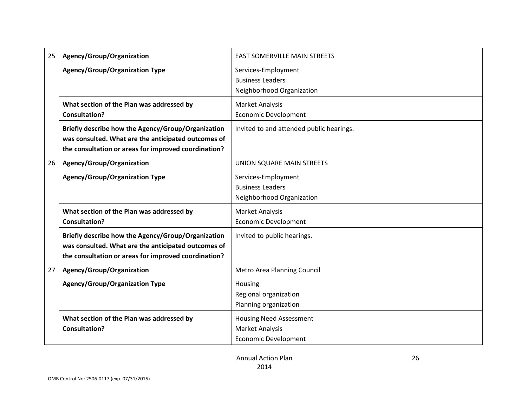| 25 | Agency/Group/Organization                                                                                                                                         | <b>EAST SOMERVILLE MAIN STREETS</b>                                                     |  |  |  |  |
|----|-------------------------------------------------------------------------------------------------------------------------------------------------------------------|-----------------------------------------------------------------------------------------|--|--|--|--|
|    | <b>Agency/Group/Organization Type</b>                                                                                                                             | Services-Employment<br><b>Business Leaders</b><br>Neighborhood Organization             |  |  |  |  |
|    | What section of the Plan was addressed by<br><b>Consultation?</b>                                                                                                 | <b>Market Analysis</b><br><b>Economic Development</b>                                   |  |  |  |  |
|    | Briefly describe how the Agency/Group/Organization<br>was consulted. What are the anticipated outcomes of<br>the consultation or areas for improved coordination? | Invited to and attended public hearings.                                                |  |  |  |  |
| 26 | Agency/Group/Organization                                                                                                                                         | UNION SQUARE MAIN STREETS                                                               |  |  |  |  |
|    | <b>Agency/Group/Organization Type</b>                                                                                                                             | Services-Employment<br><b>Business Leaders</b><br>Neighborhood Organization             |  |  |  |  |
|    | What section of the Plan was addressed by<br><b>Consultation?</b>                                                                                                 | <b>Market Analysis</b><br><b>Economic Development</b>                                   |  |  |  |  |
|    | Briefly describe how the Agency/Group/Organization<br>was consulted. What are the anticipated outcomes of<br>the consultation or areas for improved coordination? | Invited to public hearings.                                                             |  |  |  |  |
| 27 | Agency/Group/Organization                                                                                                                                         | <b>Metro Area Planning Council</b>                                                      |  |  |  |  |
|    | <b>Agency/Group/Organization Type</b>                                                                                                                             | Housing<br>Regional organization<br>Planning organization                               |  |  |  |  |
|    | What section of the Plan was addressed by<br><b>Consultation?</b>                                                                                                 | <b>Housing Need Assessment</b><br><b>Market Analysis</b><br><b>Economic Development</b> |  |  |  |  |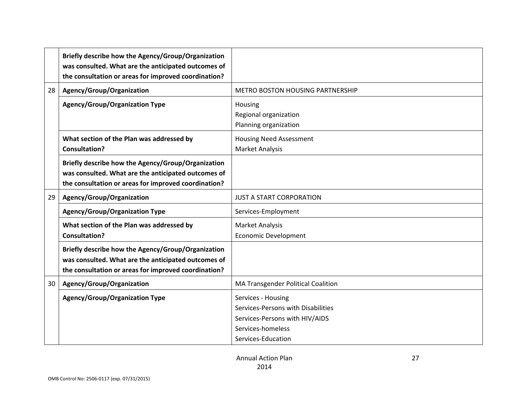|    | Briefly describe how the Agency/Group/Organization<br>was consulted. What are the anticipated outcomes of<br>the consultation or areas for improved coordination? |                                                                                                                                       |  |  |  |  |
|----|-------------------------------------------------------------------------------------------------------------------------------------------------------------------|---------------------------------------------------------------------------------------------------------------------------------------|--|--|--|--|
| 28 | Agency/Group/Organization                                                                                                                                         | METRO BOSTON HOUSING PARTNERSHIP                                                                                                      |  |  |  |  |
|    | <b>Agency/Group/Organization Type</b>                                                                                                                             | Housing<br>Regional organization<br>Planning organization                                                                             |  |  |  |  |
|    | What section of the Plan was addressed by<br><b>Consultation?</b>                                                                                                 | <b>Housing Need Assessment</b><br><b>Market Analysis</b>                                                                              |  |  |  |  |
|    | Briefly describe how the Agency/Group/Organization<br>was consulted. What are the anticipated outcomes of<br>the consultation or areas for improved coordination? |                                                                                                                                       |  |  |  |  |
| 29 | Agency/Group/Organization                                                                                                                                         | <b>JUST A START CORPORATION</b>                                                                                                       |  |  |  |  |
|    | <b>Agency/Group/Organization Type</b>                                                                                                                             | Services-Employment                                                                                                                   |  |  |  |  |
|    | What section of the Plan was addressed by<br><b>Consultation?</b>                                                                                                 | <b>Market Analysis</b><br><b>Economic Development</b>                                                                                 |  |  |  |  |
|    | Briefly describe how the Agency/Group/Organization<br>was consulted. What are the anticipated outcomes of<br>the consultation or areas for improved coordination? |                                                                                                                                       |  |  |  |  |
| 30 | Agency/Group/Organization                                                                                                                                         | MA Transgender Political Coalition                                                                                                    |  |  |  |  |
|    | <b>Agency/Group/Organization Type</b>                                                                                                                             | Services - Housing<br>Services-Persons with Disabilities<br>Services-Persons with HIV/AIDS<br>Services-homeless<br>Services-Education |  |  |  |  |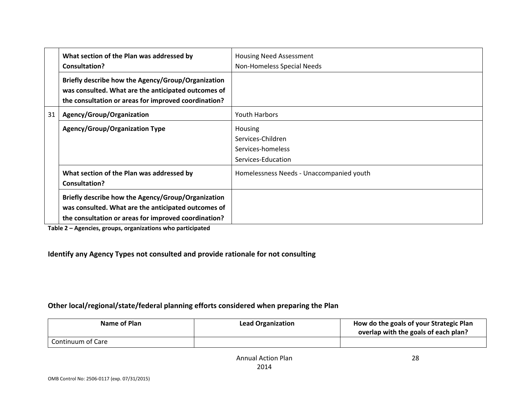|    | What section of the Plan was addressed by<br><b>Consultation?</b>                                                                                                 | <b>Housing Need Assessment</b><br>Non-Homeless Special Needs                   |  |  |  |
|----|-------------------------------------------------------------------------------------------------------------------------------------------------------------------|--------------------------------------------------------------------------------|--|--|--|
|    | Briefly describe how the Agency/Group/Organization<br>was consulted. What are the anticipated outcomes of<br>the consultation or areas for improved coordination? |                                                                                |  |  |  |
| 31 | Agency/Group/Organization                                                                                                                                         | Youth Harbors                                                                  |  |  |  |
|    | <b>Agency/Group/Organization Type</b>                                                                                                                             | <b>Housing</b><br>Services-Children<br>Services-homeless<br>Services-Education |  |  |  |
|    | What section of the Plan was addressed by<br>Consultation?                                                                                                        | Homelessness Needs - Unaccompanied youth                                       |  |  |  |
|    | Briefly describe how the Agency/Group/Organization<br>was consulted. What are the anticipated outcomes of<br>the consultation or areas for improved coordination? |                                                                                |  |  |  |

**Table 2 – Agencies, groups, organizations who participated**

**Identify any Agency Types not consulted and provide rationale for not consulting**

#### **Other local/regional/state/federal planning efforts considered when preparing the Plan**

| Name of Plan      | <b>Lead Organization</b> | How do the goals of your Strategic Plan<br>overlap with the goals of each plan? |
|-------------------|--------------------------|---------------------------------------------------------------------------------|
| Continuum of Care |                          |                                                                                 |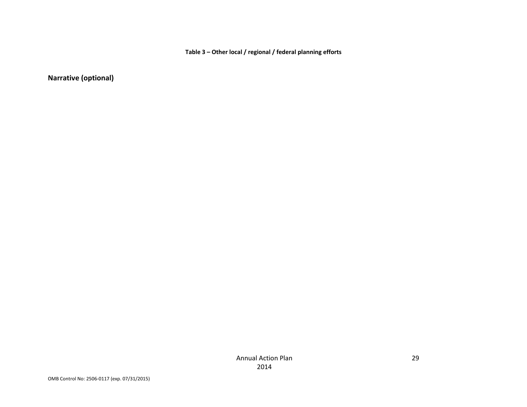**Table 3 – Other local / regional / federal planning efforts**

**Narrative (optional)**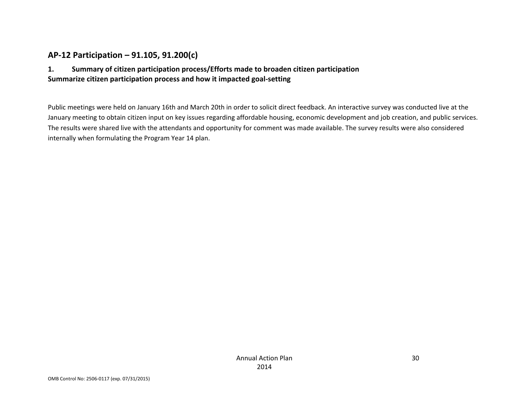### **AP‐12 Participation – 91.105, 91.200(c)**

#### **1. Summary of citizen participation process/Efforts made to broaden citizen participation Summarize citizen participation process and how it impacted goal‐setting**

Public meetings were held on January 16th and March 20th in order to solicit direct feedback. An interactive survey was conducted live at the January meeting to obtain citizen input on key issues regarding affordable housing, economic development and job creation, and public services. The results were shared live with the attendants and opportunity for comment was made available. The survey results were also considered internally when formulating the Program Year 14 plan.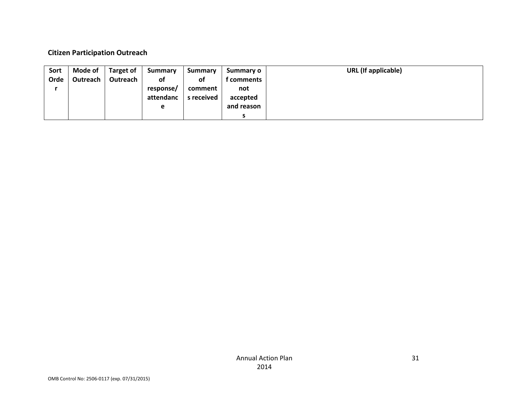#### **Citizen Participation Outreach**

| Sort | Mode of  | <b>Target of</b> | <b>Summary</b> | <b>Summary</b> | Summary o  | <b>URL</b> (If applicable) |
|------|----------|------------------|----------------|----------------|------------|----------------------------|
| Orde | Outreach | Outreach         | of             | οf             | f comments |                            |
|      |          |                  | response/      | comment        | not        |                            |
|      |          |                  | attendanc      | s received     | accepted   |                            |
|      |          |                  | е              |                | and reason |                            |
|      |          |                  |                |                |            |                            |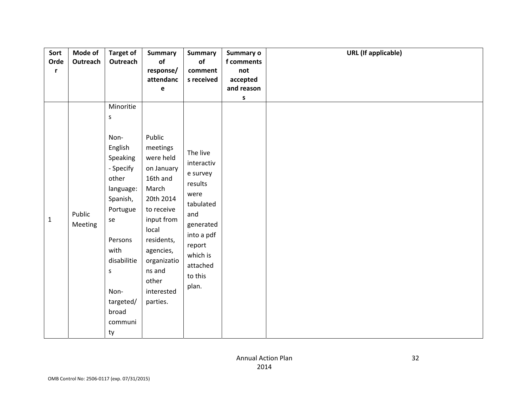| Sort         | Mode of           | <b>Target of</b>                                                                                                                                                                         | <b>Summary</b>                                                                                                                                                                                              | <b>Summary</b>                                                                                                                                             | Summary o              | <b>URL</b> (If applicable) |
|--------------|-------------------|------------------------------------------------------------------------------------------------------------------------------------------------------------------------------------------|-------------------------------------------------------------------------------------------------------------------------------------------------------------------------------------------------------------|------------------------------------------------------------------------------------------------------------------------------------------------------------|------------------------|----------------------------|
| Orde         | Outreach          | Outreach                                                                                                                                                                                 | of                                                                                                                                                                                                          | of                                                                                                                                                         | f comments             |                            |
| r            |                   |                                                                                                                                                                                          | response/                                                                                                                                                                                                   | comment                                                                                                                                                    | not                    |                            |
|              |                   |                                                                                                                                                                                          | attendanc<br>$\mathbf e$                                                                                                                                                                                    | s received                                                                                                                                                 | accepted<br>and reason |                            |
|              |                   |                                                                                                                                                                                          |                                                                                                                                                                                                             |                                                                                                                                                            | S                      |                            |
|              |                   | Minoritie                                                                                                                                                                                |                                                                                                                                                                                                             |                                                                                                                                                            |                        |                            |
|              |                   | $\sf S$                                                                                                                                                                                  |                                                                                                                                                                                                             |                                                                                                                                                            |                        |                            |
| $\mathbf{1}$ | Public<br>Meeting | Non-<br>English<br>Speaking<br>- Specify<br>other<br>language:<br>Spanish,<br>Portugue<br>se<br>Persons<br>with<br>disabilitie<br>$\sf S$<br>Non-<br>targeted/<br>broad<br>communi<br>ty | Public<br>meetings<br>were held<br>on January<br>16th and<br>March<br>20th 2014<br>to receive<br>input from<br>local<br>residents,<br>agencies,<br>organizatio<br>ns and<br>other<br>interested<br>parties. | The live<br>interactiv<br>e survey<br>results<br>were<br>tabulated<br>and<br>generated<br>into a pdf<br>report<br>which is<br>attached<br>to this<br>plan. |                        |                            |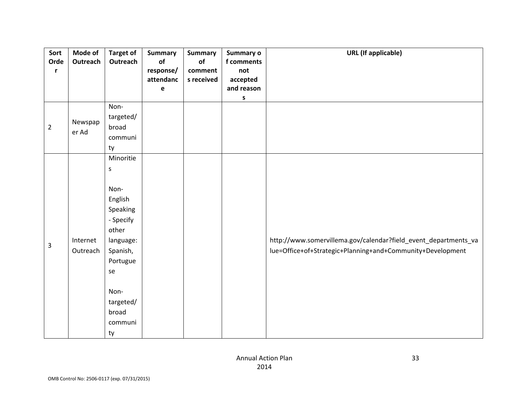| Sort<br>Orde<br>r | Mode of<br>Outreach  | <b>Target of</b><br>Outreach                                                                                                          | <b>Summary</b><br>of<br>response/<br>attendanc<br>$\mathbf e$ | <b>Summary</b><br>of<br>comment<br>s received | Summary o<br>f comments<br>not<br>accepted<br>and reason | <b>URL</b> (If applicable)                                                                                                    |
|-------------------|----------------------|---------------------------------------------------------------------------------------------------------------------------------------|---------------------------------------------------------------|-----------------------------------------------|----------------------------------------------------------|-------------------------------------------------------------------------------------------------------------------------------|
|                   |                      |                                                                                                                                       |                                                               |                                               | S                                                        |                                                                                                                               |
|                   |                      | Non-                                                                                                                                  |                                                               |                                               |                                                          |                                                                                                                               |
|                   | Newspap              | targeted/                                                                                                                             |                                                               |                                               |                                                          |                                                                                                                               |
| $\overline{2}$    | er Ad                | broad                                                                                                                                 |                                                               |                                               |                                                          |                                                                                                                               |
|                   |                      | communi                                                                                                                               |                                                               |                                               |                                                          |                                                                                                                               |
|                   |                      | ty                                                                                                                                    |                                                               |                                               |                                                          |                                                                                                                               |
|                   |                      | Minoritie                                                                                                                             |                                                               |                                               |                                                          |                                                                                                                               |
|                   |                      | S                                                                                                                                     |                                                               |                                               |                                                          |                                                                                                                               |
| 3                 | Internet<br>Outreach | Non-<br>English<br>Speaking<br>- Specify<br>other<br>language:<br>Spanish,<br>Portugue<br>se<br>Non-<br>targeted/<br>broad<br>communi |                                                               |                                               |                                                          | http://www.somervillema.gov/calendar?field_event_departments_va<br>lue=Office+of+Strategic+Planning+and+Community+Development |
|                   |                      | ty                                                                                                                                    |                                                               |                                               |                                                          |                                                                                                                               |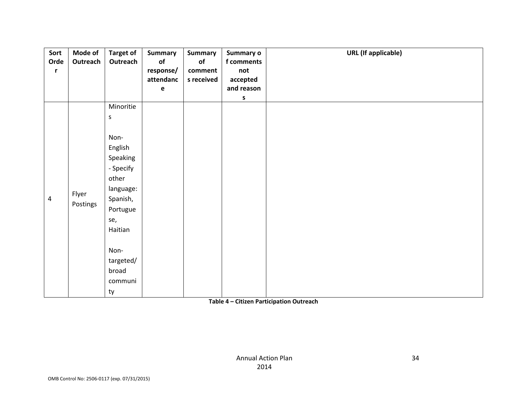| Sort<br>Orde<br>r | Mode of<br>Outreach | <b>Target of</b><br>Outreach                                                                                                                                                    | <b>Summary</b><br>of<br>response/<br>attendanc<br>$\mathbf e$ | <b>Summary</b><br>of<br>comment<br>s received | Summary o<br>f comments<br>not<br>accepted<br>and reason<br>s | <b>URL</b> (If applicable) |
|-------------------|---------------------|---------------------------------------------------------------------------------------------------------------------------------------------------------------------------------|---------------------------------------------------------------|-----------------------------------------------|---------------------------------------------------------------|----------------------------|
| $\overline{4}$    | Flyer<br>Postings   | Minoritie<br>$\sf S$<br>Non-<br>English<br>Speaking<br>- Specify<br>other<br>language:<br>Spanish,<br>Portugue<br>se,<br>Haitian<br>Non-<br>targeted/<br>broad<br>communi<br>ty |                                                               |                                               |                                                               |                            |

#### **Table 4 – Citizen Participation Outreach**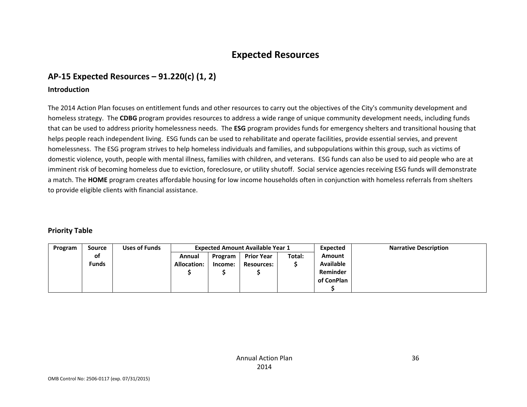# **Expected Resources**

### **AP‐15 Expected Resources – 91.220(c) (1, 2)**

#### **Introduction**

The 2014 Action Plan focuses on entitlement funds and other resources to carry out the objectives of the City's community development and homeless strategy. The **CDBG** program provides resources to address <sup>a</sup> wide range of unique community development needs, including funds that can be used to address priority homelessness needs. The **ESG** program provides funds for emergency shelters and transitional housing that helps people reach independent living. ESG funds can be used to rehabilitate and operate facilities, provide essential servies, and prevent homelessness. The ESG program strives to help homeless individuals and families, and subpopulations within this group, such as victims of domestic violence, youth, people with mental illness, families with children, and veterans. ESG funds can also be used to aid people who are at imminent risk of becoming homeless due to eviction, foreclosure, or utility shutoff. Social service agencies receiving ESG funds will demonstrate a match. The **HOME** program creates affordable housing for low income households often in conjunction with homeless referrals from shelters to provide eligible clients with financial assistance.

#### **Priority Table**

| Program | <b>Source</b> | <b>Uses of Funds</b> |                    |         | <b>Expected Amount Available Year 1</b> |        | Expected         | <b>Narrative Description</b> |
|---------|---------------|----------------------|--------------------|---------|-----------------------------------------|--------|------------------|------------------------------|
|         | of            |                      | Annual             | Program | <b>Prior Year</b>                       | Total: | Amount           |                              |
|         | <b>Funds</b>  |                      | <b>Allocation:</b> | Income: | <b>Resources:</b>                       |        | <b>Available</b> |                              |
|         |               |                      |                    |         |                                         |        | Reminder         |                              |
|         |               |                      |                    |         |                                         |        | of ConPlan       |                              |
|         |               |                      |                    |         |                                         |        |                  |                              |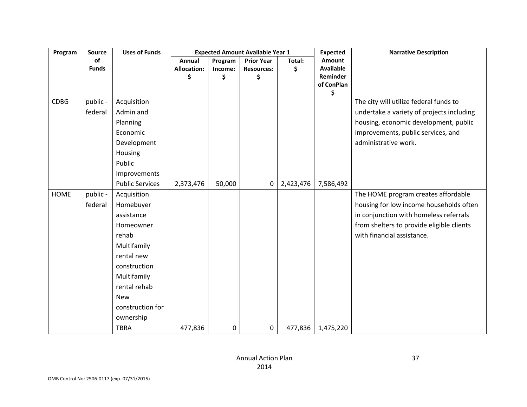| Program     | Source              | <b>Uses of Funds</b>                                                                                                           |                    |         | <b>Expected Amount Available Year 1</b> |           | <b>Expected</b>  | <b>Narrative Description</b>                                                                                                                                                               |
|-------------|---------------------|--------------------------------------------------------------------------------------------------------------------------------|--------------------|---------|-----------------------------------------|-----------|------------------|--------------------------------------------------------------------------------------------------------------------------------------------------------------------------------------------|
|             | of                  |                                                                                                                                | Annual             | Program | <b>Prior Year</b>                       | Total:    | Amount           |                                                                                                                                                                                            |
|             | <b>Funds</b>        |                                                                                                                                | <b>Allocation:</b> | Income: | <b>Resources:</b>                       | \$        | <b>Available</b> |                                                                                                                                                                                            |
|             |                     |                                                                                                                                | \$                 | \$      | \$                                      |           | Reminder         |                                                                                                                                                                                            |
|             |                     |                                                                                                                                |                    |         |                                         |           | of ConPlan<br>\$ |                                                                                                                                                                                            |
| <b>CDBG</b> | public -<br>federal | Acquisition<br>Admin and<br>Planning<br>Economic<br>Development<br>Housing<br>Public<br>Improvements<br><b>Public Services</b> | 2,373,476          | 50,000  | $\mathbf 0$                             | 2,423,476 | 7,586,492        | The city will utilize federal funds to<br>undertake a variety of projects including<br>housing, economic development, public<br>improvements, public services, and<br>administrative work. |
| <b>HOME</b> | public -            | Acquisition                                                                                                                    |                    |         |                                         |           |                  | The HOME program creates affordable                                                                                                                                                        |
|             | federal             | Homebuyer                                                                                                                      |                    |         |                                         |           |                  | housing for low income households often                                                                                                                                                    |
|             |                     | assistance                                                                                                                     |                    |         |                                         |           |                  | in conjunction with homeless referrals                                                                                                                                                     |
|             |                     | Homeowner                                                                                                                      |                    |         |                                         |           |                  | from shelters to provide eligible clients                                                                                                                                                  |
|             |                     | rehab                                                                                                                          |                    |         |                                         |           |                  | with financial assistance.                                                                                                                                                                 |
|             |                     | Multifamily                                                                                                                    |                    |         |                                         |           |                  |                                                                                                                                                                                            |
|             |                     | rental new                                                                                                                     |                    |         |                                         |           |                  |                                                                                                                                                                                            |
|             |                     | construction                                                                                                                   |                    |         |                                         |           |                  |                                                                                                                                                                                            |
|             |                     | Multifamily                                                                                                                    |                    |         |                                         |           |                  |                                                                                                                                                                                            |
|             |                     | rental rehab                                                                                                                   |                    |         |                                         |           |                  |                                                                                                                                                                                            |
|             |                     | <b>New</b>                                                                                                                     |                    |         |                                         |           |                  |                                                                                                                                                                                            |
|             |                     | construction for                                                                                                               |                    |         |                                         |           |                  |                                                                                                                                                                                            |
|             |                     | ownership                                                                                                                      |                    |         |                                         |           |                  |                                                                                                                                                                                            |
|             |                     | <b>TBRA</b>                                                                                                                    | 477,836            | 0       | $\mathbf 0$                             | 477,836   | 1,475,220        |                                                                                                                                                                                            |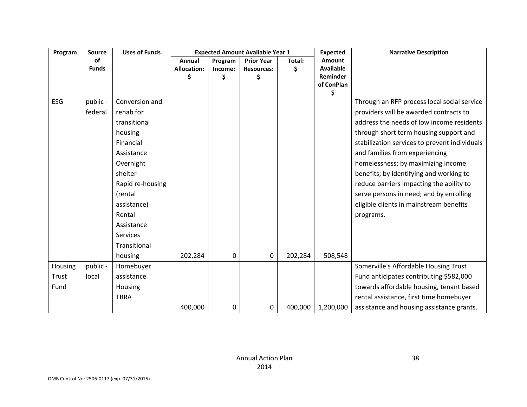| Program | Source       | <b>Uses of Funds</b> |                    | <b>Expected Amount Available Year 1</b> |                   | <b>Expected</b> | <b>Narrative Description</b> |                                               |
|---------|--------------|----------------------|--------------------|-----------------------------------------|-------------------|-----------------|------------------------------|-----------------------------------------------|
|         | of           |                      | Annual             | Program                                 | <b>Prior Year</b> | Total:          | <b>Amount</b>                |                                               |
|         | <b>Funds</b> |                      | <b>Allocation:</b> | Income:                                 | <b>Resources:</b> | Ś               | <b>Available</b>             |                                               |
|         |              |                      |                    | \$                                      | \$                |                 | Reminder<br>of ConPlan       |                                               |
|         |              |                      |                    |                                         |                   |                 | \$                           |                                               |
| ESG     | public -     | Conversion and       |                    |                                         |                   |                 |                              | Through an RFP process local social service   |
|         | federal      | rehab for            |                    |                                         |                   |                 |                              | providers will be awarded contracts to        |
|         |              | transitional         |                    |                                         |                   |                 |                              | address the needs of low income residents     |
|         |              | housing              |                    |                                         |                   |                 |                              | through short term housing support and        |
|         |              | Financial            |                    |                                         |                   |                 |                              | stabilization services to prevent individuals |
|         |              | Assistance           |                    |                                         |                   |                 |                              | and families from experiencing                |
|         |              | Overnight            |                    |                                         |                   |                 |                              | homelessness; by maximizing income            |
|         |              | shelter              |                    |                                         |                   |                 |                              | benefits; by identifying and working to       |
|         |              | Rapid re-housing     |                    |                                         |                   |                 |                              | reduce barriers impacting the ability to      |
|         |              | (rental              |                    |                                         |                   |                 |                              | serve persons in need; and by enrolling       |
|         |              | assistance)          |                    |                                         |                   |                 |                              | eligible clients in mainstream benefits       |
|         |              | Rental               |                    |                                         |                   |                 |                              | programs.                                     |
|         |              | Assistance           |                    |                                         |                   |                 |                              |                                               |
|         |              | <b>Services</b>      |                    |                                         |                   |                 |                              |                                               |
|         |              | Transitional         |                    |                                         |                   |                 |                              |                                               |
|         |              | housing              | 202,284            | 0                                       | 0                 | 202,284         | 508,548                      |                                               |
| Housing | public -     | Homebuyer            |                    |                                         |                   |                 |                              | Somerville's Affordable Housing Trust         |
| Trust   | local        | assistance           |                    |                                         |                   |                 |                              | Fund anticipates contributing \$582,000       |
| Fund    |              | Housing              |                    |                                         |                   |                 |                              | towards affordable housing, tenant based      |
|         |              | <b>TBRA</b>          |                    |                                         |                   |                 |                              | rental assistance, first time homebuyer       |
|         |              |                      | 400,000            | 0                                       | 0                 | 400,000         | 1,200,000                    | assistance and housing assistance grants.     |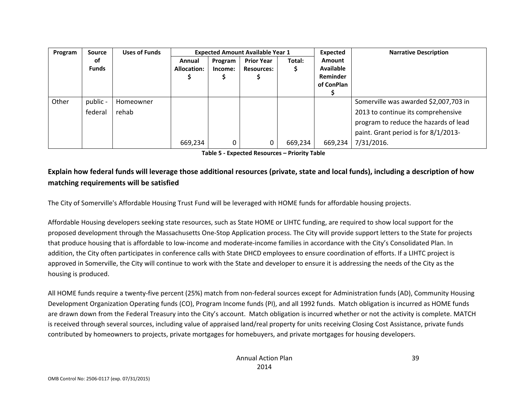| Program | <b>Source</b> | <b>Uses of Funds</b> |             | <b>Expected Amount Available Year 1</b> |                   | Expected | <b>Narrative Description</b> |                                       |
|---------|---------------|----------------------|-------------|-----------------------------------------|-------------------|----------|------------------------------|---------------------------------------|
|         | оf            |                      | Annual      | Program                                 | <b>Prior Year</b> | Total:   | <b>Amount</b>                |                                       |
|         | <b>Funds</b>  |                      | Allocation: | Income:                                 | <b>Resources:</b> |          | <b>Available</b>             |                                       |
|         |               |                      |             |                                         |                   |          | Reminder                     |                                       |
|         |               |                      |             |                                         |                   |          | of ConPlan                   |                                       |
|         |               |                      |             |                                         |                   |          |                              |                                       |
| Other   | public -      | Homeowner            |             |                                         |                   |          |                              | Somerville was awarded \$2,007,703 in |
|         | federal       | rehab                |             |                                         |                   |          |                              | 2013 to continue its comprehensive    |
|         |               |                      |             |                                         |                   |          |                              | program to reduce the hazards of lead |
|         |               |                      |             |                                         |                   |          |                              | paint. Grant period is for 8/1/2013-  |
|         |               |                      | 669,234     |                                         | 0                 | 669,234  | 669,234                      | 7/31/2016.                            |

**Table 5 ‐ Expected Resources – Priority Table**

## Explain how federal funds will leverage those additional resources (private, state and local funds), including a description of how **matching requirements will be satisfied**

The City of Somerville's Affordable Housing Trust Fund will be leveraged with HOME funds for affordable housing projects.

Affordable Housing developers seeking state resources, such as State HOME or LIHTC funding, are required to show local support for the proposed development through the Massachusetts One‐Stop Application process. The City will provide support letters to the State for projects that produce housing that is affordable to low‐income and moderate‐income families in accordance with the City's Consolidated Plan. In addition, the City often participates in conference calls with State DHCD employees to ensure coordination of efforts. If <sup>a</sup> LIHTC project is approved in Somerville, the City will continue to work with the State and developer to ensure it is addressing the needs of the City as the housing is produced.

All HOME funds require <sup>a</sup> twenty‐five percent (25%) match from non‐federal sources except for Administration funds (AD), Community Housing Development Organization Operating funds (CO), Program Income funds (PI), and all 1992 funds. Match obligation is incurred as HOME funds are drawn down from the Federal Treasury into the City's account. Match obligation is incurred whether or not the activity is complete. MATCH is received through several sources, including value of appraised land/real property for units receiving Closing Cost Assistance, private funds contributed by homeowners to projects, private mortgages for homebuyers, and private mortgages for housing developers.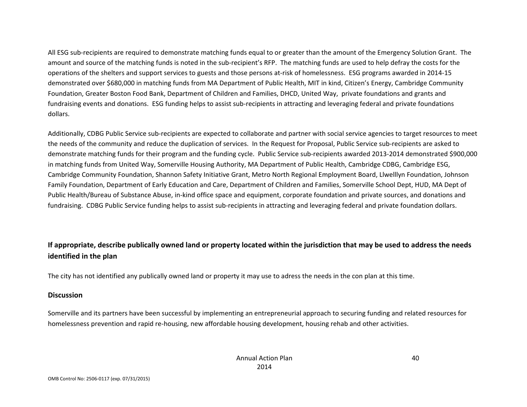All ESG sub‐recipients are required to demonstrate matching funds equal to or greater than the amount of the Emergency Solution Grant. The amount and source of the matching funds is noted in the sub‐recipient's RFP. The matching funds are used to help defray the costs for the operations of the shelters and support services to guests and those persons at‐risk of homelessness. ESG programs awarded in 2014‐15 demonstrated over \$680,000 in matching funds from MA Department of Public Health, MIT in kind, Citizen's Energy, Cambridge Community Foundation, Greater Boston Food Bank, Department of Children and Families, DHCD, United Way, private foundations and grants and fundraising events and donations. ESG funding helps to assist sub-recipients in attracting and leveraging federal and private foundations dollars.

Additionally, CDBG Public Service sub‐recipients are expected to collaborate and partner with social service agencies to target resources to meet the needs of the community and reduce the duplication of services. In the Request for Proposal, Public Service sub‐recipients are asked to demonstrate matching funds for their program and the funding cycle. Public Service sub‐recipients awarded 2013‐2014 demonstrated \$900,000 in matching funds from United Way, Somerville Housing Authority, MA Department of Public Health, Cambridge CDBG, Cambridge ESG, Cambridge Community Foundation, Shannon Safety Initiative Grant, Metro North Regional Employment Board, Llwelllyn Foundation, Johnson Family Foundation, Department of Early Education and Care, Department of Children and Families, Somerville School Dept, HUD, MA Dept of Public Health/Bureau of Substance Abuse, in‐kind office space and equipment, corporate foundation and private sources, and donations and fundraising. CDBG Public Service funding helps to assist sub‐recipients in attracting and leveraging federal and private foundation dollars.

## If appropriate, describe publically owned land or property located within the jurisdiction that may be used to address the needs **identified in the plan**

The city has not identified any publically owned land or property it may use to adress the needs in the con plan at this time.

#### **Discussion**

Somerville and its partners have been successful by implementing an entrepreneurial approach to securing funding and related resources for homelessness prevention and rapid re‐housing, new affordable housing development, housing rehab and other activities.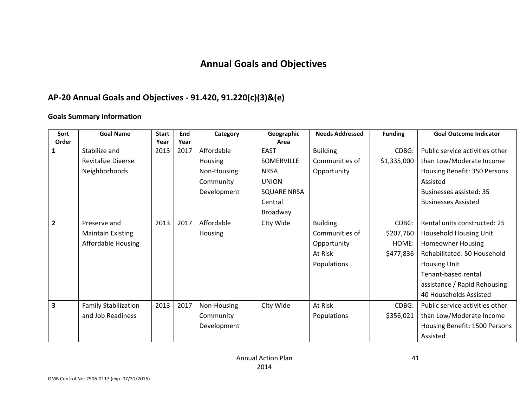# **Annual Goals and Objectives**

## **AP‐20 Annual Goals and Objectives ‐ 91.420, 91.220(c)(3)&(e)**

#### **Goals Summary Information**

| Sort                    | <b>Goal Name</b>            | <b>Start</b> | End  | Category       | Geographic         | <b>Needs Addressed</b> | <b>Funding</b> | <b>Goal Outcome Indicator</b>   |
|-------------------------|-----------------------------|--------------|------|----------------|--------------------|------------------------|----------------|---------------------------------|
| Order                   |                             | Year         | Year |                | Area               |                        |                |                                 |
| 1                       | Stabilize and               | 2013         | 2017 | Affordable     | <b>EAST</b>        | <b>Building</b>        | CDBG:          | Public service activities other |
|                         | <b>Revitalize Diverse</b>   |              |      | <b>Housing</b> | SOMERVILLE         | Communities of         | \$1,335,000    | than Low/Moderate Income        |
|                         | Neighborhoods               |              |      | Non-Housing    | <b>NRSA</b>        | Opportunity            |                | Housing Benefit: 350 Persons    |
|                         |                             |              |      | Community      | <b>UNION</b>       |                        |                | Assisted                        |
|                         |                             |              |      | Development    | <b>SQUARE NRSA</b> |                        |                | Businesses assisted: 35         |
|                         |                             |              |      |                | Central            |                        |                | <b>Businesses Assisted</b>      |
|                         |                             |              |      |                | Broadway           |                        |                |                                 |
| $\overline{2}$          | Preserve and                | 2013         | 2017 | Affordable     | Clty Wide          | <b>Building</b>        | CDBG:          | Rental units constructed: 25    |
|                         | <b>Maintain Existing</b>    |              |      | Housing        |                    | Communities of         | \$207,760      | Household Housing Unit          |
|                         | <b>Affordable Housing</b>   |              |      |                |                    | Opportunity            | HOME:          | <b>Homeowner Housing</b>        |
|                         |                             |              |      |                |                    | At Risk                | \$477,836      | Rehabilitated: 50 Household     |
|                         |                             |              |      |                |                    | Populations            |                | <b>Housing Unit</b>             |
|                         |                             |              |      |                |                    |                        |                | Tenant-based rental             |
|                         |                             |              |      |                |                    |                        |                | assistance / Rapid Rehousing:   |
|                         |                             |              |      |                |                    |                        |                | 40 Households Assisted          |
| $\overline{\mathbf{3}}$ | <b>Family Stabilization</b> | 2013         | 2017 | Non-Housing    | Clty Wide          | At Risk                | CDBG:          | Public service activities other |
|                         | and Job Readiness           |              |      | Community      |                    | Populations            | \$356,021      | than Low/Moderate Income        |
|                         |                             |              |      | Development    |                    |                        |                | Housing Benefit: 1500 Persons   |
|                         |                             |              |      |                |                    |                        |                | Assisted                        |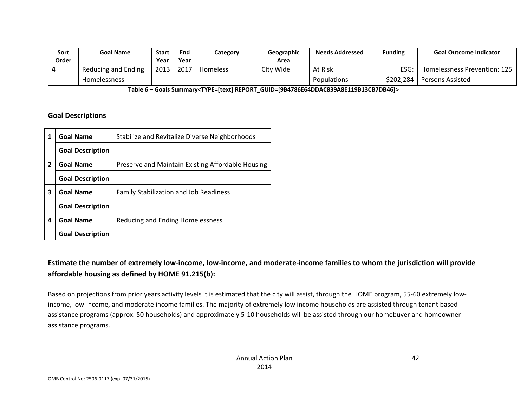| Sort  | Goal Name           | <b>Start</b> | <b>End</b> | Category | Geographic | <b>Needs Addressed</b> | <b>Funding</b> | <b>Goal Outcome Indicator</b> |
|-------|---------------------|--------------|------------|----------|------------|------------------------|----------------|-------------------------------|
| Order |                     | Year         | Year       |          | Area       |                        |                |                               |
|       | Reducing and Ending | 2013         | 2017       | Homeless | Clty Wide  | At Risk                | ESG: I         | Homelessness Prevention: 125  |
|       | <b>Homelessness</b> |              |            |          |            | <b>Populations</b>     | \$202,284      | Persons Assisted              |

**Table 6 – Goals Summary<TYPE=[text] REPORT\_GUID=[9B4786E64DDAC839A8E119B13CB7DB46]>**

#### **Goal Descriptions**

| 1              | <b>Goal Name</b>        | Stabilize and Revitalize Diverse Neighborhoods    |
|----------------|-------------------------|---------------------------------------------------|
|                | <b>Goal Description</b> |                                                   |
| $\overline{2}$ | <b>Goal Name</b>        | Preserve and Maintain Existing Affordable Housing |
|                | <b>Goal Description</b> |                                                   |
| 3              | <b>Goal Name</b>        | <b>Family Stabilization and Job Readiness</b>     |
|                | <b>Goal Description</b> |                                                   |
| 4              | <b>Goal Name</b>        | Reducing and Ending Homelessness                  |
|                | <b>Goal Description</b> |                                                   |

## Estimate the number of extremely low-income, low-income, and moderate-income families to whom the jurisdiction will provide **affordable housing as defined by HOME 91.215(b):**

Based on projections from prior years activity levels it is estimated that the city will assist, through the HOME program, 55‐60 extremely low‐ income, low‐income, and moderate income families. The majority of extremely low income households are assisted through tenant based assistance programs (approx. 50 households) and approximately 5‐10 households will be assisted through our homebuyer and homeowner assistance programs.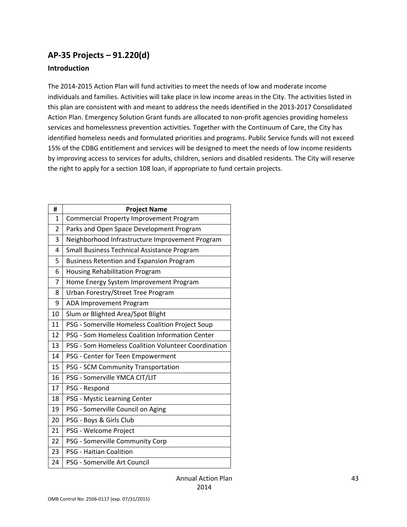## **AP‐35 Projects – 91.220(d)**

#### **Introduction**

The 2014‐2015 Action Plan will fund activities to meet the needs of low and moderate income individuals and families. Activities will take place in low income areas in the City. The activities listed in this plan are consistent with and meant to address the needs identified in the 2013‐2017 Consolidated Action Plan. Emergency Solution Grant funds are allocated to non‐profit agencies providing homeless services and homelessness prevention activities. Together with the Continuum of Care, the City has identified homeless needs and formulated priorities and programs. Public Service funds will not exceed 15% of the CDBG entitlement and services will be designed to meet the needs of low income residents by improving access to services for adults, children, seniors and disabled residents. The City will reserve the right to apply for a section 108 loan, if appropriate to fund certain projects.

| #  | <b>Project Name</b>                                 |
|----|-----------------------------------------------------|
| 1  | Commercial Property Improvement Program             |
| 2  | Parks and Open Space Development Program            |
| 3  | Neighborhood Infrastructure Improvement Program     |
| 4  | Small Business Technical Assistance Program         |
| 5  | <b>Business Retention and Expansion Program</b>     |
| 6  | Housing Rehabilitation Program                      |
| 7  | Home Energy System Improvement Program              |
| 8  | Urban Forestry/Street Tree Program                  |
| 9  | ADA Improvement Program                             |
| 10 | Slum or Blighted Area/Spot Blight                   |
| 11 | PSG - Somerville Homeless Coalition Project Soup    |
| 12 | PSG - Som Homeless Coalition Information Center     |
| 13 | PSG - Som Homeless Coalition Volunteer Coordination |
| 14 | PSG - Center for Teen Empowerment                   |
| 15 | PSG - SCM Community Transportation                  |
| 16 | PSG - Somerville YMCA CIT/LIT                       |
| 17 | PSG - Respond                                       |
| 18 | PSG - Mystic Learning Center                        |
| 19 | PSG - Somerville Council on Aging                   |
| 20 | PSG - Boys & Girls Club                             |
| 21 | PSG - Welcome Project                               |
| 22 | PSG - Somerville Community Corp                     |
| 23 | <b>PSG - Haitian Coalition</b>                      |
| 24 | PSG - Somerville Art Council                        |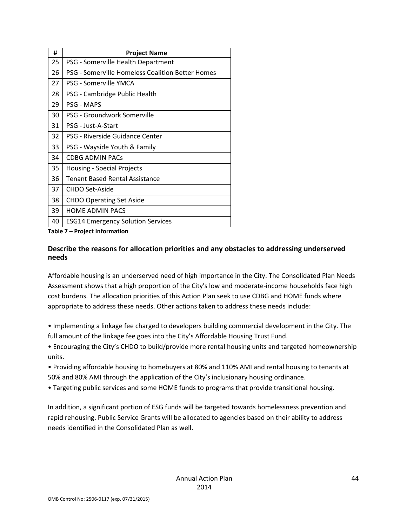| #  | <b>Project Name</b>                              |
|----|--------------------------------------------------|
| 25 | PSG - Somerville Health Department               |
| 26 | PSG - Somerville Homeless Coalition Better Homes |
| 27 | PSG - Somerville YMCA                            |
| 28 | PSG - Cambridge Public Health                    |
| 29 | <b>PSG - MAPS</b>                                |
| 30 | PSG - Groundwork Somerville                      |
| 31 | PSG - Just-A-Start                               |
| 32 | PSG - Riverside Guidance Center                  |
| 33 | PSG - Wayside Youth & Family                     |
| 34 | <b>CDBG ADMIN PACS</b>                           |
| 35 | <b>Housing - Special Projects</b>                |
| 36 | <b>Tenant Based Rental Assistance</b>            |
| 37 | <b>CHDO Set-Aside</b>                            |
| 38 | <b>CHDO Operating Set Aside</b>                  |
| 39 | <b>HOME ADMIN PACS</b>                           |
| 40 | <b>ESG14 Emergency Solution Services</b>         |

**Table 7 – Project Information**

#### **Describe the reasons for allocation priorities and any obstacles to addressing underserved needs**

Affordable housing is an underserved need of high importance in the City. The Consolidated Plan Needs Assessment shows that a high proportion of the City's low and moderate‐income households face high cost burdens. The allocation priorities of this Action Plan seek to use CDBG and HOME funds where appropriate to address these needs. Other actions taken to address these needs include:

• Implementing a linkage fee charged to developers building commercial development in the City. The full amount of the linkage fee goes into the City's Affordable Housing Trust Fund.

- Encouraging the City's CHDO to build/provide more rental housing units and targeted homeownership units.
- Providing affordable housing to homebuyers at 80% and 110% AMI and rental housing to tenants at 50% and 80% AMI through the application of the City's inclusionary housing ordinance.
- Targeting public services and some HOME funds to programs that provide transitional housing.

In addition, a significant portion of ESG funds will be targeted towards homelessness prevention and rapid rehousing. Public Service Grants will be allocated to agencies based on their ability to address needs identified in the Consolidated Plan as well.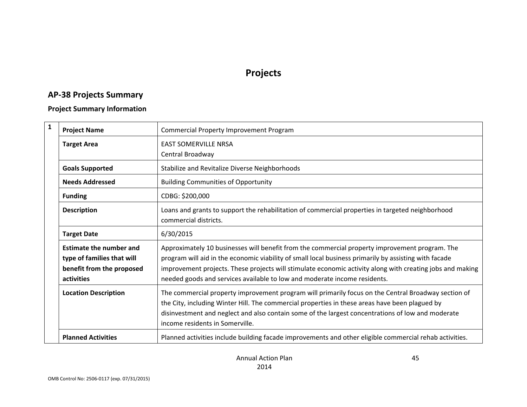# **Projects**

## **AP‐38 Projects Summary**

#### **Project Summary Information**

| $\mathbf{1}$ | <b>Project Name</b>                                                                                     | <b>Commercial Property Improvement Program</b>                                                                                                                                                                                                                                                                                                                                                    |
|--------------|---------------------------------------------------------------------------------------------------------|---------------------------------------------------------------------------------------------------------------------------------------------------------------------------------------------------------------------------------------------------------------------------------------------------------------------------------------------------------------------------------------------------|
|              | <b>Target Area</b>                                                                                      | <b>EAST SOMERVILLE NRSA</b>                                                                                                                                                                                                                                                                                                                                                                       |
|              |                                                                                                         | Central Broadway                                                                                                                                                                                                                                                                                                                                                                                  |
|              | <b>Goals Supported</b>                                                                                  | Stabilize and Revitalize Diverse Neighborhoods                                                                                                                                                                                                                                                                                                                                                    |
|              | <b>Needs Addressed</b>                                                                                  | <b>Building Communities of Opportunity</b>                                                                                                                                                                                                                                                                                                                                                        |
|              | <b>Funding</b>                                                                                          | CDBG: \$200,000                                                                                                                                                                                                                                                                                                                                                                                   |
|              | <b>Description</b>                                                                                      | Loans and grants to support the rehabilitation of commercial properties in targeted neighborhood<br>commercial districts.                                                                                                                                                                                                                                                                         |
|              | <b>Target Date</b>                                                                                      | 6/30/2015                                                                                                                                                                                                                                                                                                                                                                                         |
|              | <b>Estimate the number and</b><br>type of families that will<br>benefit from the proposed<br>activities | Approximately 10 businesses will benefit from the commercial property improvement program. The<br>program will aid in the economic viability of small local business primarily by assisting with facade<br>improvement projects. These projects will stimulate economic activity along with creating jobs and making<br>needed goods and services available to low and moderate income residents. |
|              | <b>Location Description</b>                                                                             | The commercial property improvement program will primarily focus on the Central Broadway section of<br>the City, including Winter Hill. The commercial properties in these areas have been plagued by<br>disinvestment and neglect and also contain some of the largest concentrations of low and moderate<br>income residents in Somerville.                                                     |
|              | <b>Planned Activities</b>                                                                               | Planned activities include building facade improvements and other eligible commercial rehab activities.                                                                                                                                                                                                                                                                                           |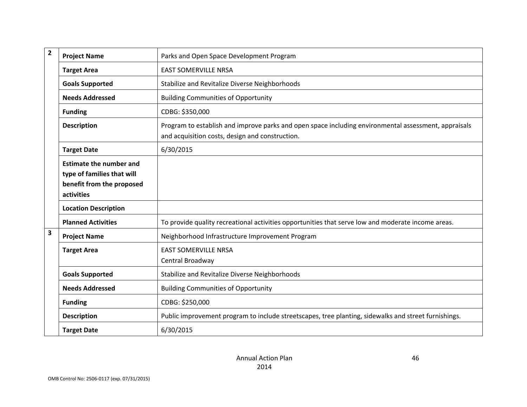| $\overline{2}$          | <b>Project Name</b>                                                                                     | Parks and Open Space Development Program                                                                                                                |
|-------------------------|---------------------------------------------------------------------------------------------------------|---------------------------------------------------------------------------------------------------------------------------------------------------------|
|                         | <b>Target Area</b>                                                                                      | <b>EAST SOMERVILLE NRSA</b>                                                                                                                             |
|                         | <b>Goals Supported</b>                                                                                  | Stabilize and Revitalize Diverse Neighborhoods                                                                                                          |
|                         | <b>Needs Addressed</b>                                                                                  | <b>Building Communities of Opportunity</b>                                                                                                              |
|                         | <b>Funding</b>                                                                                          | CDBG: \$350,000                                                                                                                                         |
|                         | <b>Description</b>                                                                                      | Program to establish and improve parks and open space including environmental assessment, appraisals<br>and acquisition costs, design and construction. |
|                         | <b>Target Date</b>                                                                                      | 6/30/2015                                                                                                                                               |
|                         | <b>Estimate the number and</b><br>type of families that will<br>benefit from the proposed<br>activities |                                                                                                                                                         |
|                         | <b>Location Description</b>                                                                             |                                                                                                                                                         |
|                         | <b>Planned Activities</b>                                                                               | To provide quality recreational activities opportunities that serve low and moderate income areas.                                                      |
| $\overline{\mathbf{3}}$ | <b>Project Name</b>                                                                                     | Neighborhood Infrastructure Improvement Program                                                                                                         |
|                         | <b>Target Area</b>                                                                                      | <b>EAST SOMERVILLE NRSA</b><br>Central Broadway                                                                                                         |
|                         | <b>Goals Supported</b>                                                                                  | Stabilize and Revitalize Diverse Neighborhoods                                                                                                          |
|                         | <b>Needs Addressed</b>                                                                                  | <b>Building Communities of Opportunity</b>                                                                                                              |
|                         | <b>Funding</b>                                                                                          | CDBG: \$250,000                                                                                                                                         |
|                         | <b>Description</b>                                                                                      | Public improvement program to include streetscapes, tree planting, sidewalks and street furnishings.                                                    |
|                         | <b>Target Date</b>                                                                                      | 6/30/2015                                                                                                                                               |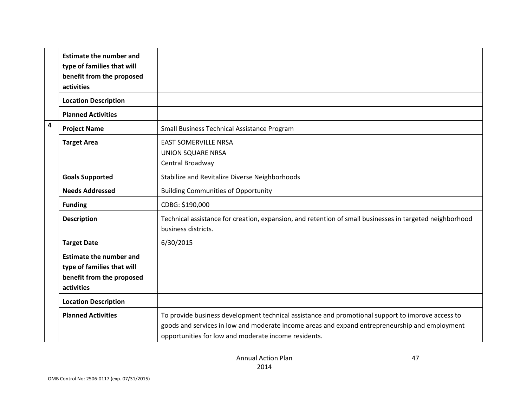|   | <b>Estimate the number and</b><br>type of families that will<br>benefit from the proposed<br>activities |                                                                                                                                                                                                                                                             |
|---|---------------------------------------------------------------------------------------------------------|-------------------------------------------------------------------------------------------------------------------------------------------------------------------------------------------------------------------------------------------------------------|
|   | <b>Location Description</b>                                                                             |                                                                                                                                                                                                                                                             |
|   | <b>Planned Activities</b>                                                                               |                                                                                                                                                                                                                                                             |
| 4 | <b>Project Name</b>                                                                                     | Small Business Technical Assistance Program                                                                                                                                                                                                                 |
|   | <b>Target Area</b>                                                                                      | <b>EAST SOMERVILLE NRSA</b><br><b>UNION SQUARE NRSA</b><br>Central Broadway                                                                                                                                                                                 |
|   | <b>Goals Supported</b>                                                                                  | Stabilize and Revitalize Diverse Neighborhoods                                                                                                                                                                                                              |
|   | <b>Needs Addressed</b>                                                                                  | <b>Building Communities of Opportunity</b>                                                                                                                                                                                                                  |
|   | <b>Funding</b>                                                                                          | CDBG: \$190,000                                                                                                                                                                                                                                             |
|   | <b>Description</b>                                                                                      | Technical assistance for creation, expansion, and retention of small businesses in targeted neighborhood<br>business districts.                                                                                                                             |
|   | <b>Target Date</b>                                                                                      | 6/30/2015                                                                                                                                                                                                                                                   |
|   | <b>Estimate the number and</b><br>type of families that will<br>benefit from the proposed<br>activities |                                                                                                                                                                                                                                                             |
|   | <b>Location Description</b>                                                                             |                                                                                                                                                                                                                                                             |
|   | <b>Planned Activities</b>                                                                               | To provide business development technical assistance and promotional support to improve access to<br>goods and services in low and moderate income areas and expand entrepreneurship and employment<br>opportunities for low and moderate income residents. |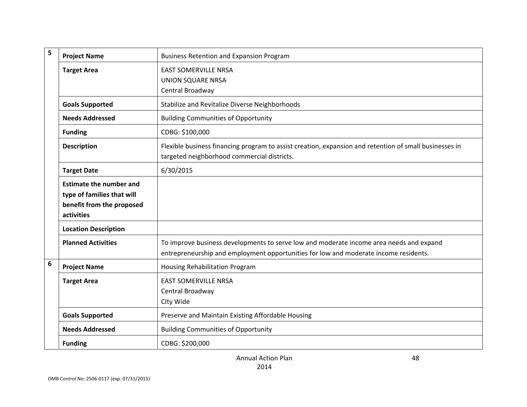| 5 | <b>Project Name</b>                                                                                     | <b>Business Retention and Expansion Program</b>                                                                                                                                 |
|---|---------------------------------------------------------------------------------------------------------|---------------------------------------------------------------------------------------------------------------------------------------------------------------------------------|
|   | <b>Target Area</b>                                                                                      | <b>EAST SOMERVILLE NRSA</b><br><b>UNION SQUARE NRSA</b><br>Central Broadway                                                                                                     |
|   | <b>Goals Supported</b>                                                                                  | Stabilize and Revitalize Diverse Neighborhoods                                                                                                                                  |
|   | <b>Needs Addressed</b>                                                                                  | <b>Building Communities of Opportunity</b>                                                                                                                                      |
|   | <b>Funding</b>                                                                                          | CDBG: \$100,000                                                                                                                                                                 |
|   | <b>Description</b>                                                                                      | Flexible business financing program to assist creation, expansion and retention of small businesses in<br>targeted neighborhood commercial districts.                           |
|   | <b>Target Date</b>                                                                                      | 6/30/2015                                                                                                                                                                       |
|   | <b>Estimate the number and</b><br>type of families that will<br>benefit from the proposed<br>activities |                                                                                                                                                                                 |
|   | <b>Location Description</b>                                                                             |                                                                                                                                                                                 |
|   | <b>Planned Activities</b>                                                                               | To improve business developments to serve low and moderate income area needs and expand<br>entrepreneurship and employment opportunities for low and moderate income residents. |
| 6 | <b>Project Name</b>                                                                                     | Housing Rehabilitation Program                                                                                                                                                  |
|   | <b>Target Area</b>                                                                                      | <b>EAST SOMERVILLE NRSA</b><br>Central Broadway<br>Clty Wide                                                                                                                    |
|   | <b>Goals Supported</b>                                                                                  | Preserve and Maintain Existing Affordable Housing                                                                                                                               |
|   | <b>Needs Addressed</b>                                                                                  | <b>Building Communities of Opportunity</b>                                                                                                                                      |
|   | <b>Funding</b>                                                                                          | CDBG: \$200,000                                                                                                                                                                 |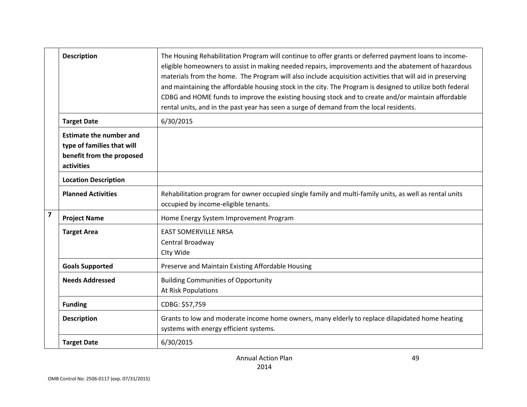|                | <b>Description</b>                                                                                      | The Housing Rehabilitation Program will continue to offer grants or deferred payment loans to income-<br>eligible homeowners to assist in making needed repairs, improvements and the abatement of hazardous<br>materials from the home. The Program will also include acquisition activities that will aid in preserving<br>and maintaining the affordable housing stock in the city. The Program is designed to utilize both federal<br>CDBG and HOME funds to improve the existing housing stock and to create and/or maintain affordable<br>rental units, and in the past year has seen a surge of demand from the local residents. |
|----------------|---------------------------------------------------------------------------------------------------------|-----------------------------------------------------------------------------------------------------------------------------------------------------------------------------------------------------------------------------------------------------------------------------------------------------------------------------------------------------------------------------------------------------------------------------------------------------------------------------------------------------------------------------------------------------------------------------------------------------------------------------------------|
|                | <b>Target Date</b>                                                                                      | 6/30/2015                                                                                                                                                                                                                                                                                                                                                                                                                                                                                                                                                                                                                               |
|                | <b>Estimate the number and</b><br>type of families that will<br>benefit from the proposed<br>activities |                                                                                                                                                                                                                                                                                                                                                                                                                                                                                                                                                                                                                                         |
|                | <b>Location Description</b>                                                                             |                                                                                                                                                                                                                                                                                                                                                                                                                                                                                                                                                                                                                                         |
|                | <b>Planned Activities</b>                                                                               | Rehabilitation program for owner occupied single family and multi-family units, as well as rental units<br>occupied by income-eligible tenants.                                                                                                                                                                                                                                                                                                                                                                                                                                                                                         |
| $\overline{7}$ | <b>Project Name</b>                                                                                     | Home Energy System Improvement Program                                                                                                                                                                                                                                                                                                                                                                                                                                                                                                                                                                                                  |
|                | <b>Target Area</b>                                                                                      | <b>EAST SOMERVILLE NRSA</b><br>Central Broadway<br>Clty Wide                                                                                                                                                                                                                                                                                                                                                                                                                                                                                                                                                                            |
|                | <b>Goals Supported</b>                                                                                  | Preserve and Maintain Existing Affordable Housing                                                                                                                                                                                                                                                                                                                                                                                                                                                                                                                                                                                       |
|                | <b>Needs Addressed</b>                                                                                  | <b>Building Communities of Opportunity</b><br>At Risk Populations                                                                                                                                                                                                                                                                                                                                                                                                                                                                                                                                                                       |
|                | <b>Funding</b>                                                                                          | CDBG: \$57,759                                                                                                                                                                                                                                                                                                                                                                                                                                                                                                                                                                                                                          |
|                | <b>Description</b>                                                                                      | Grants to low and moderate income home owners, many elderly to replace dilapidated home heating<br>systems with energy efficient systems.                                                                                                                                                                                                                                                                                                                                                                                                                                                                                               |
|                | <b>Target Date</b>                                                                                      | 6/30/2015                                                                                                                                                                                                                                                                                                                                                                                                                                                                                                                                                                                                                               |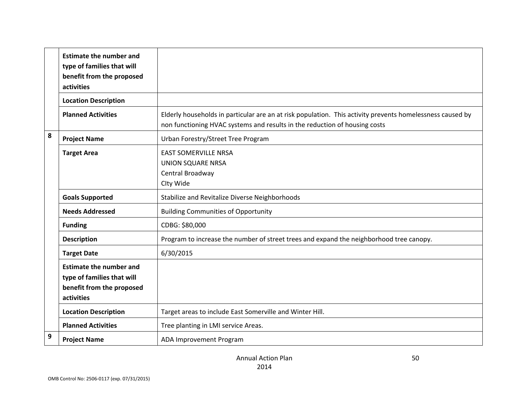|              | <b>Estimate the number and</b><br>type of families that will<br>benefit from the proposed<br>activities |                                                                                                                                                                                         |
|--------------|---------------------------------------------------------------------------------------------------------|-----------------------------------------------------------------------------------------------------------------------------------------------------------------------------------------|
|              | <b>Location Description</b>                                                                             |                                                                                                                                                                                         |
|              | <b>Planned Activities</b>                                                                               | Elderly households in particular are an at risk population. This activity prevents homelessness caused by<br>non functioning HVAC systems and results in the reduction of housing costs |
| 8            | <b>Project Name</b>                                                                                     | Urban Forestry/Street Tree Program                                                                                                                                                      |
|              | <b>Target Area</b>                                                                                      | <b>EAST SOMERVILLE NRSA</b><br><b>UNION SQUARE NRSA</b><br>Central Broadway<br>Clty Wide                                                                                                |
|              | <b>Goals Supported</b>                                                                                  | Stabilize and Revitalize Diverse Neighborhoods                                                                                                                                          |
|              | <b>Needs Addressed</b>                                                                                  | <b>Building Communities of Opportunity</b>                                                                                                                                              |
|              | <b>Funding</b>                                                                                          | CDBG: \$80,000                                                                                                                                                                          |
|              | <b>Description</b>                                                                                      | Program to increase the number of street trees and expand the neighborhood tree canopy.                                                                                                 |
|              | <b>Target Date</b>                                                                                      | 6/30/2015                                                                                                                                                                               |
|              | <b>Estimate the number and</b><br>type of families that will<br>benefit from the proposed<br>activities |                                                                                                                                                                                         |
|              | <b>Location Description</b>                                                                             | Target areas to include East Somerville and Winter Hill.                                                                                                                                |
|              | <b>Planned Activities</b>                                                                               | Tree planting in LMI service Areas.                                                                                                                                                     |
| $\mathbf{9}$ | <b>Project Name</b>                                                                                     | ADA Improvement Program                                                                                                                                                                 |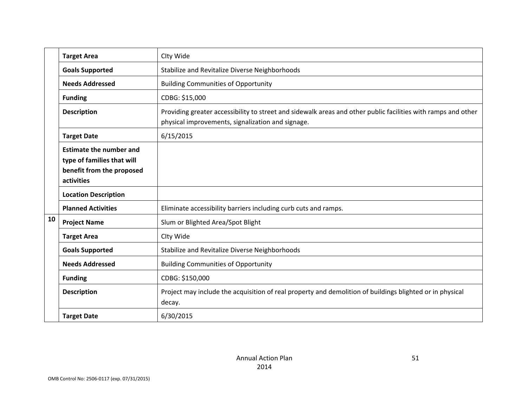|    | <b>Target Area</b>                                                                                      | Clty Wide                                                                                                                                                          |
|----|---------------------------------------------------------------------------------------------------------|--------------------------------------------------------------------------------------------------------------------------------------------------------------------|
|    | <b>Goals Supported</b>                                                                                  | Stabilize and Revitalize Diverse Neighborhoods                                                                                                                     |
|    | <b>Needs Addressed</b>                                                                                  | <b>Building Communities of Opportunity</b>                                                                                                                         |
|    | <b>Funding</b>                                                                                          | CDBG: \$15,000                                                                                                                                                     |
|    | <b>Description</b>                                                                                      | Providing greater accessibility to street and sidewalk areas and other public facilities with ramps and other<br>physical improvements, signalization and signage. |
|    | <b>Target Date</b>                                                                                      | 6/15/2015                                                                                                                                                          |
|    | <b>Estimate the number and</b><br>type of families that will<br>benefit from the proposed<br>activities |                                                                                                                                                                    |
|    | <b>Location Description</b>                                                                             |                                                                                                                                                                    |
|    | <b>Planned Activities</b>                                                                               | Eliminate accessibility barriers including curb cuts and ramps.                                                                                                    |
| 10 | <b>Project Name</b>                                                                                     | Slum or Blighted Area/Spot Blight                                                                                                                                  |
|    | <b>Target Area</b>                                                                                      | Clty Wide                                                                                                                                                          |
|    | <b>Goals Supported</b>                                                                                  | Stabilize and Revitalize Diverse Neighborhoods                                                                                                                     |
|    | <b>Needs Addressed</b>                                                                                  | <b>Building Communities of Opportunity</b>                                                                                                                         |
|    | <b>Funding</b>                                                                                          | CDBG: \$150,000                                                                                                                                                    |
|    | <b>Description</b>                                                                                      | Project may include the acquisition of real property and demolition of buildings blighted or in physical<br>decay.                                                 |
|    | <b>Target Date</b>                                                                                      | 6/30/2015                                                                                                                                                          |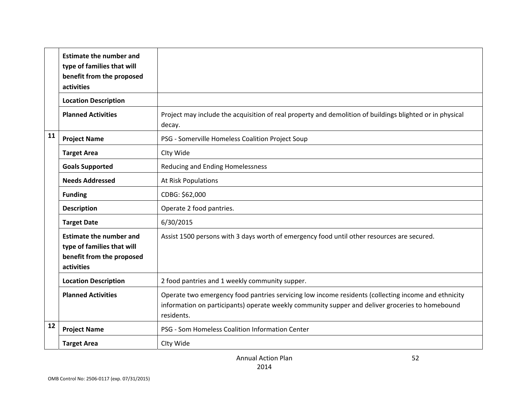|    | <b>Estimate the number and</b><br>type of families that will<br>benefit from the proposed<br>activities |                                                                                                                                                                                                                      |
|----|---------------------------------------------------------------------------------------------------------|----------------------------------------------------------------------------------------------------------------------------------------------------------------------------------------------------------------------|
|    | <b>Location Description</b>                                                                             |                                                                                                                                                                                                                      |
|    | <b>Planned Activities</b>                                                                               | Project may include the acquisition of real property and demolition of buildings blighted or in physical<br>decay.                                                                                                   |
| 11 | <b>Project Name</b>                                                                                     | PSG - Somerville Homeless Coalition Project Soup                                                                                                                                                                     |
|    | <b>Target Area</b>                                                                                      | Clty Wide                                                                                                                                                                                                            |
|    | <b>Goals Supported</b>                                                                                  | <b>Reducing and Ending Homelessness</b>                                                                                                                                                                              |
|    | <b>Needs Addressed</b>                                                                                  | At Risk Populations                                                                                                                                                                                                  |
|    | <b>Funding</b>                                                                                          | CDBG: \$62,000                                                                                                                                                                                                       |
|    | <b>Description</b>                                                                                      | Operate 2 food pantries.                                                                                                                                                                                             |
|    | <b>Target Date</b>                                                                                      | 6/30/2015                                                                                                                                                                                                            |
|    | <b>Estimate the number and</b><br>type of families that will<br>benefit from the proposed<br>activities | Assist 1500 persons with 3 days worth of emergency food until other resources are secured.                                                                                                                           |
|    | <b>Location Description</b>                                                                             | 2 food pantries and 1 weekly community supper.                                                                                                                                                                       |
|    | <b>Planned Activities</b>                                                                               | Operate two emergency food pantries servicing low income residents (collecting income and ethnicity<br>information on participants) operate weekly community supper and deliver groceries to homebound<br>residents. |
| 12 | <b>Project Name</b>                                                                                     | PSG - Som Homeless Coalition Information Center                                                                                                                                                                      |
|    | <b>Target Area</b>                                                                                      | Clty Wide                                                                                                                                                                                                            |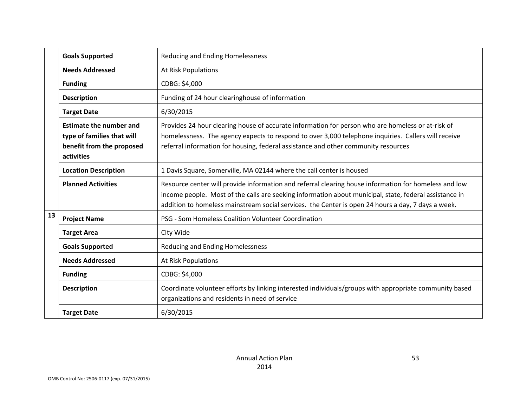|    | <b>Goals Supported</b>                                                                                  | Reducing and Ending Homelessness                                                                                                                                                                                                                                                                                      |
|----|---------------------------------------------------------------------------------------------------------|-----------------------------------------------------------------------------------------------------------------------------------------------------------------------------------------------------------------------------------------------------------------------------------------------------------------------|
|    | <b>Needs Addressed</b>                                                                                  | At Risk Populations                                                                                                                                                                                                                                                                                                   |
|    | <b>Funding</b>                                                                                          | CDBG: \$4,000                                                                                                                                                                                                                                                                                                         |
|    | <b>Description</b>                                                                                      | Funding of 24 hour clearinghouse of information                                                                                                                                                                                                                                                                       |
|    | <b>Target Date</b>                                                                                      | 6/30/2015                                                                                                                                                                                                                                                                                                             |
|    | <b>Estimate the number and</b><br>type of families that will<br>benefit from the proposed<br>activities | Provides 24 hour clearing house of accurate information for person who are homeless or at-risk of<br>homelessness. The agency expects to respond to over 3,000 telephone inquiries. Callers will receive<br>referral information for housing, federal assistance and other community resources                        |
|    | <b>Location Description</b>                                                                             | 1 Davis Square, Somerville, MA 02144 where the call center is housed                                                                                                                                                                                                                                                  |
|    | <b>Planned Activities</b>                                                                               | Resource center will provide information and referral clearing house information for homeless and low<br>income people. Most of the calls are seeking information about municipal, state, federal assistance in<br>addition to homeless mainstream social services. the Center is open 24 hours a day, 7 days a week. |
| 13 | <b>Project Name</b>                                                                                     | PSG - Som Homeless Coalition Volunteer Coordination                                                                                                                                                                                                                                                                   |
|    | <b>Target Area</b>                                                                                      | Clty Wide                                                                                                                                                                                                                                                                                                             |
|    | <b>Goals Supported</b>                                                                                  | Reducing and Ending Homelessness                                                                                                                                                                                                                                                                                      |
|    | <b>Needs Addressed</b>                                                                                  | At Risk Populations                                                                                                                                                                                                                                                                                                   |
|    | <b>Funding</b>                                                                                          | CDBG: \$4,000                                                                                                                                                                                                                                                                                                         |
|    | <b>Description</b>                                                                                      | Coordinate volunteer efforts by linking interested individuals/groups with appropriate community based<br>organizations and residents in need of service                                                                                                                                                              |
|    | <b>Target Date</b>                                                                                      | 6/30/2015                                                                                                                                                                                                                                                                                                             |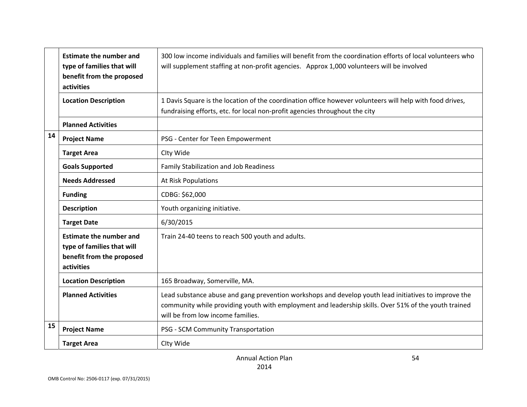|    | <b>Estimate the number and</b><br>type of families that will<br>benefit from the proposed<br>activities | 300 low income individuals and families will benefit from the coordination efforts of local volunteers who<br>will supplement staffing at non-profit agencies. Approx 1,000 volunteers will be involved                                           |
|----|---------------------------------------------------------------------------------------------------------|---------------------------------------------------------------------------------------------------------------------------------------------------------------------------------------------------------------------------------------------------|
|    | <b>Location Description</b>                                                                             | 1 Davis Square is the location of the coordination office however volunteers will help with food drives,<br>fundraising efforts, etc. for local non-profit agencies throughout the city                                                           |
|    | <b>Planned Activities</b>                                                                               |                                                                                                                                                                                                                                                   |
| 14 | <b>Project Name</b>                                                                                     | PSG - Center for Teen Empowerment                                                                                                                                                                                                                 |
|    | <b>Target Area</b>                                                                                      | Clty Wide                                                                                                                                                                                                                                         |
|    | <b>Goals Supported</b>                                                                                  | <b>Family Stabilization and Job Readiness</b>                                                                                                                                                                                                     |
|    | <b>Needs Addressed</b>                                                                                  | At Risk Populations                                                                                                                                                                                                                               |
|    | <b>Funding</b>                                                                                          | CDBG: \$62,000                                                                                                                                                                                                                                    |
|    | <b>Description</b>                                                                                      | Youth organizing initiative.                                                                                                                                                                                                                      |
|    | <b>Target Date</b>                                                                                      | 6/30/2015                                                                                                                                                                                                                                         |
|    | <b>Estimate the number and</b><br>type of families that will<br>benefit from the proposed<br>activities | Train 24-40 teens to reach 500 youth and adults.                                                                                                                                                                                                  |
|    | <b>Location Description</b>                                                                             | 165 Broadway, Somerville, MA.                                                                                                                                                                                                                     |
|    | <b>Planned Activities</b>                                                                               | Lead substance abuse and gang prevention workshops and develop youth lead initiatives to improve the<br>community while providing youth with employment and leadership skills. Over 51% of the youth trained<br>will be from low income families. |
| 15 | <b>Project Name</b>                                                                                     | PSG - SCM Community Transportation                                                                                                                                                                                                                |
|    | <b>Target Area</b>                                                                                      | Clty Wide                                                                                                                                                                                                                                         |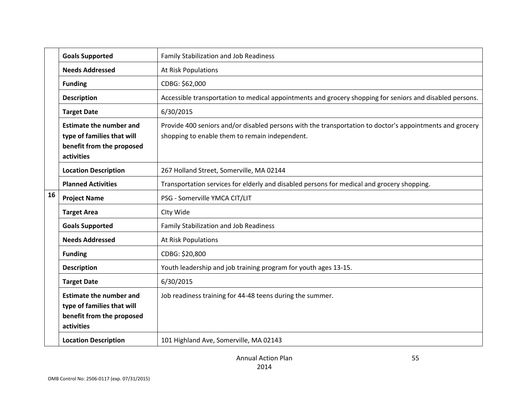|    | <b>Goals Supported</b>                                                                                  | Family Stabilization and Job Readiness                                                                                                                     |
|----|---------------------------------------------------------------------------------------------------------|------------------------------------------------------------------------------------------------------------------------------------------------------------|
|    | <b>Needs Addressed</b>                                                                                  | At Risk Populations                                                                                                                                        |
|    | <b>Funding</b>                                                                                          | CDBG: \$62,000                                                                                                                                             |
|    | <b>Description</b>                                                                                      | Accessible transportation to medical appointments and grocery shopping for seniors and disabled persons.                                                   |
|    | <b>Target Date</b>                                                                                      | 6/30/2015                                                                                                                                                  |
|    | <b>Estimate the number and</b><br>type of families that will<br>benefit from the proposed<br>activities | Provide 400 seniors and/or disabled persons with the transportation to doctor's appointments and grocery<br>shopping to enable them to remain independent. |
|    | <b>Location Description</b>                                                                             | 267 Holland Street, Somerville, MA 02144                                                                                                                   |
|    | <b>Planned Activities</b>                                                                               | Transportation services for elderly and disabled persons for medical and grocery shopping.                                                                 |
| 16 | <b>Project Name</b>                                                                                     | PSG - Somerville YMCA CIT/LIT                                                                                                                              |
|    | <b>Target Area</b>                                                                                      | Clty Wide                                                                                                                                                  |
|    | <b>Goals Supported</b>                                                                                  | Family Stabilization and Job Readiness                                                                                                                     |
|    | <b>Needs Addressed</b>                                                                                  | At Risk Populations                                                                                                                                        |
|    | <b>Funding</b>                                                                                          | CDBG: \$20,800                                                                                                                                             |
|    | <b>Description</b>                                                                                      | Youth leadership and job training program for youth ages 13-15.                                                                                            |
|    | <b>Target Date</b>                                                                                      | 6/30/2015                                                                                                                                                  |
|    | <b>Estimate the number and</b><br>type of families that will<br>benefit from the proposed<br>activities | Job readiness training for 44-48 teens during the summer.                                                                                                  |
|    | <b>Location Description</b>                                                                             | 101 Highland Ave, Somerville, MA 02143                                                                                                                     |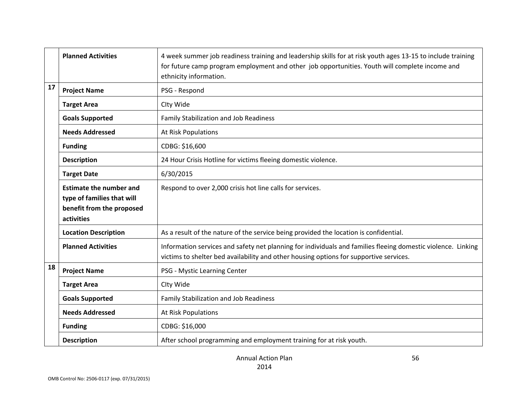|    | <b>Planned Activities</b>                                                                               | 4 week summer job readiness training and leadership skills for at risk youth ages 13-15 to include training<br>for future camp program employment and other job opportunities. Youth will complete income and<br>ethnicity information. |
|----|---------------------------------------------------------------------------------------------------------|-----------------------------------------------------------------------------------------------------------------------------------------------------------------------------------------------------------------------------------------|
| 17 | <b>Project Name</b>                                                                                     | PSG - Respond                                                                                                                                                                                                                           |
|    | <b>Target Area</b>                                                                                      | Clty Wide                                                                                                                                                                                                                               |
|    | <b>Goals Supported</b>                                                                                  | <b>Family Stabilization and Job Readiness</b>                                                                                                                                                                                           |
|    | <b>Needs Addressed</b>                                                                                  | At Risk Populations                                                                                                                                                                                                                     |
|    | <b>Funding</b>                                                                                          | CDBG: \$16,600                                                                                                                                                                                                                          |
|    | <b>Description</b>                                                                                      | 24 Hour Crisis Hotline for victims fleeing domestic violence.                                                                                                                                                                           |
|    | <b>Target Date</b>                                                                                      | 6/30/2015                                                                                                                                                                                                                               |
|    | <b>Estimate the number and</b><br>type of families that will<br>benefit from the proposed<br>activities | Respond to over 2,000 crisis hot line calls for services.                                                                                                                                                                               |
|    | <b>Location Description</b>                                                                             | As a result of the nature of the service being provided the location is confidential.                                                                                                                                                   |
|    | <b>Planned Activities</b>                                                                               | Information services and safety net planning for individuals and families fleeing domestic violence. Linking<br>victims to shelter bed availability and other housing options for supportive services.                                  |
| 18 | <b>Project Name</b>                                                                                     | PSG - Mystic Learning Center                                                                                                                                                                                                            |
|    | <b>Target Area</b>                                                                                      | Clty Wide                                                                                                                                                                                                                               |
|    | <b>Goals Supported</b>                                                                                  | Family Stabilization and Job Readiness                                                                                                                                                                                                  |
|    | <b>Needs Addressed</b>                                                                                  | At Risk Populations                                                                                                                                                                                                                     |
|    | <b>Funding</b>                                                                                          | CDBG: \$16,000                                                                                                                                                                                                                          |
|    | <b>Description</b>                                                                                      | After school programming and employment training for at risk youth.                                                                                                                                                                     |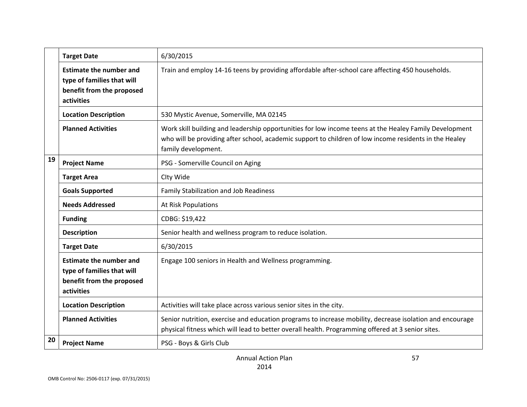|    | <b>Target Date</b>                                                                                      | 6/30/2015                                                                                                                                                                                                                               |
|----|---------------------------------------------------------------------------------------------------------|-----------------------------------------------------------------------------------------------------------------------------------------------------------------------------------------------------------------------------------------|
|    | <b>Estimate the number and</b><br>type of families that will<br>benefit from the proposed<br>activities | Train and employ 14-16 teens by providing affordable after-school care affecting 450 households.                                                                                                                                        |
|    | <b>Location Description</b>                                                                             | 530 Mystic Avenue, Somerville, MA 02145                                                                                                                                                                                                 |
|    | <b>Planned Activities</b>                                                                               | Work skill building and leadership opportunities for low income teens at the Healey Family Development<br>who will be providing after school, academic support to children of low income residents in the Healey<br>family development. |
| 19 | <b>Project Name</b>                                                                                     | PSG - Somerville Council on Aging                                                                                                                                                                                                       |
|    | <b>Target Area</b>                                                                                      | Clty Wide                                                                                                                                                                                                                               |
|    | <b>Goals Supported</b>                                                                                  | Family Stabilization and Job Readiness                                                                                                                                                                                                  |
|    | <b>Needs Addressed</b>                                                                                  | <b>At Risk Populations</b>                                                                                                                                                                                                              |
|    | <b>Funding</b>                                                                                          | CDBG: \$19,422                                                                                                                                                                                                                          |
|    | <b>Description</b>                                                                                      | Senior health and wellness program to reduce isolation.                                                                                                                                                                                 |
|    | <b>Target Date</b>                                                                                      | 6/30/2015                                                                                                                                                                                                                               |
|    | <b>Estimate the number and</b><br>type of families that will<br>benefit from the proposed<br>activities | Engage 100 seniors in Health and Wellness programming.                                                                                                                                                                                  |
|    | <b>Location Description</b>                                                                             | Activities will take place across various senior sites in the city.                                                                                                                                                                     |
|    | <b>Planned Activities</b>                                                                               | Senior nutrition, exercise and education programs to increase mobility, decrease isolation and encourage<br>physical fitness which will lead to better overall health. Programming offered at 3 senior sites.                           |
| 20 | <b>Project Name</b>                                                                                     | PSG - Boys & Girls Club                                                                                                                                                                                                                 |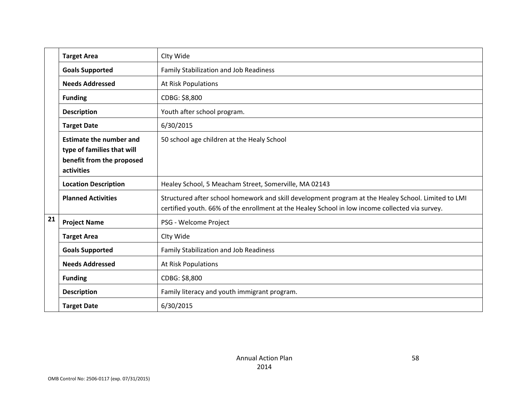|    | <b>Target Area</b>                                                                                      | Clty Wide                                                                                                                                                                                              |
|----|---------------------------------------------------------------------------------------------------------|--------------------------------------------------------------------------------------------------------------------------------------------------------------------------------------------------------|
|    | <b>Goals Supported</b>                                                                                  | Family Stabilization and Job Readiness                                                                                                                                                                 |
|    | <b>Needs Addressed</b>                                                                                  | At Risk Populations                                                                                                                                                                                    |
|    | <b>Funding</b>                                                                                          | CDBG: \$8,800                                                                                                                                                                                          |
|    | <b>Description</b>                                                                                      | Youth after school program.                                                                                                                                                                            |
|    | <b>Target Date</b>                                                                                      | 6/30/2015                                                                                                                                                                                              |
|    | <b>Estimate the number and</b><br>type of families that will<br>benefit from the proposed<br>activities | 50 school age children at the Healy School                                                                                                                                                             |
|    | <b>Location Description</b>                                                                             | Healey School, 5 Meacham Street, Somerville, MA 02143                                                                                                                                                  |
|    | <b>Planned Activities</b>                                                                               | Structured after school homework and skill development program at the Healey School. Limited to LMI<br>certified youth. 66% of the enrollment at the Healey School in low income collected via survey. |
| 21 | <b>Project Name</b>                                                                                     | PSG - Welcome Project                                                                                                                                                                                  |
|    | <b>Target Area</b>                                                                                      | Clty Wide                                                                                                                                                                                              |
|    | <b>Goals Supported</b>                                                                                  | Family Stabilization and Job Readiness                                                                                                                                                                 |
|    | <b>Needs Addressed</b>                                                                                  | At Risk Populations                                                                                                                                                                                    |
|    | <b>Funding</b>                                                                                          | CDBG: \$8,800                                                                                                                                                                                          |
|    | <b>Description</b>                                                                                      | Family literacy and youth immigrant program.                                                                                                                                                           |
|    | <b>Target Date</b>                                                                                      | 6/30/2015                                                                                                                                                                                              |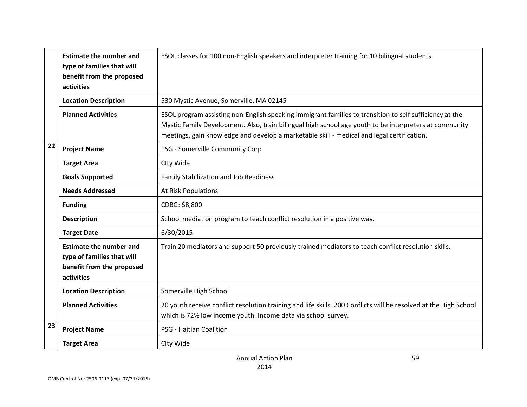|    | <b>Estimate the number and</b><br>type of families that will<br>benefit from the proposed<br>activities | ESOL classes for 100 non-English speakers and interpreter training for 10 bilingual students.                                                                                                                                                                                                                   |
|----|---------------------------------------------------------------------------------------------------------|-----------------------------------------------------------------------------------------------------------------------------------------------------------------------------------------------------------------------------------------------------------------------------------------------------------------|
|    | <b>Location Description</b>                                                                             | 530 Mystic Avenue, Somerville, MA 02145                                                                                                                                                                                                                                                                         |
|    | <b>Planned Activities</b>                                                                               | ESOL program assisting non-English speaking immigrant families to transition to self sufficiency at the<br>Mystic Family Development. Also, train bilingual high school age youth to be interpreters at community<br>meetings, gain knowledge and develop a marketable skill - medical and legal certification. |
| 22 | <b>Project Name</b>                                                                                     | PSG - Somerville Community Corp                                                                                                                                                                                                                                                                                 |
|    | <b>Target Area</b>                                                                                      | Clty Wide                                                                                                                                                                                                                                                                                                       |
|    | <b>Goals Supported</b>                                                                                  | Family Stabilization and Job Readiness                                                                                                                                                                                                                                                                          |
|    | <b>Needs Addressed</b>                                                                                  | At Risk Populations                                                                                                                                                                                                                                                                                             |
|    | <b>Funding</b>                                                                                          | CDBG: \$8,800                                                                                                                                                                                                                                                                                                   |
|    | <b>Description</b>                                                                                      | School mediation program to teach conflict resolution in a positive way.                                                                                                                                                                                                                                        |
|    | <b>Target Date</b>                                                                                      | 6/30/2015                                                                                                                                                                                                                                                                                                       |
|    | <b>Estimate the number and</b><br>type of families that will<br>benefit from the proposed<br>activities | Train 20 mediators and support 50 previously trained mediators to teach conflict resolution skills.                                                                                                                                                                                                             |
|    | <b>Location Description</b>                                                                             | Somerville High School                                                                                                                                                                                                                                                                                          |
|    | <b>Planned Activities</b>                                                                               | 20 youth receive conflict resolution training and life skills. 200 Conflicts will be resolved at the High School<br>which is 72% low income youth. Income data via school survey.                                                                                                                               |
| 23 | <b>Project Name</b>                                                                                     | PSG - Haitian Coalition                                                                                                                                                                                                                                                                                         |
|    | <b>Target Area</b>                                                                                      | Clty Wide                                                                                                                                                                                                                                                                                                       |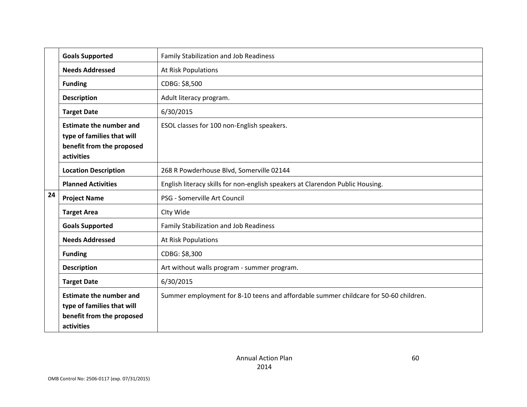|    | <b>Goals Supported</b>                                                                                  | <b>Family Stabilization and Job Readiness</b>                                        |
|----|---------------------------------------------------------------------------------------------------------|--------------------------------------------------------------------------------------|
|    | <b>Needs Addressed</b>                                                                                  | At Risk Populations                                                                  |
|    | <b>Funding</b>                                                                                          | CDBG: \$8,500                                                                        |
|    | <b>Description</b>                                                                                      | Adult literacy program.                                                              |
|    | <b>Target Date</b>                                                                                      | 6/30/2015                                                                            |
|    | <b>Estimate the number and</b><br>type of families that will<br>benefit from the proposed<br>activities | ESOL classes for 100 non-English speakers.                                           |
|    | <b>Location Description</b>                                                                             | 268 R Powderhouse Blvd, Somerville 02144                                             |
|    | <b>Planned Activities</b>                                                                               | English literacy skills for non-english speakers at Clarendon Public Housing.        |
| 24 | <b>Project Name</b>                                                                                     | PSG - Somerville Art Council                                                         |
|    | <b>Target Area</b>                                                                                      | Clty Wide                                                                            |
|    | <b>Goals Supported</b>                                                                                  | Family Stabilization and Job Readiness                                               |
|    | <b>Needs Addressed</b>                                                                                  | <b>At Risk Populations</b>                                                           |
|    | <b>Funding</b>                                                                                          | CDBG: \$8,300                                                                        |
|    | <b>Description</b>                                                                                      | Art without walls program - summer program.                                          |
|    | <b>Target Date</b>                                                                                      | 6/30/2015                                                                            |
|    | <b>Estimate the number and</b><br>type of families that will<br>benefit from the proposed<br>activities | Summer employment for 8-10 teens and affordable summer childcare for 50-60 children. |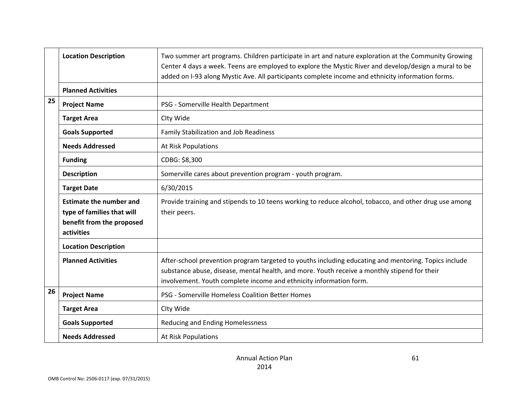| <b>Location Description</b>                   |                                                                                                         | Two summer art programs. Children participate in art and nature exploration at the Community Growing<br>Center 4 days a week. Teens are employed to explore the Mystic River and develop/design a mural to be<br>added on I-93 along Mystic Ave. All participants complete income and ethnicity information forms. |
|-----------------------------------------------|---------------------------------------------------------------------------------------------------------|--------------------------------------------------------------------------------------------------------------------------------------------------------------------------------------------------------------------------------------------------------------------------------------------------------------------|
|                                               | <b>Planned Activities</b>                                                                               |                                                                                                                                                                                                                                                                                                                    |
| 25                                            | <b>Project Name</b>                                                                                     | PSG - Somerville Health Department                                                                                                                                                                                                                                                                                 |
|                                               | <b>Target Area</b>                                                                                      | Clty Wide                                                                                                                                                                                                                                                                                                          |
|                                               | <b>Goals Supported</b>                                                                                  | Family Stabilization and Job Readiness                                                                                                                                                                                                                                                                             |
|                                               | <b>Needs Addressed</b>                                                                                  | At Risk Populations                                                                                                                                                                                                                                                                                                |
|                                               | <b>Funding</b>                                                                                          | CDBG: \$8,300                                                                                                                                                                                                                                                                                                      |
| <b>Description</b>                            |                                                                                                         | Somerville cares about prevention program - youth program.                                                                                                                                                                                                                                                         |
|                                               | <b>Target Date</b>                                                                                      | 6/30/2015                                                                                                                                                                                                                                                                                                          |
|                                               | <b>Estimate the number and</b><br>type of families that will<br>benefit from the proposed<br>activities | Provide training and stipends to 10 teens working to reduce alcohol, tobacco, and other drug use among<br>their peers.                                                                                                                                                                                             |
|                                               | <b>Location Description</b>                                                                             |                                                                                                                                                                                                                                                                                                                    |
|                                               | <b>Planned Activities</b>                                                                               | After-school prevention program targeted to youths including educating and mentoring. Topics include<br>substance abuse, disease, mental health, and more. Youth receive a monthly stipend for their<br>involvement. Youth complete income and ethnicity information form.                                         |
| 26                                            | <b>Project Name</b>                                                                                     | PSG - Somerville Homeless Coalition Better Homes                                                                                                                                                                                                                                                                   |
|                                               | <b>Target Area</b>                                                                                      | Clty Wide                                                                                                                                                                                                                                                                                                          |
|                                               | <b>Goals Supported</b>                                                                                  | Reducing and Ending Homelessness                                                                                                                                                                                                                                                                                   |
| <b>Needs Addressed</b><br>At Risk Populations |                                                                                                         |                                                                                                                                                                                                                                                                                                                    |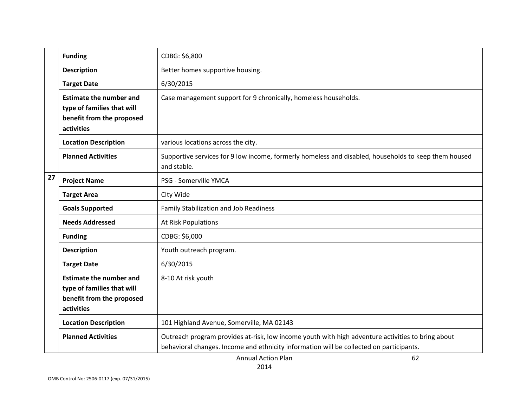|                                                                                           | <b>Funding</b>                                                                                          | CDBG: \$6,800                                                                                                                                                                                |
|-------------------------------------------------------------------------------------------|---------------------------------------------------------------------------------------------------------|----------------------------------------------------------------------------------------------------------------------------------------------------------------------------------------------|
| <b>Description</b><br>Better homes supportive housing.<br>6/30/2015<br><b>Target Date</b> |                                                                                                         |                                                                                                                                                                                              |
|                                                                                           |                                                                                                         |                                                                                                                                                                                              |
|                                                                                           | <b>Estimate the number and</b><br>type of families that will<br>benefit from the proposed<br>activities | Case management support for 9 chronically, homeless households.                                                                                                                              |
|                                                                                           | <b>Location Description</b>                                                                             | various locations across the city.                                                                                                                                                           |
|                                                                                           | <b>Planned Activities</b>                                                                               | Supportive services for 9 low income, formerly homeless and disabled, households to keep them housed<br>and stable.                                                                          |
| 27                                                                                        | <b>Project Name</b>                                                                                     | PSG - Somerville YMCA                                                                                                                                                                        |
|                                                                                           | <b>Target Area</b>                                                                                      | Clty Wide                                                                                                                                                                                    |
|                                                                                           | <b>Goals Supported</b>                                                                                  | Family Stabilization and Job Readiness                                                                                                                                                       |
|                                                                                           | <b>Needs Addressed</b>                                                                                  | <b>At Risk Populations</b>                                                                                                                                                                   |
|                                                                                           | <b>Funding</b>                                                                                          | CDBG: \$6,000                                                                                                                                                                                |
|                                                                                           | <b>Description</b>                                                                                      | Youth outreach program.                                                                                                                                                                      |
|                                                                                           | <b>Target Date</b>                                                                                      | 6/30/2015                                                                                                                                                                                    |
|                                                                                           | <b>Estimate the number and</b><br>type of families that will<br>benefit from the proposed<br>activities | 8-10 At risk youth                                                                                                                                                                           |
|                                                                                           | <b>Location Description</b>                                                                             | 101 Highland Avenue, Somerville, MA 02143                                                                                                                                                    |
|                                                                                           | <b>Planned Activities</b>                                                                               | Outreach program provides at-risk, low income youth with high adventure activities to bring about<br>behavioral changes. Income and ethnicity information will be collected on participants. |

Annual Action Plan 2014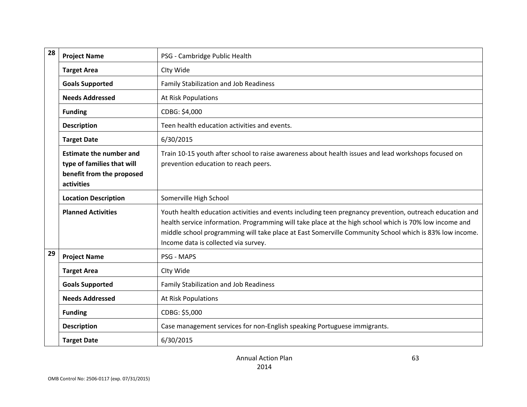| 28                              | <b>Project Name</b>                                                                                     | PSG - Cambridge Public Health                                                                                                                                                                                                                                                                                                                                        |
|---------------------------------|---------------------------------------------------------------------------------------------------------|----------------------------------------------------------------------------------------------------------------------------------------------------------------------------------------------------------------------------------------------------------------------------------------------------------------------------------------------------------------------|
| <b>Target Area</b><br>Clty Wide |                                                                                                         |                                                                                                                                                                                                                                                                                                                                                                      |
|                                 | <b>Goals Supported</b>                                                                                  | <b>Family Stabilization and Job Readiness</b>                                                                                                                                                                                                                                                                                                                        |
|                                 | <b>Needs Addressed</b>                                                                                  | At Risk Populations                                                                                                                                                                                                                                                                                                                                                  |
|                                 | <b>Funding</b>                                                                                          | CDBG: \$4,000                                                                                                                                                                                                                                                                                                                                                        |
|                                 | <b>Description</b>                                                                                      | Teen health education activities and events.                                                                                                                                                                                                                                                                                                                         |
|                                 | <b>Target Date</b>                                                                                      | 6/30/2015                                                                                                                                                                                                                                                                                                                                                            |
|                                 | <b>Estimate the number and</b><br>type of families that will<br>benefit from the proposed<br>activities | Train 10-15 youth after school to raise awareness about health issues and lead workshops focused on<br>prevention education to reach peers.                                                                                                                                                                                                                          |
|                                 | <b>Location Description</b>                                                                             | Somerville High School                                                                                                                                                                                                                                                                                                                                               |
|                                 | <b>Planned Activities</b>                                                                               | Youth health education activities and events including teen pregnancy prevention, outreach education and<br>health service information. Programming will take place at the high school which is 70% low income and<br>middle school programming will take place at East Somerville Community School which is 83% low income.<br>Income data is collected via survey. |
| 29                              | <b>Project Name</b>                                                                                     | PSG - MAPS                                                                                                                                                                                                                                                                                                                                                           |
|                                 | <b>Target Area</b>                                                                                      | Clty Wide                                                                                                                                                                                                                                                                                                                                                            |
|                                 | <b>Goals Supported</b>                                                                                  | Family Stabilization and Job Readiness                                                                                                                                                                                                                                                                                                                               |
|                                 | <b>Needs Addressed</b>                                                                                  | At Risk Populations                                                                                                                                                                                                                                                                                                                                                  |
|                                 | <b>Funding</b>                                                                                          | CDBG: \$5,000                                                                                                                                                                                                                                                                                                                                                        |
|                                 | <b>Description</b>                                                                                      | Case management services for non-English speaking Portuguese immigrants.                                                                                                                                                                                                                                                                                             |
|                                 | <b>Target Date</b>                                                                                      | 6/30/2015                                                                                                                                                                                                                                                                                                                                                            |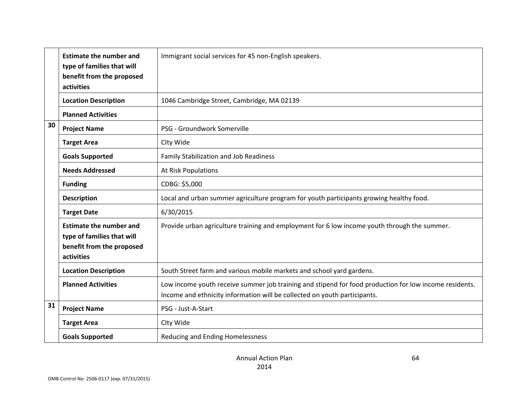| <b>Estimate the number and</b><br>Immigrant social services for 45 non-English speakers.<br>type of families that will<br>benefit from the proposed<br>activities |                                                                                                         |                                                                                                                                                                                     |
|-------------------------------------------------------------------------------------------------------------------------------------------------------------------|---------------------------------------------------------------------------------------------------------|-------------------------------------------------------------------------------------------------------------------------------------------------------------------------------------|
|                                                                                                                                                                   | <b>Location Description</b>                                                                             | 1046 Cambridge Street, Cambridge, MA 02139                                                                                                                                          |
|                                                                                                                                                                   | <b>Planned Activities</b>                                                                               |                                                                                                                                                                                     |
| 30                                                                                                                                                                | PSG - Groundwork Somerville<br><b>Project Name</b>                                                      |                                                                                                                                                                                     |
|                                                                                                                                                                   | <b>Target Area</b>                                                                                      | Clty Wide                                                                                                                                                                           |
|                                                                                                                                                                   | <b>Goals Supported</b>                                                                                  | <b>Family Stabilization and Job Readiness</b>                                                                                                                                       |
|                                                                                                                                                                   | <b>Needs Addressed</b>                                                                                  | At Risk Populations                                                                                                                                                                 |
|                                                                                                                                                                   | <b>Funding</b>                                                                                          | CDBG: \$5,000                                                                                                                                                                       |
|                                                                                                                                                                   | <b>Description</b>                                                                                      | Local and urban summer agriculture program for youth participants growing healthy food.                                                                                             |
|                                                                                                                                                                   | <b>Target Date</b>                                                                                      | 6/30/2015                                                                                                                                                                           |
|                                                                                                                                                                   | <b>Estimate the number and</b><br>type of families that will<br>benefit from the proposed<br>activities | Provide urban agriculture training and employment for 6 low income youth through the summer.                                                                                        |
| South Street farm and various mobile markets and school yard gardens.<br><b>Location Description</b>                                                              |                                                                                                         |                                                                                                                                                                                     |
|                                                                                                                                                                   | <b>Planned Activities</b>                                                                               | Low income youth receive summer job training and stipend for food production for low income residents.<br>Income and ethnicity information will be collected on youth participants. |
| 31                                                                                                                                                                | <b>Project Name</b>                                                                                     | PSG - Just-A-Start                                                                                                                                                                  |
|                                                                                                                                                                   | <b>Target Area</b>                                                                                      | Clty Wide                                                                                                                                                                           |
|                                                                                                                                                                   | <b>Goals Supported</b>                                                                                  | Reducing and Ending Homelessness                                                                                                                                                    |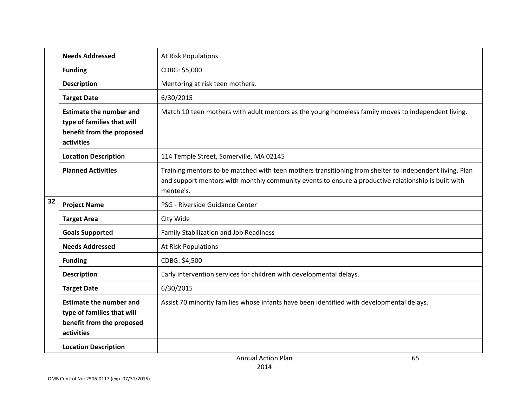|    | <b>Needs Addressed</b>                                                                                  | At Risk Populations                                                                                                                                                                                                         |
|----|---------------------------------------------------------------------------------------------------------|-----------------------------------------------------------------------------------------------------------------------------------------------------------------------------------------------------------------------------|
|    | <b>Funding</b>                                                                                          | CDBG: \$5,000                                                                                                                                                                                                               |
|    | <b>Description</b>                                                                                      | Mentoring at risk teen mothers.                                                                                                                                                                                             |
|    | <b>Target Date</b>                                                                                      | 6/30/2015                                                                                                                                                                                                                   |
|    | <b>Estimate the number and</b><br>type of families that will<br>benefit from the proposed<br>activities | Match 10 teen mothers with adult mentors as the young homeless family moves to independent living.                                                                                                                          |
|    | <b>Location Description</b>                                                                             | 114 Temple Street, Somerville, MA 02145                                                                                                                                                                                     |
|    | <b>Planned Activities</b>                                                                               | Training mentors to be matched with teen mothers transitioning from shelter to independent living. Plan<br>and support mentors with monthly community events to ensure a productive relationship is built with<br>mentee's. |
| 32 | <b>Project Name</b>                                                                                     | PSG - Riverside Guidance Center                                                                                                                                                                                             |
|    | <b>Target Area</b>                                                                                      | Clty Wide                                                                                                                                                                                                                   |
|    | <b>Goals Supported</b>                                                                                  | Family Stabilization and Job Readiness                                                                                                                                                                                      |
|    | <b>Needs Addressed</b>                                                                                  | At Risk Populations                                                                                                                                                                                                         |
|    | <b>Funding</b>                                                                                          | CDBG: \$4,500                                                                                                                                                                                                               |
|    | <b>Description</b>                                                                                      | Early intervention services for children with developmental delays.                                                                                                                                                         |
|    | <b>Target Date</b>                                                                                      | 6/30/2015                                                                                                                                                                                                                   |
|    | <b>Estimate the number and</b><br>type of families that will<br>benefit from the proposed<br>activities | Assist 70 minority families whose infants have been identified with developmental delays.                                                                                                                                   |
|    | <b>Location Description</b>                                                                             |                                                                                                                                                                                                                             |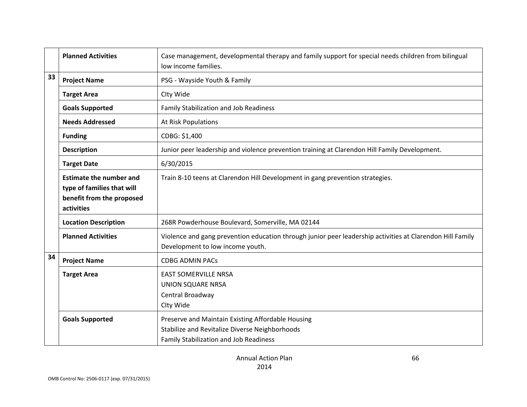|                                                                                                                                                                         | <b>Planned Activities</b>                                                                               | Case management, developmental therapy and family support for special needs children from bilingual<br>low income families. |  |
|-------------------------------------------------------------------------------------------------------------------------------------------------------------------------|---------------------------------------------------------------------------------------------------------|-----------------------------------------------------------------------------------------------------------------------------|--|
| 33<br>PSG - Wayside Youth & Family<br><b>Project Name</b>                                                                                                               |                                                                                                         |                                                                                                                             |  |
|                                                                                                                                                                         | <b>Target Area</b>                                                                                      | Clty Wide                                                                                                                   |  |
| <b>Goals Supported</b><br><b>Family Stabilization and Job Readiness</b>                                                                                                 |                                                                                                         |                                                                                                                             |  |
|                                                                                                                                                                         | <b>Needs Addressed</b><br>At Risk Populations                                                           |                                                                                                                             |  |
|                                                                                                                                                                         | CDBG: \$1,400<br><b>Funding</b>                                                                         |                                                                                                                             |  |
| <b>Description</b>                                                                                                                                                      |                                                                                                         | Junior peer leadership and violence prevention training at Clarendon Hill Family Development.                               |  |
| 6/30/2015<br><b>Target Date</b>                                                                                                                                         |                                                                                                         |                                                                                                                             |  |
|                                                                                                                                                                         | <b>Estimate the number and</b><br>type of families that will<br>benefit from the proposed<br>activities | Train 8-10 teens at Clarendon Hill Development in gang prevention strategies.                                               |  |
|                                                                                                                                                                         | <b>Location Description</b>                                                                             | 268R Powderhouse Boulevard, Somerville, MA 02144                                                                            |  |
| <b>Planned Activities</b><br>Development to low income youth.                                                                                                           |                                                                                                         | Violence and gang prevention education through junior peer leadership activities at Clarendon Hill Family                   |  |
| 34                                                                                                                                                                      | <b>Project Name</b>                                                                                     | <b>CDBG ADMIN PACs</b>                                                                                                      |  |
|                                                                                                                                                                         | <b>Target Area</b>                                                                                      | <b>EAST SOMERVILLE NRSA</b><br><b>UNION SQUARE NRSA</b><br>Central Broadway<br>Clty Wide                                    |  |
| Preserve and Maintain Existing Affordable Housing<br><b>Goals Supported</b><br>Stabilize and Revitalize Diverse Neighborhoods<br>Family Stabilization and Job Readiness |                                                                                                         |                                                                                                                             |  |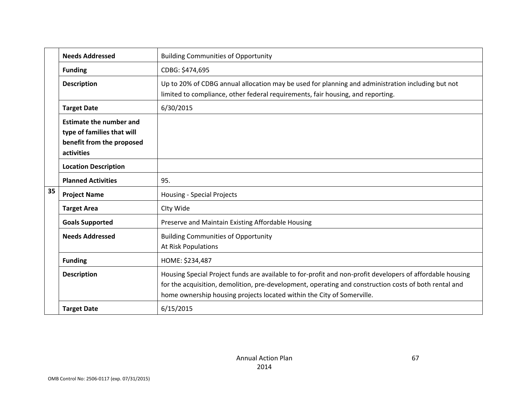|    | <b>Needs Addressed</b>                                                                                  | <b>Building Communities of Opportunity</b>                                                                                                                                                                                                                                                   |
|----|---------------------------------------------------------------------------------------------------------|----------------------------------------------------------------------------------------------------------------------------------------------------------------------------------------------------------------------------------------------------------------------------------------------|
|    | <b>Funding</b>                                                                                          | CDBG: \$474,695                                                                                                                                                                                                                                                                              |
|    | <b>Description</b>                                                                                      | Up to 20% of CDBG annual allocation may be used for planning and administration including but not<br>limited to compliance, other federal requirements, fair housing, and reporting.                                                                                                         |
|    | <b>Target Date</b>                                                                                      | 6/30/2015                                                                                                                                                                                                                                                                                    |
|    | <b>Estimate the number and</b><br>type of families that will<br>benefit from the proposed<br>activities |                                                                                                                                                                                                                                                                                              |
|    | <b>Location Description</b>                                                                             |                                                                                                                                                                                                                                                                                              |
|    | <b>Planned Activities</b>                                                                               | 95.                                                                                                                                                                                                                                                                                          |
| 35 | <b>Project Name</b>                                                                                     | Housing - Special Projects                                                                                                                                                                                                                                                                   |
|    | <b>Target Area</b>                                                                                      | Clty Wide                                                                                                                                                                                                                                                                                    |
|    | <b>Goals Supported</b>                                                                                  | Preserve and Maintain Existing Affordable Housing                                                                                                                                                                                                                                            |
|    | <b>Needs Addressed</b>                                                                                  | <b>Building Communities of Opportunity</b><br>At Risk Populations                                                                                                                                                                                                                            |
|    | <b>Funding</b>                                                                                          | HOME: \$234,487                                                                                                                                                                                                                                                                              |
|    | <b>Description</b>                                                                                      | Housing Special Project funds are available to for-profit and non-profit developers of affordable housing<br>for the acquisition, demolition, pre-development, operating and construction costs of both rental and<br>home ownership housing projects located within the City of Somerville. |
|    | <b>Target Date</b>                                                                                      | 6/15/2015                                                                                                                                                                                                                                                                                    |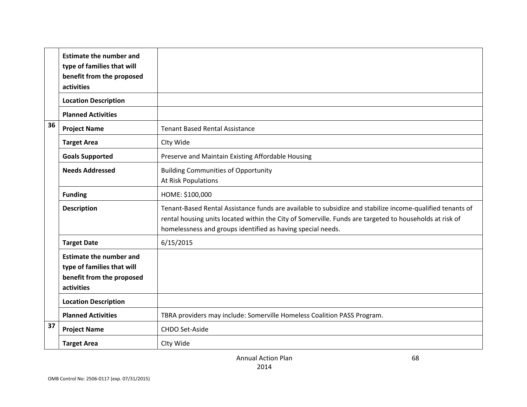|    | <b>Estimate the number and</b><br>type of families that will<br>benefit from the proposed<br>activities |                                                                                                                                                                                                                                                                                     |
|----|---------------------------------------------------------------------------------------------------------|-------------------------------------------------------------------------------------------------------------------------------------------------------------------------------------------------------------------------------------------------------------------------------------|
|    | <b>Location Description</b>                                                                             |                                                                                                                                                                                                                                                                                     |
|    | <b>Planned Activities</b>                                                                               |                                                                                                                                                                                                                                                                                     |
| 36 | <b>Project Name</b>                                                                                     | <b>Tenant Based Rental Assistance</b>                                                                                                                                                                                                                                               |
|    | <b>Target Area</b>                                                                                      | Clty Wide                                                                                                                                                                                                                                                                           |
|    | <b>Goals Supported</b>                                                                                  | Preserve and Maintain Existing Affordable Housing                                                                                                                                                                                                                                   |
|    | <b>Needs Addressed</b>                                                                                  | <b>Building Communities of Opportunity</b><br><b>At Risk Populations</b>                                                                                                                                                                                                            |
|    | <b>Funding</b>                                                                                          | HOME: \$100,000                                                                                                                                                                                                                                                                     |
|    | <b>Description</b>                                                                                      | Tenant-Based Rental Assistance funds are available to subsidize and stabilize income-qualified tenants of<br>rental housing units located within the City of Somerville. Funds are targeted to households at risk of<br>homelessness and groups identified as having special needs. |
|    | <b>Target Date</b>                                                                                      | 6/15/2015                                                                                                                                                                                                                                                                           |
|    | <b>Estimate the number and</b><br>type of families that will<br>benefit from the proposed<br>activities |                                                                                                                                                                                                                                                                                     |
|    | <b>Location Description</b>                                                                             |                                                                                                                                                                                                                                                                                     |
|    | <b>Planned Activities</b>                                                                               | TBRA providers may include: Somerville Homeless Coalition PASS Program.                                                                                                                                                                                                             |
| 37 | <b>Project Name</b>                                                                                     | <b>CHDO Set-Aside</b>                                                                                                                                                                                                                                                               |
|    | <b>Target Area</b>                                                                                      | Clty Wide                                                                                                                                                                                                                                                                           |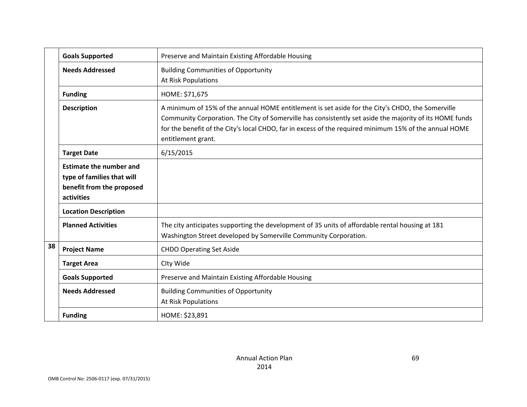|    | <b>Goals Supported</b>                                                                                  | Preserve and Maintain Existing Affordable Housing                                                                                                                                                                                                                                                                                           |
|----|---------------------------------------------------------------------------------------------------------|---------------------------------------------------------------------------------------------------------------------------------------------------------------------------------------------------------------------------------------------------------------------------------------------------------------------------------------------|
|    | <b>Needs Addressed</b>                                                                                  | <b>Building Communities of Opportunity</b><br>At Risk Populations                                                                                                                                                                                                                                                                           |
|    | <b>Funding</b>                                                                                          | HOME: \$71,675                                                                                                                                                                                                                                                                                                                              |
|    | <b>Description</b>                                                                                      | A minimum of 15% of the annual HOME entitlement is set aside for the City's CHDO, the Somerville<br>Community Corporation. The City of Somerville has consistently set aside the majority of its HOME funds<br>for the benefit of the City's local CHDO, far in excess of the required minimum 15% of the annual HOME<br>entitlement grant. |
|    | <b>Target Date</b>                                                                                      | 6/15/2015                                                                                                                                                                                                                                                                                                                                   |
|    | <b>Estimate the number and</b><br>type of families that will<br>benefit from the proposed<br>activities |                                                                                                                                                                                                                                                                                                                                             |
|    | <b>Location Description</b>                                                                             |                                                                                                                                                                                                                                                                                                                                             |
|    | <b>Planned Activities</b>                                                                               | The city anticipates supporting the development of 35 units of affordable rental housing at 181<br>Washington Street developed by Somerville Community Corporation.                                                                                                                                                                         |
| 38 | <b>Project Name</b>                                                                                     | <b>CHDO Operating Set Aside</b>                                                                                                                                                                                                                                                                                                             |
|    | <b>Target Area</b>                                                                                      | Clty Wide                                                                                                                                                                                                                                                                                                                                   |
|    | <b>Goals Supported</b>                                                                                  | Preserve and Maintain Existing Affordable Housing                                                                                                                                                                                                                                                                                           |
|    | <b>Needs Addressed</b>                                                                                  | <b>Building Communities of Opportunity</b><br><b>At Risk Populations</b>                                                                                                                                                                                                                                                                    |
|    | <b>Funding</b>                                                                                          | HOME: \$23,891                                                                                                                                                                                                                                                                                                                              |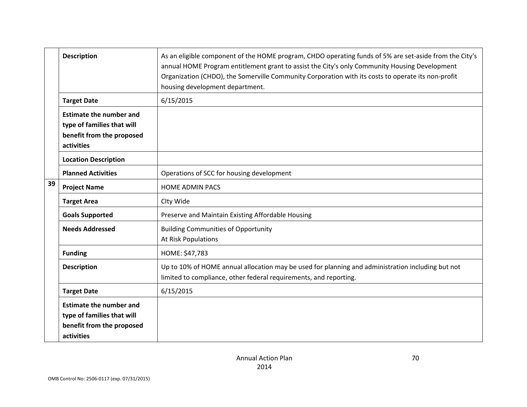|    | <b>Description</b>                                                                                      | As an eligible component of the HOME program, CHDO operating funds of 5% are set-aside from the City's<br>annual HOME Program entitlement grant to assist the City's only Community Housing Development<br>Organization (CHDO), the Somerville Community Corporation with its costs to operate its non-profit<br>housing development department. |
|----|---------------------------------------------------------------------------------------------------------|--------------------------------------------------------------------------------------------------------------------------------------------------------------------------------------------------------------------------------------------------------------------------------------------------------------------------------------------------|
|    | <b>Target Date</b>                                                                                      | 6/15/2015                                                                                                                                                                                                                                                                                                                                        |
|    | <b>Estimate the number and</b><br>type of families that will<br>benefit from the proposed<br>activities |                                                                                                                                                                                                                                                                                                                                                  |
|    | <b>Location Description</b>                                                                             |                                                                                                                                                                                                                                                                                                                                                  |
|    | <b>Planned Activities</b>                                                                               | Operations of SCC for housing development                                                                                                                                                                                                                                                                                                        |
| 39 | <b>Project Name</b>                                                                                     | <b>HOME ADMIN PACS</b>                                                                                                                                                                                                                                                                                                                           |
|    | <b>Target Area</b>                                                                                      | Clty Wide                                                                                                                                                                                                                                                                                                                                        |
|    | <b>Goals Supported</b>                                                                                  | Preserve and Maintain Existing Affordable Housing                                                                                                                                                                                                                                                                                                |
|    | <b>Needs Addressed</b>                                                                                  | <b>Building Communities of Opportunity</b><br>At Risk Populations                                                                                                                                                                                                                                                                                |
|    | <b>Funding</b>                                                                                          | HOME: \$47,783                                                                                                                                                                                                                                                                                                                                   |
|    | <b>Description</b>                                                                                      | Up to 10% of HOME annual allocation may be used for planning and administration including but not<br>limited to compliance, other federal requirements, and reporting.                                                                                                                                                                           |
|    | <b>Target Date</b>                                                                                      | 6/15/2015                                                                                                                                                                                                                                                                                                                                        |
|    | <b>Estimate the number and</b><br>type of families that will<br>benefit from the proposed<br>activities |                                                                                                                                                                                                                                                                                                                                                  |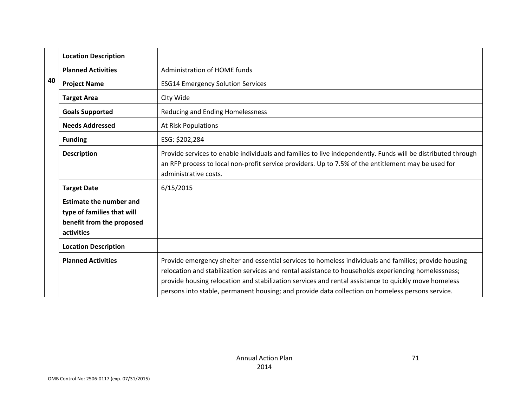|                                  | <b>Location Description</b>                                                                             |                                                                                                                                                                                                                                                                                                                                                                                                                            |
|----------------------------------|---------------------------------------------------------------------------------------------------------|----------------------------------------------------------------------------------------------------------------------------------------------------------------------------------------------------------------------------------------------------------------------------------------------------------------------------------------------------------------------------------------------------------------------------|
|                                  | <b>Planned Activities</b>                                                                               | Administration of HOME funds                                                                                                                                                                                                                                                                                                                                                                                               |
| 40                               | <b>Project Name</b>                                                                                     | <b>ESG14 Emergency Solution Services</b>                                                                                                                                                                                                                                                                                                                                                                                   |
|                                  | <b>Target Area</b>                                                                                      | Clty Wide                                                                                                                                                                                                                                                                                                                                                                                                                  |
|                                  | <b>Goals Supported</b>                                                                                  | Reducing and Ending Homelessness                                                                                                                                                                                                                                                                                                                                                                                           |
|                                  | <b>Needs Addressed</b>                                                                                  | At Risk Populations                                                                                                                                                                                                                                                                                                                                                                                                        |
| ESG: \$202,284<br><b>Funding</b> |                                                                                                         |                                                                                                                                                                                                                                                                                                                                                                                                                            |
|                                  | <b>Description</b>                                                                                      | Provide services to enable individuals and families to live independently. Funds will be distributed through<br>an RFP process to local non-profit service providers. Up to 7.5% of the entitlement may be used for<br>administrative costs.                                                                                                                                                                               |
|                                  | <b>Target Date</b>                                                                                      | 6/15/2015                                                                                                                                                                                                                                                                                                                                                                                                                  |
|                                  | <b>Estimate the number and</b><br>type of families that will<br>benefit from the proposed<br>activities |                                                                                                                                                                                                                                                                                                                                                                                                                            |
|                                  | <b>Location Description</b>                                                                             |                                                                                                                                                                                                                                                                                                                                                                                                                            |
|                                  | <b>Planned Activities</b>                                                                               | Provide emergency shelter and essential services to homeless individuals and families; provide housing<br>relocation and stabilization services and rental assistance to households experiencing homelessness;<br>provide housing relocation and stabilization services and rental assistance to quickly move homeless<br>persons into stable, permanent housing; and provide data collection on homeless persons service. |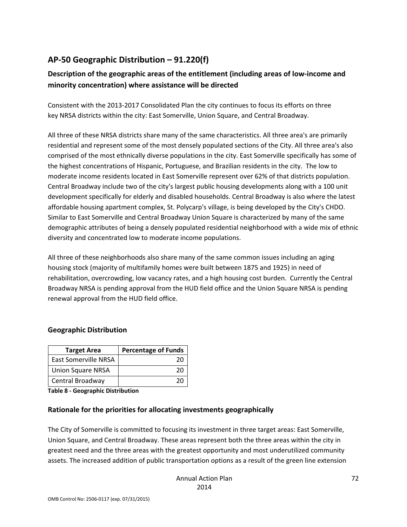## **AP‐50 Geographic Distribution – 91.220(f)**

## **Description of the geographic areas of the entitlement (including areas of low‐income and minority concentration) where assistance will be directed**

Consistent with the 2013‐2017 Consolidated Plan the city continues to focus its efforts on three key NRSA districts within the city: East Somerville, Union Square, and Central Broadway.

All three of these NRSA districts share many of the same characteristics. All three area's are primarily residential and represent some of the most densely populated sections of the City. All three area's also comprised of the most ethnically diverse populations in the city. East Somerville specifically has some of the highest concentrations of Hispanic, Portuguese, and Brazilian residents in the city. The low to moderate income residents located in East Somerville represent over 62% of that districts population. Central Broadway include two of the city's largest public housing developments along with a 100 unit development specifically for elderly and disabled households. Central Broadway is also where the latest affordable housing apartment complex, St. Polycarp's village, is being developed by the City's CHDO. Similar to East Somerville and Central Broadway Union Square is characterized by many of the same demographic attributes of being a densely populated residential neighborhood with a wide mix of ethnic diversity and concentrated low to moderate income populations.

All three of these neighborhoods also share many of the same common issues including an aging housing stock (majority of multifamily homes were built between 1875 and 1925) in need of rehabilitation, overcrowding, low vacancy rates, and a high housing cost burden. Currently the Central Broadway NRSA is pending approval from the HUD field office and the Union Square NRSA is pending renewal approval from the HUD field office.

#### **Geographic Distribution**

| <b>Target Area</b>          | <b>Percentage of Funds</b> |
|-----------------------------|----------------------------|
| <b>East Somerville NRSA</b> | 20                         |
| <b>Union Square NRSA</b>    | 20                         |
| Central Broadway            | -26                        |

**Table 8 ‐ Geographic Distribution** 

#### **Rationale for the priorities for allocating investments geographically**

The City of Somerville is committed to focusing its investment in three target areas: East Somerville, Union Square, and Central Broadway. These areas represent both the three areas within the city in greatest need and the three areas with the greatest opportunity and most underutilized community assets. The increased addition of public transportation options as a result of the green line extension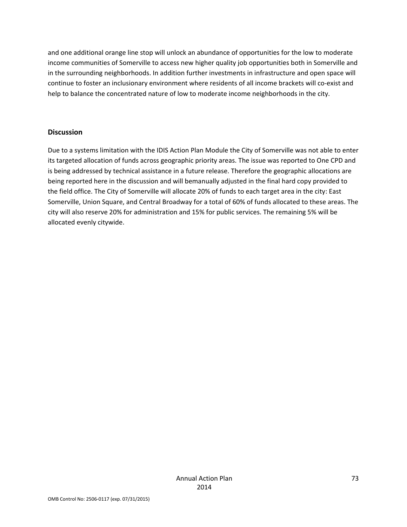and one additional orange line stop will unlock an abundance of opportunities for the low to moderate income communities of Somerville to access new higher quality job opportunities both in Somerville and in the surrounding neighborhoods. In addition further investments in infrastructure and open space will continue to foster an inclusionary environment where residents of all income brackets will co-exist and help to balance the concentrated nature of low to moderate income neighborhoods in the city.

#### **Discussion**

Due to a systems limitation with the IDIS Action Plan Module the City of Somerville was not able to enter its targeted allocation of funds across geographic priority areas. The issue was reported to One CPD and is being addressed by technical assistance in a future release. Therefore the geographic allocations are being reported here in the discussion and will bemanually adjusted in the final hard copy provided to the field office. The City of Somerville will allocate 20% of funds to each target area in the city: East Somerville, Union Square, and Central Broadway for a total of 60% of funds allocated to these areas. The city will also reserve 20% for administration and 15% for public services. The remaining 5% will be allocated evenly citywide.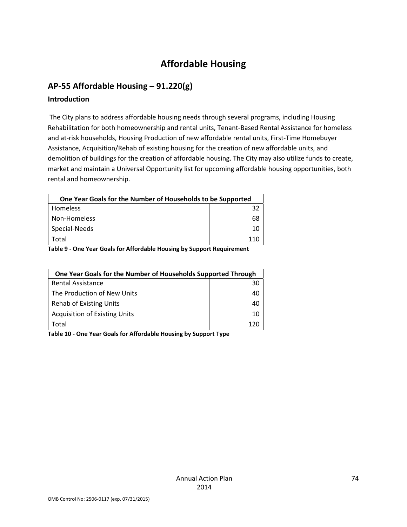# **Affordable Housing**

## **AP‐55 Affordable Housing – 91.220(g)**

#### **Introduction**

The City plans to address affordable housing needs through several programs, including Housing Rehabilitation for both homeownership and rental units, Tenant‐Based Rental Assistance for homeless and at-risk households, Housing Production of new affordable rental units, First-Time Homebuyer Assistance, Acquisition/Rehab of existing housing for the creation of new affordable units, and demolition of buildings for the creation of affordable housing. The City may also utilize funds to create, market and maintain a Universal Opportunity list for upcoming affordable housing opportunities, both rental and homeownership.

| One Year Goals for the Number of Households to be Supported           |     |
|-----------------------------------------------------------------------|-----|
| <b>Homeless</b>                                                       | -32 |
| Non-Homeless                                                          | 68  |
| Special-Needs                                                         | 10  |
| Total                                                                 | 110 |
| Table Q. One Vear Goals for Affordable Housing by Sunnert Pequirement |     |

**Table 9 ‐ One Year Goals for Affordable Housing by Support Requirement**

| One Year Goals for the Number of Households Supported Through |    |
|---------------------------------------------------------------|----|
| Rental Assistance                                             | 30 |
| The Production of New Units                                   | 40 |
| <b>Rehab of Existing Units</b>                                | 40 |
| <b>Acquisition of Existing Units</b>                          | 10 |
| Total                                                         |    |

**Table 10 ‐ One Year Goals for Affordable Housing by Support Type**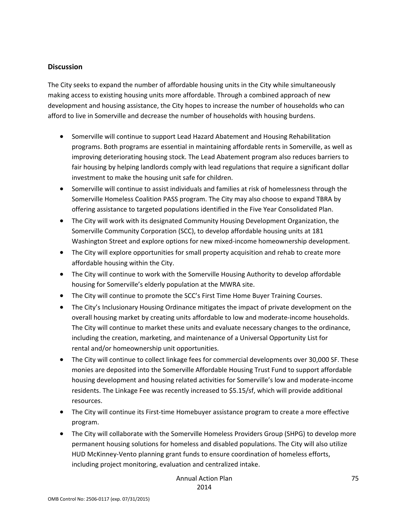#### **Discussion**

The City seeks to expand the number of affordable housing units in the City while simultaneously making access to existing housing units more affordable. Through a combined approach of new development and housing assistance, the City hopes to increase the number of households who can afford to live in Somerville and decrease the number of households with housing burdens.

- Somerville will continue to support Lead Hazard Abatement and Housing Rehabilitation programs. Both programs are essential in maintaining affordable rents in Somerville, as well as improving deteriorating housing stock. The Lead Abatement program also reduces barriers to fair housing by helping landlords comply with lead regulations that require a significant dollar investment to make the housing unit safe for children.
- Somerville will continue to assist individuals and families at risk of homelessness through the Somerville Homeless Coalition PASS program. The City may also choose to expand TBRA by offering assistance to targeted populations identified in the Five Year Consolidated Plan.
- The City will work with its designated Community Housing Development Organization, the Somerville Community Corporation (SCC), to develop affordable housing units at 181 Washington Street and explore options for new mixed‐income homeownership development.
- The City will explore opportunities for small property acquisition and rehab to create more affordable housing within the City.
- The City will continue to work with the Somerville Housing Authority to develop affordable housing for Somerville's elderly population at the MWRA site.
- The City will continue to promote the SCC's First Time Home Buyer Training Courses.
- The City's Inclusionary Housing Ordinance mitigates the impact of private development on the overall housing market by creating units affordable to low and moderate‐income households. The City will continue to market these units and evaluate necessary changes to the ordinance, including the creation, marketing, and maintenance of a Universal Opportunity List for rental and/or homeownership unit opportunities.
- The City will continue to collect linkage fees for commercial developments over 30,000 SF. These monies are deposited into the Somerville Affordable Housing Trust Fund to support affordable housing development and housing related activities for Somerville's low and moderate‐income residents. The Linkage Fee was recently increased to \$5.15/sf, which will provide additional resources.
- The City will continue its First-time Homebuyer assistance program to create a more effective program.
- The City will collaborate with the Somerville Homeless Providers Group (SHPG) to develop more permanent housing solutions for homeless and disabled populations. The City will also utilize HUD McKinney‐Vento planning grant funds to ensure coordination of homeless efforts, including project monitoring, evaluation and centralized intake.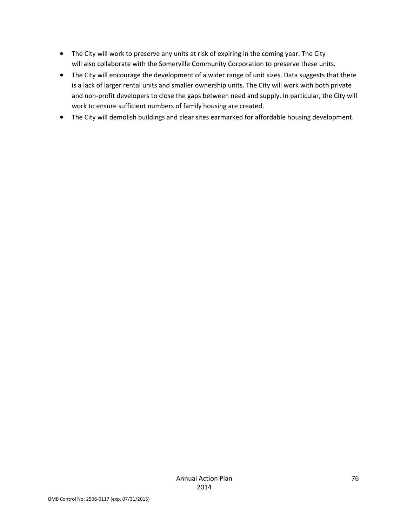- The City will work to preserve any units at risk of expiring in the coming year. The City will also collaborate with the Somerville Community Corporation to preserve these units.
- The City will encourage the development of a wider range of unit sizes. Data suggests that there is a lack of larger rental units and smaller ownership units. The City will work with both private and non-profit developers to close the gaps between need and supply. In particular, the City will work to ensure sufficient numbers of family housing are created.
- The City will demolish buildings and clear sites earmarked for affordable housing development.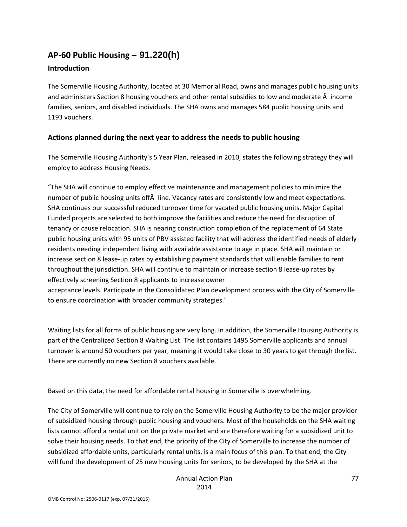## **AP‐60 Public Housing** *–* **91.220(h)**

#### **Introduction**

The Somerville Housing Authority, located at 30 Memorial Road, owns and manages public housing units and administers Section 8 housing vouchers and other rental subsidies to low and moderate Â income families, seniors, and disabled individuals. The SHA owns and manages 584 public housing units and 1193 vouchers.

#### **Actions planned during the next year to address the needs to public housing**

The Somerville Housing Authority's 5 Year Plan, released in 2010, states the following strategy they will employ to address Housing Needs.

"The SHA will continue to employ effective maintenance and management policies to minimize the number of public housing units off line. Vacancy rates are consistently low and meet expectations. SHA continues our successful reduced turnover time for vacated public housing units. Major Capital Funded projects are selected to both improve the facilities and reduce the need for disruption of tenancy or cause relocation. SHA is nearing construction completion of the replacement of 64 State public housing units with 95 units of PBV assisted facility that will address the identified needs of elderly residents needing independent living with available assistance to age in place. SHA will maintain or increase section 8 lease-up rates by establishing payment standards that will enable families to rent throughout the jurisdiction. SHA will continue to maintain or increase section 8 lease‐up rates by effectively screening Section 8 applicants to increase owner

acceptance levels. Participate in the Consolidated Plan development process with the City of Somerville to ensure coordination with broader community strategies."

Waiting lists for all forms of public housing are very long. In addition, the Somerville Housing Authority is part of the Centralized Section 8 Waiting List. The list contains 1495 Somerville applicants and annual turnover is around 50 vouchers per year, meaning it would take close to 30 years to get through the list. There are currently no new Section 8 vouchers available.

Based on this data, the need for affordable rental housing in Somerville is overwhelming.

The City of Somerville will continue to rely on the Somerville Housing Authority to be the major provider of subsidized housing through public housing and vouchers. Most of the households on the SHA waiting lists cannot afford a rental unit on the private market and are therefore waiting for a subsidized unit to solve their housing needs. To that end, the priority of the City of Somerville to increase the number of subsidized affordable units, particularly rental units, is a main focus of this plan. To that end, the City will fund the development of 25 new housing units for seniors, to be developed by the SHA at the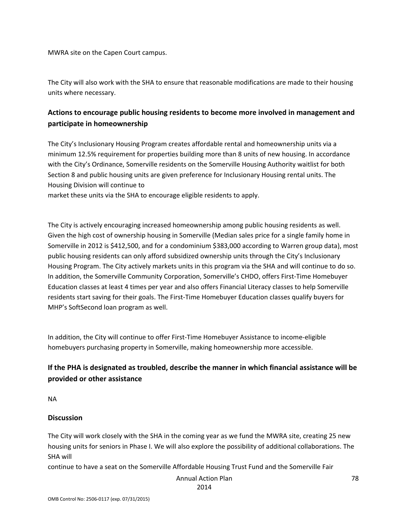MWRA site on the Capen Court campus.

The City will also work with the SHA to ensure that reasonable modifications are made to their housing units where necessary.

### **Actions to encourage public housing residents to become more involved in management and participate in homeownership**

The City's Inclusionary Housing Program creates affordable rental and homeownership units via a minimum 12.5% requirement for properties building more than 8 units of new housing. In accordance with the City's Ordinance, Somerville residents on the Somerville Housing Authority waitlist for both Section 8 and public housing units are given preference for Inclusionary Housing rental units. The Housing Division will continue to

market these units via the SHA to encourage eligible residents to apply.

The City is actively encouraging increased homeownership among public housing residents as well. Given the high cost of ownership housing in Somerville (Median sales price for a single family home in Somerville in 2012 is \$412,500, and for a condominium \$383,000 according to Warren group data), most public housing residents can only afford subsidized ownership units through the City's Inclusionary Housing Program. The City actively markets units in this program via the SHA and will continue to do so. In addition, the Somerville Community Corporation, Somerville's CHDO, offers First‐Time Homebuyer Education classes at least 4 times per year and also offers Financial Literacy classes to help Somerville residents start saving for their goals. The First‐Time Homebuyer Education classes qualify buyers for MHP's SoftSecond loan program as well.

In addition, the City will continue to offer First-Time Homebuyer Assistance to income-eligible homebuyers purchasing property in Somerville, making homeownership more accessible.

### **If the PHA is designated as troubled, describe the manner in which financial assistance will be provided or other assistance**

NA

#### **Discussion**

The City will work closely with the SHA in the coming year as we fund the MWRA site, creating 25 new housing units for seniors in Phase I. We will also explore the possibility of additional collaborations. The SHA will

continue to have a seat on the Somerville Affordable Housing Trust Fund and the Somerville Fair

Annual Action Plan

2014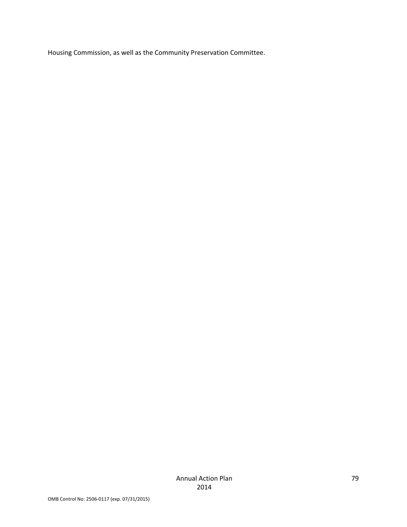Housing Commission, as well as the Community Preservation Committee.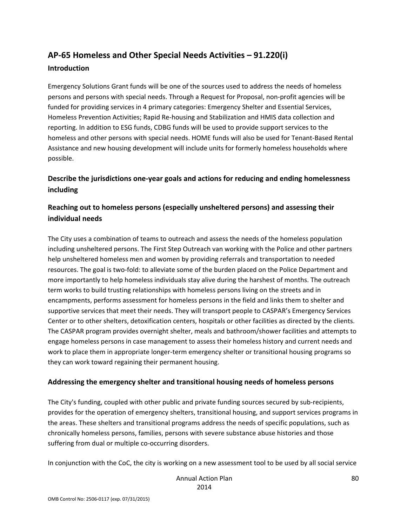## **AP‐65 Homeless and Other Special Needs Activities – 91.220(i)**

#### **Introduction**

Emergency Solutions Grant funds will be one of the sources used to address the needs of homeless persons and persons with special needs. Through a Request for Proposal, non‐profit agencies will be funded for providing services in 4 primary categories: Emergency Shelter and Essential Services, Homeless Prevention Activities; Rapid Re‐housing and Stabilization and HMIS data collection and reporting. In addition to ESG funds, CDBG funds will be used to provide support services to the homeless and other persons with special needs. HOME funds will also be used for Tenant‐Based Rental Assistance and new housing development will include units for formerly homeless households where possible.

## **Describe the jurisdictions one‐year goals and actions for reducing and ending homelessness including**

### **Reaching out to homeless persons (especially unsheltered persons) and assessing their individual needs**

The City uses a combination of teams to outreach and assess the needs of the homeless population including unsheltered persons. The First Step Outreach van working with the Police and other partners help unsheltered homeless men and women by providing referrals and transportation to needed resources. The goal is two‐fold: to alleviate some of the burden placed on the Police Department and more importantly to help homeless individuals stay alive during the harshest of months. The outreach term works to build trusting relationships with homeless persons living on the streets and in encampments, performs assessment for homeless persons in the field and links them to shelter and supportive services that meet their needs. They will transport people to CASPAR's Emergency Services Center or to other shelters, detoxification centers, hospitals or other facilities as directed by the clients. The CASPAR program provides overnight shelter, meals and bathroom/shower facilities and attempts to engage homeless persons in case management to assess their homeless history and current needs and work to place them in appropriate longer-term emergency shelter or transitional housing programs so they can work toward regaining their permanent housing.

#### **Addressing the emergency shelter and transitional housing needs of homeless persons**

The City's funding, coupled with other public and private funding sources secured by sub-recipients, provides for the operation of emergency shelters, transitional housing, and support services programs in the areas. These shelters and transitional programs address the needs of specific populations, such as chronically homeless persons, families, persons with severe substance abuse histories and those suffering from dual or multiple co-occurring disorders.

In conjunction with the CoC, the city is working on a new assessment tool to be used by all social service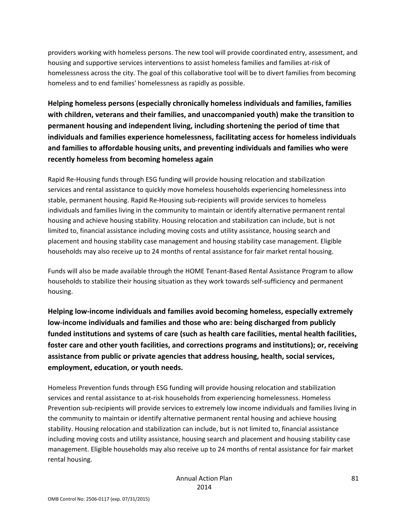providers working with homeless persons. The new tool will provide coordinated entry, assessment, and housing and supportive services interventions to assist homeless families and families at‐risk of homelessness across the city. The goal of this collaborative tool will be to divert families from becoming homeless and to end families' homelessness as rapidly as possible.

**Helping homeless persons (especially chronically homeless individuals and families, families with children, veterans and their families, and unaccompanied youth) make the transition to permanent housing and independent living, including shortening the period of time that individuals and families experience homelessness, facilitating access for homeless individuals and families to affordable housing units, and preventing individuals and families who were recently homeless from becoming homeless again**

Rapid Re‐Housing funds through ESG funding will provide housing relocation and stabilization services and rental assistance to quickly move homeless households experiencing homelessness into stable, permanent housing. Rapid Re‐Housing sub‐recipients will provide services to homeless individuals and families living in the community to maintain or identify alternative permanent rental housing and achieve housing stability. Housing relocation and stabilization can include, but is not limited to, financial assistance including moving costs and utility assistance, housing search and placement and housing stability case management and housing stability case management. Eligible households may also receive up to 24 months of rental assistance for fair market rental housing.

Funds will also be made available through the HOME Tenant‐Based Rental Assistance Program to allow households to stabilize their housing situation as they work towards self-sufficiency and permanent housing.

**Helping low‐income individuals and families avoid becoming homeless, especially extremely low‐income individuals and families and those who are: being discharged from publicly funded institutions and systems of care (such as health care facilities, mental health facilities, foster care and other youth facilities, and corrections programs and institutions); or, receiving assistance from public or private agencies that address housing, health, social services, employment, education, or youth needs.**

Homeless Prevention funds through ESG funding will provide housing relocation and stabilization services and rental assistance to at-risk households from experiencing homelessness. Homeless Prevention sub‐recipients will provide services to extremely low income individuals and families living in the community to maintain or identify alternative permanent rental housing and achieve housing stability. Housing relocation and stabilization can include, but is not limited to, financial assistance including moving costs and utility assistance, housing search and placement and housing stability case management. Eligible households may also receive up to 24 months of rental assistance for fair market rental housing.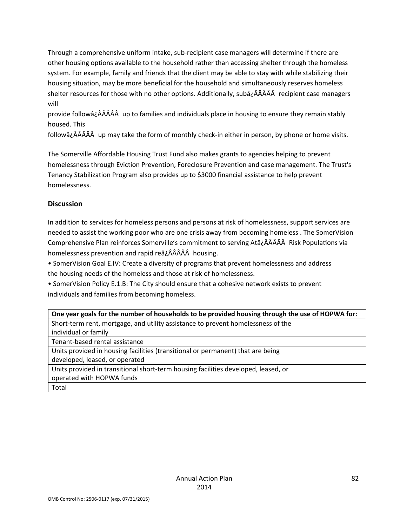Through a comprehensive uniform intake, sub‐recipient case managers will determine if there are other housing options available to the household rather than accessing shelter through the homeless system. For example, family and friends that the client may be able to stay with while stabilizing their housing situation, may be more beneficial for the household and simultaneously reserves homeless shelter resources for those with no other options. Additionally, subâ¿ÂÂÂÂÂ recipient case managers will

provide followâ¿ÂÂÂÂÂ up to families and individuals place in housing to ensure they remain stably housed. This

followâ¿ÂÂÂÂÂ up may take the form of monthly check‐in either in person, by phone or home visits.

The Somerville Affordable Housing Trust Fund also makes grants to agencies helping to prevent homelessness through Eviction Prevention, Foreclosure Prevention and case management. The Trust's Tenancy Stabilization Program also provides up to \$3000 financial assistance to help prevent homelessness.

#### **Discussion**

In addition to services for homeless persons and persons at risk of homelessness, support services are needed to assist the working poor who are one crisis away from becoming homeless . The SomerVision Comprehensive Plan reinforces Somerville's commitment to serving Atâ¿Â Risk Populations via homelessness prevention and rapid reâ¿ÂÂÂÂÂ housing.

• SomerVision Goal E.IV: Create a diversity of programs that prevent homelessness and address the housing needs of the homeless and those at risk of homelessness.

• SomerVision Policy E.1.B: The City should ensure that a cohesive network exists to prevent individuals and families from becoming homeless.

| One year goals for the number of households to be provided housing through the use of HOPWA for: |
|--------------------------------------------------------------------------------------------------|
| Short-term rent, mortgage, and utility assistance to prevent homelessness of the                 |
| individual or family                                                                             |
| Tenant-based rental assistance                                                                   |
| Units provided in housing facilities (transitional or permanent) that are being                  |
| developed, leased, or operated                                                                   |
| Units provided in transitional short-term housing facilities developed, leased, or               |
| operated with HOPWA funds                                                                        |
| Total                                                                                            |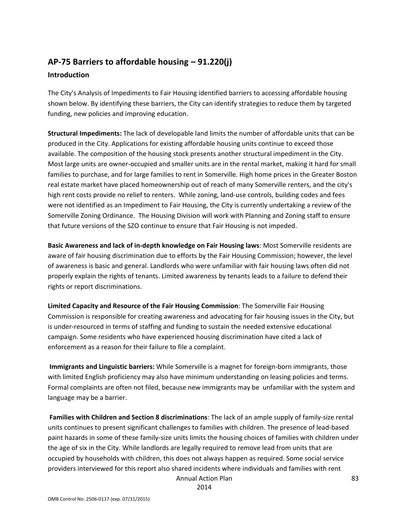## **AP‐75 Barriers to affordable housing – 91.220(j) Introduction**

The City's Analysis of Impediments to Fair Housing identified barriers to accessing affordable housing shown below. By identifying these barriers, the City can identify strategies to reduce them by targeted funding, new policies and improving education.

**Structural Impediments:** The lack of developable land limits the number of affordable units that can be produced in the City. Applications for existing affordable housing units continue to exceed those available. The composition of the housing stock presents another structural impediment in the City. Most large units are owner‐occupied and smaller units are in the rental market, making it hard for small families to purchase, and for large families to rent in Somerville. High home prices in the Greater Boston real estate market have placed homeownership out of reach of many Somerville renters, and the city's high rent costs provide no relief to renters. While zoning, land-use controls, building codes and fees were not identified as an Impediment to Fair Housing, the City is currently undertaking a review of the Somerville Zoning Ordinance. The Housing Division will work with Planning and Zoning staff to ensure that future versions of the SZO continue to ensure that Fair Housing is not impeded.

**Basic Awareness and lack of in‐depth knowledge on Fair Housing laws**: Most Somerville residents are aware of fair housing discrimination due to efforts by the Fair Housing Commission; however, the level of awareness is basic and general. Landlords who were unfamiliar with fair housing laws often did not properly explain the rights of tenants. Limited awareness by tenants leads to a failure to defend their rights or report discriminations.

**Limited Capacity and Resource of the Fair Housing Commission**: The Somerville Fair Housing Commission is responsible for creating awareness and advocating for fair housing issues in the City, but is under‐resourced in terms of staffing and funding to sustain the needed extensive educational campaign. Some residents who have experienced housing discrimination have cited a lack of enforcement as a reason for their failure to file a complaint.

**Immigrants and Linguistic barriers:** While Somerville is a magnet for foreign‐born immigrants, those with limited English proficiency may also have minimum understanding on leasing policies and terms. Formal complaints are often not filed, because new immigrants may be unfamiliar with the system and language may be a barrier.

**Families with Children and Section 8 discriminations**: The lack of an ample supply of family‐size rental units continues to present significant challenges to families with children. The presence of lead‐based paint hazards in some of these family‐size units limits the housing choices of families with children under the age of six in the City. While landlords are legally required to remove lead from units that are occupied by households with children, this does not always happen as required. Some social service providers interviewed for this report also shared incidents where individuals and families with rent

Annual Action Plan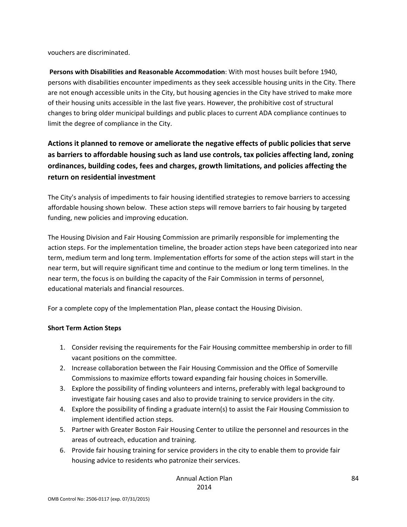vouchers are discriminated.

**Persons with Disabilities and Reasonable Accommodation**: With most houses built before 1940, persons with disabilities encounter impediments as they seek accessible housing units in the City. There are not enough accessible units in the City, but housing agencies in the City have strived to make more of their housing units accessible in the last five years. However, the prohibitive cost of structural changes to bring older municipal buildings and public places to current ADA compliance continues to limit the degree of compliance in the City.

## **Actions it planned to remove or ameliorate the negative effects of public policies that serve as barriers to affordable housing such as land use controls, tax policies affecting land, zoning ordinances, building codes, fees and charges, growth limitations, and policies affecting the return on residential investment**

The City's analysis of impediments to fair housing identified strategies to remove barriers to accessing affordable housing shown below. These action steps will remove barriers to fair housing by targeted funding, new policies and improving education.

The Housing Division and Fair Housing Commission are primarily responsible for implementing the action steps. For the implementation timeline, the broader action steps have been categorized into near term, medium term and long term. Implementation efforts for some of the action steps will start in the near term, but will require significant time and continue to the medium or long term timelines. In the near term, the focus is on building the capacity of the Fair Commission in terms of personnel, educational materials and financial resources.

For a complete copy of the Implementation Plan, please contact the Housing Division.

#### **Short Term Action Steps**

- 1. Consider revising the requirements for the Fair Housing committee membership in order to fill vacant positions on the committee.
- 2. Increase collaboration between the Fair Housing Commission and the Office of Somerville Commissions to maximize efforts toward expanding fair housing choices in Somerville.
- 3. Explore the possibility of finding volunteers and interns, preferably with legal background to investigate fair housing cases and also to provide training to service providers in the city.
- 4. Explore the possibility of finding a graduate intern(s) to assist the Fair Housing Commission to implement identified action steps.
- 5. Partner with Greater Boston Fair Housing Center to utilize the personnel and resources in the areas of outreach, education and training.
- 6. Provide fair housing training for service providers in the city to enable them to provide fair housing advice to residents who patronize their services.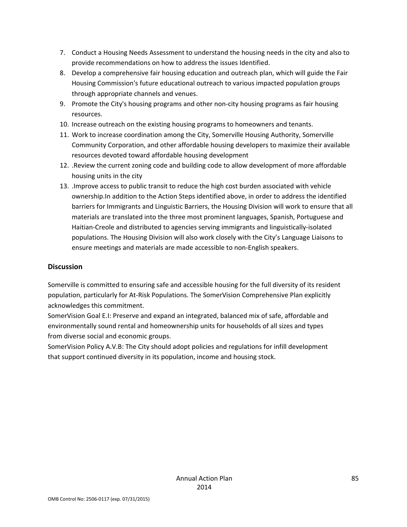- 7. Conduct a Housing Needs Assessment to understand the housing needs in the city and also to provide recommendations on how to address the issues Identified.
- 8. Develop a comprehensive fair housing education and outreach plan, which will guide the Fair Housing Commission's future educational outreach to various impacted population groups through appropriate channels and venues.
- 9. Promote the City's housing programs and other non-city housing programs as fair housing resources.
- 10. Increase outreach on the existing housing programs to homeowners and tenants.
- 11. Work to increase coordination among the City, Somerville Housing Authority, Somerville Community Corporation, and other affordable housing developers to maximize their available resources devoted toward affordable housing development
- 12. .Review the current zoning code and building code to allow development of more affordable housing units in the city
- 13. .Improve access to public transit to reduce the high cost burden associated with vehicle ownership.In addition to the Action Steps identified above, in order to address the identified barriers for Immigrants and Linguistic Barriers, the Housing Division will work to ensure that all materials are translated into the three most prominent languages, Spanish, Portuguese and Haitian‐Creole and distributed to agencies serving immigrants and linguistically‐isolated populations. The Housing Division will also work closely with the City's Language Liaisons to ensure meetings and materials are made accessible to non‐English speakers.

#### **Discussion**

Somerville is committed to ensuring safe and accessible housing for the full diversity of its resident population, particularly for At‐Risk Populations. The SomerVision Comprehensive Plan explicitly acknowledges this commitment.

SomerVision Goal E.I: Preserve and expand an integrated, balanced mix of safe, affordable and environmentally sound rental and homeownership units for households of all sizes and types from diverse social and economic groups.

SomerVision Policy A.V.B: The City should adopt policies and regulations for infill development that support continued diversity in its population, income and housing stock.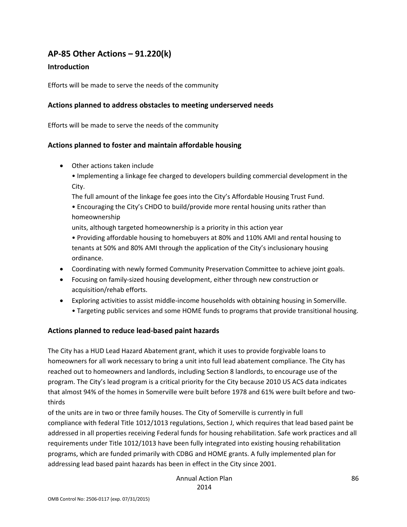## **AP‐85 Other Actions – 91.220(k)**

#### **Introduction**

Efforts will be made to serve the needs of the community

#### **Actions planned to address obstacles to meeting underserved needs**

Efforts will be made to serve the needs of the community

#### **Actions planned to foster and maintain affordable housing**

- Other actions taken include
	- Implementing a linkage fee charged to developers building commercial development in the City.

The full amount of the linkage fee goes into the City's Affordable Housing Trust Fund.

• Encouraging the City's CHDO to build/provide more rental housing units rather than homeownership

units, although targeted homeownership is a priority in this action year

• Providing affordable housing to homebuyers at 80% and 110% AMI and rental housing to tenants at 50% and 80% AMI through the application of the City's inclusionary housing ordinance.

- Coordinating with newly formed Community Preservation Committee to achieve joint goals.
- Focusing on family‐sized housing development, either through new construction or acquisition/rehab efforts.
- Exploring activities to assist middle‐income households with obtaining housing in Somerville.
	- Targeting public services and some HOME funds to programs that provide transitional housing.

#### **Actions planned to reduce lead‐based paint hazards**

The City has a HUD Lead Hazard Abatement grant, which it uses to provide forgivable loans to homeowners for all work necessary to bring a unit into full lead abatement compliance. The City has reached out to homeowners and landlords, including Section 8 landlords, to encourage use of the program. The City's lead program is a critical priority for the City because 2010 US ACS data indicates that almost 94% of the homes in Somerville were built before 1978 and 61% were built before and two‐ thirds

of the units are in two or three family houses. The City of Somerville is currently in full compliance with federal Title 1012/1013 regulations, Section J, which requires that lead based paint be addressed in all properties receiving Federal funds for housing rehabilitation. Safe work practices and all requirements under Title 1012/1013 have been fully integrated into existing housing rehabilitation programs, which are funded primarily with CDBG and HOME grants. A fully implemented plan for addressing lead based paint hazards has been in effect in the City since 2001.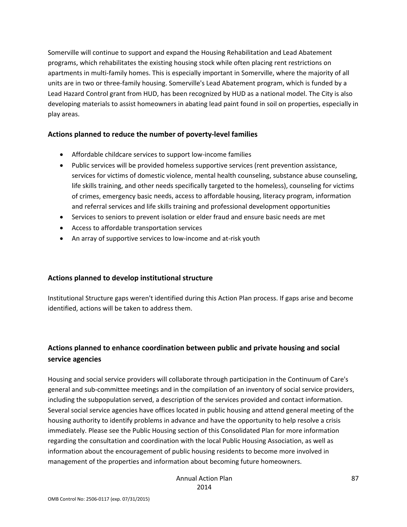Somerville will continue to support and expand the Housing Rehabilitation and Lead Abatement programs, which rehabilitates the existing housing stock while often placing rent restrictions on apartments in multi-family homes. This is especially important in Somerville, where the majority of all units are in two or three‐family housing. Somerville's Lead Abatement program, which is funded by a Lead Hazard Control grant from HUD, has been recognized by HUD as a national model. The City is also developing materials to assist homeowners in abating lead paint found in soil on properties, especially in play areas.

#### **Actions planned to reduce the number of poverty‐level families**

- Affordable childcare services to support low-income families
- Public services will be provided homeless supportive services (rent prevention assistance, services for victims of domestic violence, mental health counseling, substance abuse counseling, life skills training, and other needs specifically targeted to the homeless), counseling for victims of crimes, emergency basic needs, access to affordable housing, literacy program, information and referral services and life skills training and professional development opportunities
- Services to seniors to prevent isolation or elder fraud and ensure basic needs are met
- Access to affordable transportation services
- An array of supportive services to low-income and at-risk youth

#### **Actions planned to develop institutional structure**

Institutional Structure gaps weren't identified during this Action Plan process. If gaps arise and become identified, actions will be taken to address them.

## **Actions planned to enhance coordination between public and private housing and social service agencies**

Housing and social service providers will collaborate through participation in the Continuum of Care's general and sub‐committee meetings and in the compilation of an inventory of social service providers, including the subpopulation served, a description of the services provided and contact information. Several social service agencies have offices located in public housing and attend general meeting of the housing authority to identify problems in advance and have the opportunity to help resolve a crisis immediately. Please see the Public Housing section of this Consolidated Plan for more information regarding the consultation and coordination with the local Public Housing Association, as well as information about the encouragement of public housing residents to become more involved in management of the properties and information about becoming future homeowners.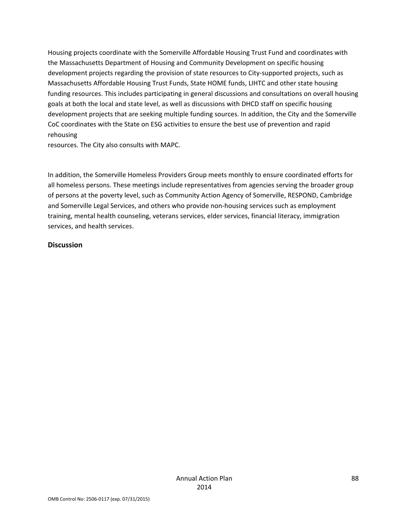Housing projects coordinate with the Somerville Affordable Housing Trust Fund and coordinates with the Massachusetts Department of Housing and Community Development on specific housing development projects regarding the provision of state resources to City‐supported projects, such as Massachusetts Affordable Housing Trust Funds, State HOME funds, LIHTC and other state housing funding resources. This includes participating in general discussions and consultations on overall housing goals at both the local and state level, as well as discussions with DHCD staff on specific housing development projects that are seeking multiple funding sources. In addition, the City and the Somerville CoC coordinates with the State on ESG activities to ensure the best use of prevention and rapid rehousing

resources. The City also consults with MAPC.

In addition, the Somerville Homeless Providers Group meets monthly to ensure coordinated efforts for all homeless persons. These meetings include representatives from agencies serving the broader group of persons at the poverty level, such as Community Action Agency of Somerville, RESPOND, Cambridge and Somerville Legal Services, and others who provide non-housing services such as employment training, mental health counseling, veterans services, elder services, financial literacy, immigration services, and health services.

#### **Discussion**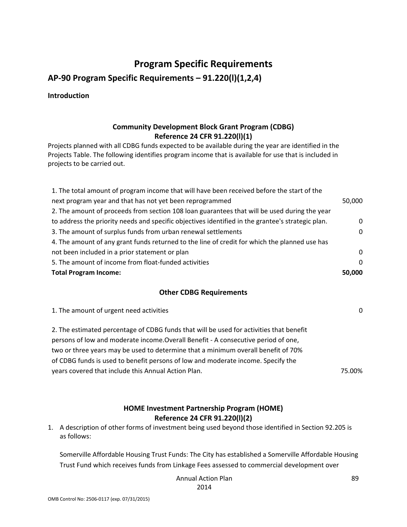# **Program Specific Requirements AP‐90 Program Specific Requirements – 91.220(l)(1,2,4)**

**Introduction**

### **Community Development Block Grant Program (CDBG) Reference 24 CFR 91.220(l)(1)**

Projects planned with all CDBG funds expected to be available during the year are identified in the Projects Table. The following identifies program income that is available for use that is included in projects to be carried out.

| 1. The total amount of program income that will have been received before the start of the        |          |
|---------------------------------------------------------------------------------------------------|----------|
| next program year and that has not yet been reprogrammed                                          | 50,000   |
| 2. The amount of proceeds from section 108 loan guarantees that will be used during the year      |          |
| to address the priority needs and specific objectives identified in the grantee's strategic plan. | $\Omega$ |
| 3. The amount of surplus funds from urban renewal settlements                                     | $\Omega$ |
| 4. The amount of any grant funds returned to the line of credit for which the planned use has     |          |
| not been included in a prior statement or plan                                                    | $\Omega$ |
| 5. The amount of income from float-funded activities                                              | $\Omega$ |
| <b>Total Program Income:</b>                                                                      | 50,000   |

#### **Other CDBG Requirements**

| 1. The amount of urgent need activities                                                 | ∩      |
|-----------------------------------------------------------------------------------------|--------|
| 2. The estimated percentage of CDBG funds that will be used for activities that benefit |        |
| persons of low and moderate income. Overall Benefit - A consecutive period of one,      |        |
| two or three years may be used to determine that a minimum overall benefit of 70%       |        |
| of CDBG funds is used to benefit persons of low and moderate income. Specify the        |        |
| years covered that include this Annual Action Plan.                                     | 75.00% |
|                                                                                         |        |

#### **HOME Investment Partnership Program (HOME) Reference 24 CFR 91.220(l)(2)**

1. A description of other forms of investment being used beyond those identified in Section 92.205 is as follows:

Somerville Affordable Housing Trust Funds: The City has established a Somerville Affordable Housing Trust Fund which receives funds from Linkage Fees assessed to commercial development over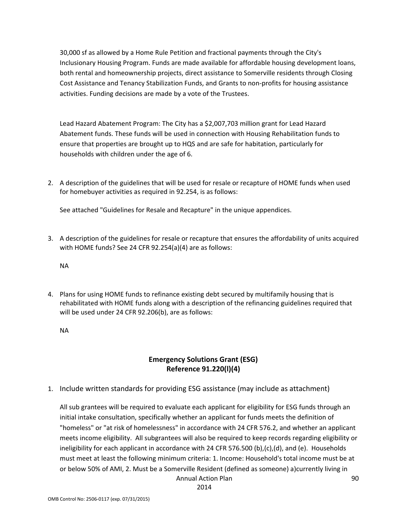30,000 sf as allowed by a Home Rule Petition and fractional payments through the City's Inclusionary Housing Program. Funds are made available for affordable housing development loans, both rental and homeownership projects, direct assistance to Somerville residents through Closing Cost Assistance and Tenancy Stabilization Funds, and Grants to non‐profits for housing assistance activities. Funding decisions are made by a vote of the Trustees.

Lead Hazard Abatement Program: The City has a \$2,007,703 million grant for Lead Hazard Abatement funds. These funds will be used in connection with Housing Rehabilitation funds to ensure that properties are brought up to HQS and are safe for habitation, particularly for households with children under the age of 6.

2. A description of the guidelines that will be used for resale or recapture of HOME funds when used for homebuyer activities as required in 92.254, is as follows:

See attached "Guidelines for Resale and Recapture" in the unique appendices.

3. A description of the guidelines for resale or recapture that ensures the affordability of units acquired with HOME funds? See 24 CFR 92.254(a)(4) are as follows:

NA

4. Plans for using HOME funds to refinance existing debt secured by multifamily housing that is rehabilitated with HOME funds along with a description of the refinancing guidelines required that will be used under 24 CFR 92.206(b), are as follows:

NA

### **Emergency Solutions Grant (ESG) Reference 91.220(l)(4)**

1. Include written standards for providing ESG assistance (may include as attachment)

Annual Action Plan All sub grantees will be required to evaluate each applicant for eligibility for ESG funds through an initial intake consultation, specifically whether an applicant for funds meets the definition of "homeless" or "at risk of homelessness" in accordance with 24 CFR 576.2, and whether an applicant meets income eligibility. All subgrantees will also be required to keep records regarding eligibility or ineligibility for each applicant in accordance with 24 CFR 576.500 (b),(c),(d), and (e). Households must meet at least the following minimum criteria: 1. Income: Household's total income must be at or below 50% of AMI, 2. Must be a Somerville Resident (defined as someone) a)currently living in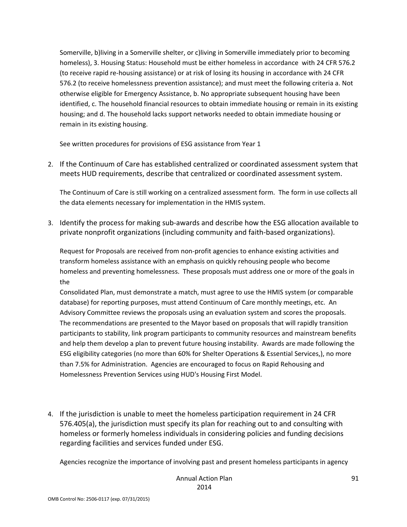Somerville, b)living in a Somerville shelter, or c)living in Somerville immediately prior to becoming homeless), 3. Housing Status: Household must be either homeless in accordance with 24 CFR 576.2 (to receive rapid re‐housing assistance) or at risk of losing its housing in accordance with 24 CFR 576.2 (to receive homelessness prevention assistance); and must meet the following criteria a. Not otherwise eligible for Emergency Assistance, b. No appropriate subsequent housing have been identified, c. The household financial resources to obtain immediate housing or remain in its existing housing; and d. The household lacks support networks needed to obtain immediate housing or remain in its existing housing.

See written procedures for provisions of ESG assistance from Year 1

2. If the Continuum of Care has established centralized or coordinated assessment system that meets HUD requirements, describe that centralized or coordinated assessment system.

The Continuum of Care is still working on a centralized assessment form. The form in use collects all the data elements necessary for implementation in the HMIS system.

3. Identify the process for making sub‐awards and describe how the ESG allocation available to private nonprofit organizations (including community and faith‐based organizations).

Request for Proposals are received from non‐profit agencies to enhance existing activities and transform homeless assistance with an emphasis on quickly rehousing people who become homeless and preventing homelessness. These proposals must address one or more of the goals in the

Consolidated Plan, must demonstrate a match, must agree to use the HMIS system (or comparable database) for reporting purposes, must attend Continuum of Care monthly meetings, etc. An Advisory Committee reviews the proposals using an evaluation system and scores the proposals. The recommendations are presented to the Mayor based on proposals that will rapidly transition participants to stability, link program participants to community resources and mainstream benefits and help them develop a plan to prevent future housing instability. Awards are made following the ESG eligibility categories (no more than 60% for Shelter Operations & Essential Services,), no more than 7.5% for Administration. Agencies are encouraged to focus on Rapid Rehousing and Homelessness Prevention Services using HUD's Housing First Model.

4. If the jurisdiction is unable to meet the homeless participation requirement in 24 CFR 576.405(a), the jurisdiction must specify its plan for reaching out to and consulting with homeless or formerly homeless individuals in considering policies and funding decisions regarding facilities and services funded under ESG.

Agencies recognize the importance of involving past and present homeless participants in agency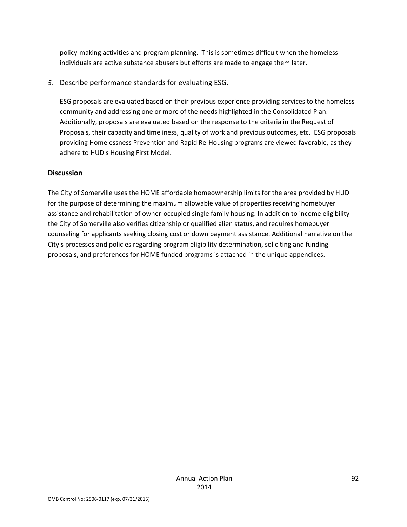policy‐making activities and program planning. This is sometimes difficult when the homeless individuals are active substance abusers but efforts are made to engage them later.

*5.* Describe performance standards for evaluating ESG.

ESG proposals are evaluated based on their previous experience providing services to the homeless community and addressing one or more of the needs highlighted in the Consolidated Plan. Additionally, proposals are evaluated based on the response to the criteria in the Request of Proposals, their capacity and timeliness, quality of work and previous outcomes, etc. ESG proposals providing Homelessness Prevention and Rapid Re‐Housing programs are viewed favorable, as they adhere to HUD's Housing First Model.

#### **Discussion**

The City of Somerville uses the HOME affordable homeownership limits for the area provided by HUD for the purpose of determining the maximum allowable value of properties receiving homebuyer assistance and rehabilitation of owner‐occupied single family housing. In addition to income eligibility the City of Somerville also verifies citizenship or qualified alien status, and requires homebuyer counseling for applicants seeking closing cost or down payment assistance. Additional narrative on the City's processes and policies regarding program eligibility determination, soliciting and funding proposals, and preferences for HOME funded programs is attached in the unique appendices.